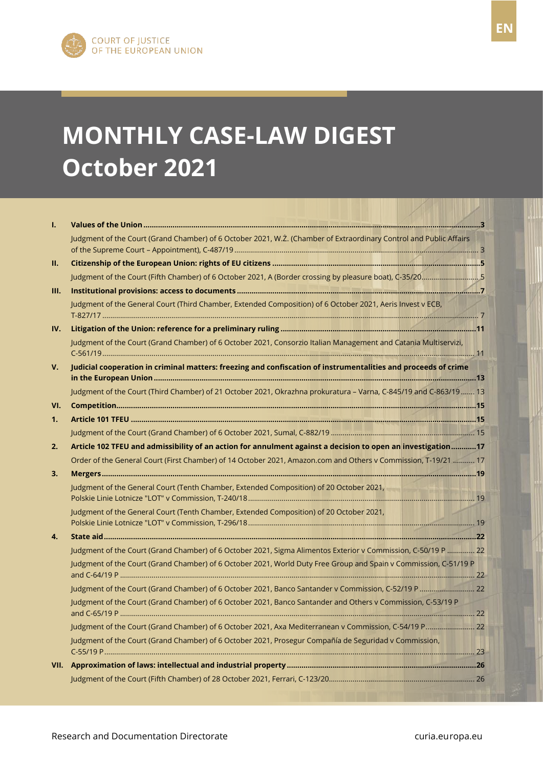FR

# **MONTHLY CASE-LAW DIGEST October 2021**

| T.   |                                                                                                                    |  |
|------|--------------------------------------------------------------------------------------------------------------------|--|
|      | Judgment of the Court (Grand Chamber) of 6 October 2021, W.Z. (Chamber of Extraordinary Control and Public Affairs |  |
| П.   |                                                                                                                    |  |
|      | Judgment of the Court (Fifth Chamber) of 6 October 2021, A (Border crossing by pleasure boat), C-35/205            |  |
| III. |                                                                                                                    |  |
|      | Judgment of the General Court (Third Chamber, Extended Composition) of 6 October 2021, Aeris Invest v ECB,         |  |
| IV.  |                                                                                                                    |  |
|      | Judgment of the Court (Grand Chamber) of 6 October 2021, Consorzio Italian Management and Catania Multiservizi,    |  |
| V.   | Judicial cooperation in criminal matters: freezing and confiscation of instrumentalities and proceeds of crime     |  |
|      | Judgment of the Court (Third Chamber) of 21 October 2021, Okrazhna prokuratura - Varna, C-845/19 and C-863/19  13  |  |
| VI.  |                                                                                                                    |  |
| 1.   |                                                                                                                    |  |
|      |                                                                                                                    |  |
| 2.   | Article 102 TFEU and admissibility of an action for annulment against a decision to open an investigation17        |  |
|      | Order of the General Court (First Chamber) of 14 October 2021, Amazon.com and Others v Commission, T-19/21  17     |  |
| 3.   |                                                                                                                    |  |
|      | Judgment of the General Court (Tenth Chamber, Extended Composition) of 20 October 2021,                            |  |
|      | Judgment of the General Court (Tenth Chamber, Extended Composition) of 20 October 2021,                            |  |
| 4.   |                                                                                                                    |  |
|      | Judgment of the Court (Grand Chamber) of 6 October 2021, Sigma Alimentos Exterior v Commission, C-50/19 P  22      |  |
|      | Judgment of the Court (Grand Chamber) of 6 October 2021, World Duty Free Group and Spain v Commission, C-51/19 P   |  |
|      | Judgment of the Court (Grand Chamber) of 6 October 2021, Banco Santander v Commission, C-52/19 P  22               |  |
|      | Judgment of the Court (Grand Chamber) of 6 October 2021, Banco Santander and Others v Commission, C-53/19 P        |  |
|      | Judgment of the Court (Grand Chamber) of 6 October 2021, Axa Mediterranean v Commission, C-54/19 P 22              |  |
|      | Judgment of the Court (Grand Chamber) of 6 October 2021, Prosegur Compañía de Seguridad v Commission,              |  |
|      |                                                                                                                    |  |
|      |                                                                                                                    |  |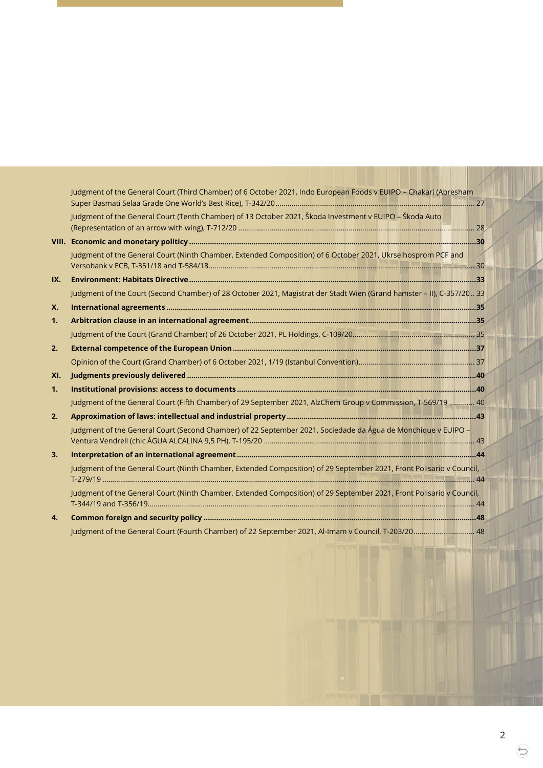|     | Judgment of the General Court (Third Chamber) of 6 October 2021, Indo European Foods v EUIPO - Chakari (Abresham      |  |
|-----|-----------------------------------------------------------------------------------------------------------------------|--|
|     | Judgment of the General Court (Tenth Chamber) of 13 October 2021, Škoda Investment v EUIPO - Škoda Auto               |  |
|     |                                                                                                                       |  |
|     | Judgment of the General Court (Ninth Chamber, Extended Composition) of 6 October 2021, Ukrselhosprom PCF and          |  |
| IX. |                                                                                                                       |  |
|     | Judgment of the Court (Second Chamber) of 28 October 2021, Magistrat der Stadt Wien (Grand hamster - II), C-357/20 33 |  |
| X.  |                                                                                                                       |  |
| 1.  |                                                                                                                       |  |
|     |                                                                                                                       |  |
| 2.  |                                                                                                                       |  |
|     |                                                                                                                       |  |
| XI. |                                                                                                                       |  |
| 1.  |                                                                                                                       |  |
|     | Judgment of the General Court (Fifth Chamber) of 29 September 2021, AlzChem Group v Commission, T-569/19  40          |  |
| 2.  |                                                                                                                       |  |
|     | Judgment of the General Court (Second Chamber) of 22 September 2021, Sociedade da Água de Monchique v EUIPO -         |  |
| 3.  |                                                                                                                       |  |
|     | Judgment of the General Court (Ninth Chamber, Extended Composition) of 29 September 2021, Front Polisario v Council,  |  |
|     | Judgment of the General Court (Ninth Chamber, Extended Composition) of 29 September 2021, Front Polisario v Council,  |  |
| 4.  |                                                                                                                       |  |
|     |                                                                                                                       |  |

⊜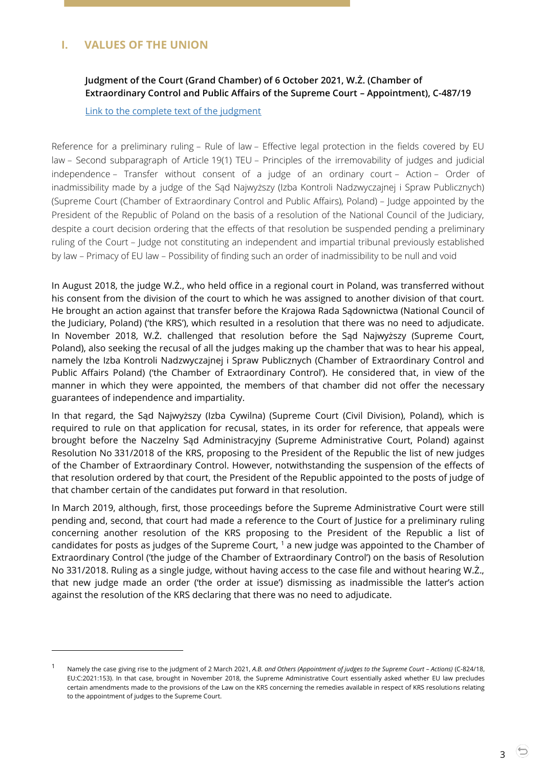# <span id="page-2-1"></span><span id="page-2-0"></span>**I. VALUES OF THE UNION**

-

### **Judgment of the Court (Grand Chamber) of 6 October 2021, W.Ż. (Chamber of Extraordinary Control and Public Affairs of the Supreme Court – Appointment), C-487/19**

[Link to the complete text of the judgment](https://curia.europa.eu/juris/document/document.jsf;jsessionid=00A207F5722FB86C4EDD1080ED258780?text=&docid=247049&pageIndex=0&doclang=EN&mode=lst&dir=&occ=first&part=1&cid=39415178)

Reference for a preliminary ruling – Rule of law – Effective legal protection in the fields covered by EU law – Second subparagraph of Article 19(1) TEU – Principles of the irremovability of judges and judicial independence – Transfer without consent of a judge of an ordinary court – Action – Order of inadmissibility made by a judge of the Sąd Najwyższy (Izba Kontroli Nadzwyczajnej i Spraw Publicznych) (Supreme Court (Chamber of Extraordinary Control and Public Affairs), Poland) – Judge appointed by the President of the Republic of Poland on the basis of a resolution of the National Council of the Judiciary, despite a court decision ordering that the effects of that resolution be suspended pending a preliminary ruling of the Court – Judge not constituting an independent and impartial tribunal previously established by law – Primacy of EU law – Possibility of finding such an order of inadmissibility to be null and void

In August 2018, the judge W.Ż., who held office in a regional court in Poland, was transferred without his consent from the division of the court to which he was assigned to another division of that court. He brought an action against that transfer before the Krajowa Rada Sądownictwa (National Council of the Judiciary, Poland) ('the KRS'), which resulted in a resolution that there was no need to adjudicate. In November 2018, W.Ż. challenged that resolution before the Sąd Najwyższy (Supreme Court, Poland), also seeking the recusal of all the judges making up the chamber that was to hear his appeal, namely the Izba Kontroli Nadzwyczajnej i Spraw Publicznych (Chamber of Extraordinary Control and Public Affairs Poland) ('the Chamber of Extraordinary Control'). He considered that, in view of the manner in which they were appointed, the members of that chamber did not offer the necessary guarantees of independence and impartiality.

In that regard, the Sąd Najwyższy (Izba Cywilna) (Supreme Court (Civil Division), Poland), which is required to rule on that application for recusal, states, in its order for reference, that appeals were brought before the Naczelny Sąd Administracyjny (Supreme Administrative Court, Poland) against Resolution No 331/2018 of the KRS, proposing to the President of the Republic the list of new judges of the Chamber of Extraordinary Control. However, notwithstanding the suspension of the effects of that resolution ordered by that court, the President of the Republic appointed to the posts of judge of that chamber certain of the candidates put forward in that resolution.

In March 2019, although, first, those proceedings before the Supreme Administrative Court were still pending and, second, that court had made a reference to the Court of Justice for a preliminary ruling concerning another resolution of the KRS proposing to the President of the Republic a list of candidates for posts as judges of the Supreme Court,  $1$  a new judge was appointed to the Chamber of Extraordinary Control ('the judge of the Chamber of Extraordinary Control') on the basis of Resolution No 331/2018. Ruling as a single judge, without having access to the case file and without hearing W.Ż., that new judge made an order ('the order at issue') dismissing as inadmissible the latter's action against the resolution of the KRS declaring that there was no need to adjudicate.

<sup>1</sup> Namely the case giving rise to the judgment of 2 March 2021, *A.B. and Others (Appointment of judges to the Supreme Court – Actions)* (C-824/18, EU:C:2021:153). In that case, brought in November 2018, the Supreme Administrative Court essentially asked whether EU law precludes certain amendments made to the provisions of the Law on the KRS concerning the remedies available in respect of KRS resolutions relating to the appointment of judges to the Supreme Court.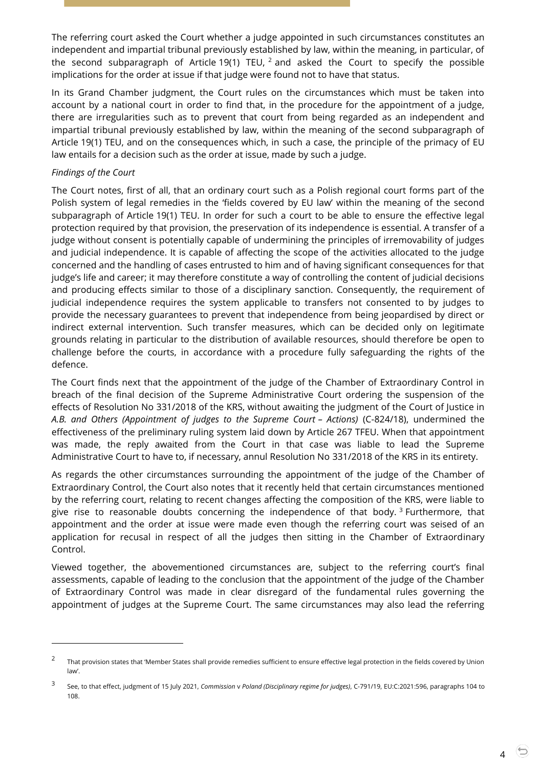The referring court asked the Court whether a judge appointed in such circumstances constitutes an independent and impartial tribunal previously established by law, within the meaning, in particular, of the second subparagraph of Article 19(1) TEU,  $^2$  and asked the Court to specify the possible implications for the order at issue if that judge were found not to have that status.

In its Grand Chamber judgment, the Court rules on the circumstances which must be taken into account by a national court in order to find that, in the procedure for the appointment of a judge, there are irregularities such as to prevent that court from being regarded as an independent and impartial tribunal previously established by law, within the meaning of the second subparagraph of Article 19(1) TEU, and on the consequences which, in such a case, the principle of the primacy of EU law entails for a decision such as the order at issue, made by such a judge.

### *Findings of the Court*

 $\overline{a}$ 

The Court notes, first of all, that an ordinary court such as a Polish regional court forms part of the Polish system of legal remedies in the 'fields covered by EU law' within the meaning of the second subparagraph of Article 19(1) TEU. In order for such a court to be able to ensure the effective legal protection required by that provision, the preservation of its independence is essential. A transfer of a judge without consent is potentially capable of undermining the principles of irremovability of judges and judicial independence. It is capable of affecting the scope of the activities allocated to the judge concerned and the handling of cases entrusted to him and of having significant consequences for that judge's life and career; it may therefore constitute a way of controlling the content of judicial decisions and producing effects similar to those of a disciplinary sanction. Consequently, the requirement of judicial independence requires the system applicable to transfers not consented to by judges to provide the necessary guarantees to prevent that independence from being jeopardised by direct or indirect external intervention. Such transfer measures, which can be decided only on legitimate grounds relating in particular to the distribution of available resources, should therefore be open to challenge before the courts, in accordance with a procedure fully safeguarding the rights of the defence.

The Court finds next that the appointment of the judge of the Chamber of Extraordinary Control in breach of the final decision of the Supreme Administrative Court ordering the suspension of the effects of Resolution No 331/2018 of the KRS, without awaiting the judgment of the Court of Justice in *A.B. and Others (Appointment of judges to the Supreme Court – Actions)* (C-824/18), undermined the effectiveness of the preliminary ruling system laid down by Article 267 TFEU. When that appointment was made, the reply awaited from the Court in that case was liable to lead the Supreme Administrative Court to have to, if necessary, annul Resolution No 331/2018 of the KRS in its entirety.

As regards the other circumstances surrounding the appointment of the judge of the Chamber of Extraordinary Control, the Court also notes that it recently held that certain circumstances mentioned by the referring court, relating to recent changes affecting the composition of the KRS, were liable to give rise to reasonable doubts concerning the independence of that body.<sup>3</sup> Furthermore, that appointment and the order at issue were made even though the referring court was seised of an application for recusal in respect of all the judges then sitting in the Chamber of Extraordinary Control.

Viewed together, the abovementioned circumstances are, subject to the referring court's final assessments, capable of leading to the conclusion that the appointment of the judge of the Chamber of Extraordinary Control was made in clear disregard of the fundamental rules governing the appointment of judges at the Supreme Court. The same circumstances may also lead the referring

<sup>2</sup> That provision states that 'Member States shall provide remedies sufficient to ensure effective legal protection in the fields covered by Union law'.

<sup>3</sup> See, to that effect, judgment of 15 July 2021, *Commission* v *Poland (Disciplinary regime for judges)*, C-791/19, EU:C:2021:596, paragraphs 104 to 108.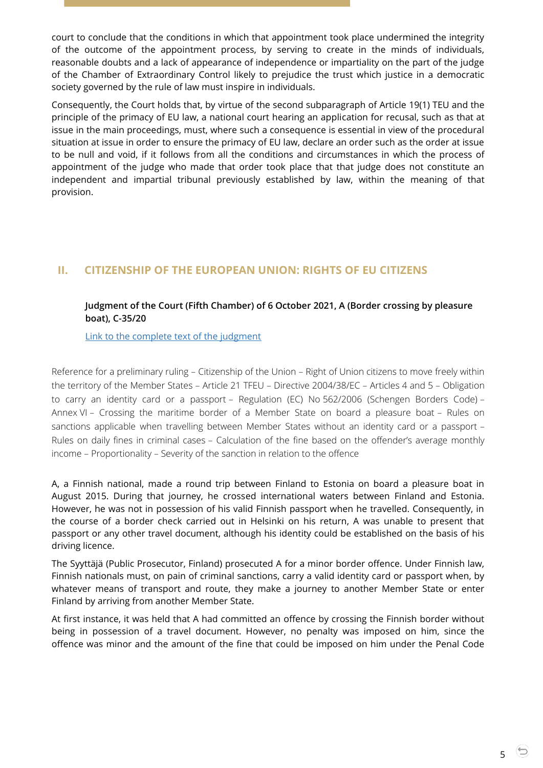court to conclude that the conditions in which that appointment took place undermined the integrity of the outcome of the appointment process, by serving to create in the minds of individuals, reasonable doubts and a lack of appearance of independence or impartiality on the part of the judge of the Chamber of Extraordinary Control likely to prejudice the trust which justice in a democratic society governed by the rule of law must inspire in individuals.

Consequently, the Court holds that, by virtue of the second subparagraph of Article 19(1) TEU and the principle of the primacy of EU law, a national court hearing an application for recusal, such as that at issue in the main proceedings, must, where such a consequence is essential in view of the procedural situation at issue in order to ensure the primacy of EU law, declare an order such as the order at issue to be null and void, if it follows from all the conditions and circumstances in which the process of appointment of the judge who made that order took place that that judge does not constitute an independent and impartial tribunal previously established by law, within the meaning of that provision.

# <span id="page-4-1"></span><span id="page-4-0"></span>**II. CITIZENSHIP OF THE EUROPEAN UNION: RIGHTS OF EU CITIZENS**

### **Judgment of the Court (Fifth Chamber) of 6 October 2021, A (Border crossing by pleasure boat), C-35/20**

[Link to the complete text of the judgment](https://curia.europa.eu/juris/document/document.jsf?text=&docid=247057&pageIndex=0&doclang=EN&mode=lst&dir=&occ=first&part=1&cid=38950060)

Reference for a preliminary ruling – Citizenship of the Union – Right of Union citizens to move freely within the territory of the Member States – Article 21 TFEU – Directive 2004/38/EC – Articles 4 and 5 – Obligation to carry an identity card or a passport – Regulation (EC) No 562/2006 (Schengen Borders Code) – Annex VI – Crossing the maritime border of a Member State on board a pleasure boat – Rules on sanctions applicable when travelling between Member States without an identity card or a passport – Rules on daily fines in criminal cases – Calculation of the fine based on the offender's average monthly income – Proportionality – Severity of the sanction in relation to the offence

A, a Finnish national, made a round trip between Finland to Estonia on board a pleasure boat in August 2015. During that journey, he crossed international waters between Finland and Estonia. However, he was not in possession of his valid Finnish passport when he travelled. Consequently, in the course of a border check carried out in Helsinki on his return, A was unable to present that passport or any other travel document, although his identity could be established on the basis of his driving licence.

The Syyttäjä (Public Prosecutor, Finland) prosecuted A for a minor border offence. Under Finnish law, Finnish nationals must, on pain of criminal sanctions, carry a valid identity card or passport when, by whatever means of transport and route, they make a journey to another Member State or enter Finland by arriving from another Member State.

At first instance, it was held that A had committed an offence by crossing the Finnish border without being in possession of a travel document. However, no penalty was imposed on him, since the offence was minor and the amount of the fine that could be imposed on him under the Penal Code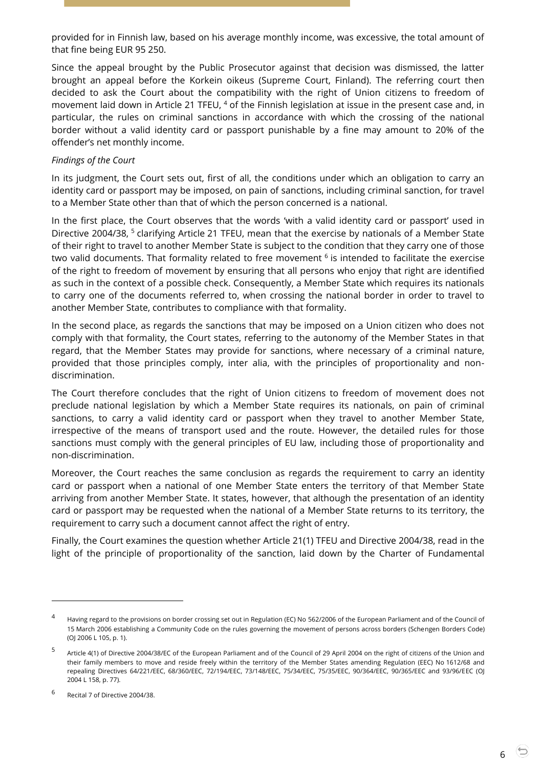provided for in Finnish law, based on his average monthly income, was excessive, the total amount of that fine being EUR 95 250.

Since the appeal brought by the Public Prosecutor against that decision was dismissed, the latter brought an appeal before the Korkein oikeus (Supreme Court, Finland). The referring court then decided to ask the Court about the compatibility with the right of Union citizens to freedom of movement laid down in Article 21 TFEU, <sup>4</sup> of the Finnish legislation at issue in the present case and, in particular, the rules on criminal sanctions in accordance with which the crossing of the national border without a valid identity card or passport punishable by a fine may amount to 20% of the offender's net monthly income.

### *Findings of the Court*

In its judgment, the Court sets out, first of all, the conditions under which an obligation to carry an identity card or passport may be imposed, on pain of sanctions, including criminal sanction, for travel to a Member State other than that of which the person concerned is a national.

In the first place, the Court observes that the words 'with a valid identity card or passport' used in Directive 2004/38,<sup>5</sup> clarifying Article 21 TFEU, mean that the exercise by nationals of a Member State of their right to travel to another Member State is subject to the condition that they carry one of those two valid documents. That formality related to free movement <sup>6</sup> is intended to facilitate the exercise of the right to freedom of movement by ensuring that all persons who enjoy that right are identified as such in the context of a possible check. Consequently, a Member State which requires its nationals to carry one of the documents referred to, when crossing the national border in order to travel to another Member State, contributes to compliance with that formality.

In the second place, as regards the sanctions that may be imposed on a Union citizen who does not comply with that formality, the Court states, referring to the autonomy of the Member States in that regard, that the Member States may provide for sanctions, where necessary of a criminal nature, provided that those principles comply, inter alia, with the principles of proportionality and nondiscrimination.

The Court therefore concludes that the right of Union citizens to freedom of movement does not preclude national legislation by which a Member State requires its nationals, on pain of criminal sanctions, to carry a valid identity card or passport when they travel to another Member State, irrespective of the means of transport used and the route. However, the detailed rules for those sanctions must comply with the general principles of EU law, including those of proportionality and non-discrimination.

Moreover, the Court reaches the same conclusion as regards the requirement to carry an identity card or passport when a national of one Member State enters the territory of that Member State arriving from another Member State. It states, however, that although the presentation of an identity card or passport may be requested when the national of a Member State returns to its territory, the requirement to carry such a document cannot affect the right of entry.

Finally, the Court examines the question whether Article 21(1) TFEU and Directive 2004/38, read in the light of the principle of proportionality of the sanction, laid down by the Charter of Fundamental

-

<sup>4</sup> Having regard to the provisions on border crossing set out in Regulation (EC) No 562/2006 of the European Parliament and of the Council of 15 March 2006 establishing a Community Code on the rules governing the movement of persons across borders (Schengen Borders Code) (OJ 2006 L 105, p. 1).

<sup>5</sup> Article 4(1) of Directive 2004/38/EC of the European Parliament and of the Council of 29 April 2004 on the right of citizens of the Union and their family members to move and reside freely within the territory of the Member States amending Regulation (EEC) No 1612/68 and repealing Directives 64/221/EEC, 68/360/EEC, 72/194/EEC, 73/148/EEC, 75/34/EEC, 75/35/EEC, 90/364/EEC, 90/365/EEC and 93/96/EEC (OJ 2004 L 158, p. 77).

<sup>6</sup> Recital 7 of Directive 2004/38.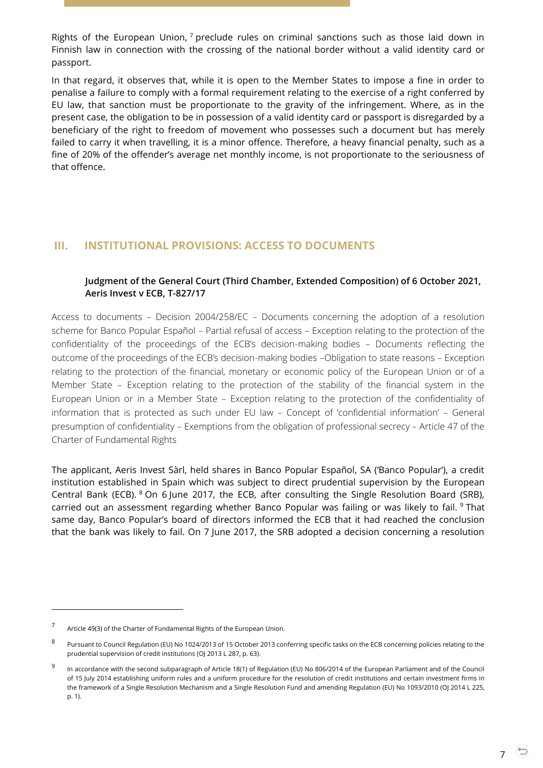Rights of the European Union,  $7$  preclude rules on criminal sanctions such as those laid down in Finnish law in connection with the crossing of the national border without a valid identity card or passport.

In that regard, it observes that, while it is open to the Member States to impose a fine in order to penalise a failure to comply with a formal requirement relating to the exercise of a right conferred by EU law, that sanction must be proportionate to the gravity of the infringement. Where, as in the present case, the obligation to be in possession of a valid identity card or passport is disregarded by a beneficiary of the right to freedom of movement who possesses such a document but has merely failed to carry it when travelling, it is a minor offence. Therefore, a heavy financial penalty, such as a fine of 20% of the offender's average net monthly income, is not proportionate to the seriousness of that offence.

# <span id="page-6-1"></span><span id="page-6-0"></span>**III. INSTITUTIONAL PROVISIONS: ACCESS TO DOCUMENTS**

### **Judgment of the General Court (Third Chamber, Extended Composition) of 6 October 2021, Aeris Invest v ECB, T-827/17**

Access to documents – Decision 2004/258/EC – Documents concerning the adoption of a resolution scheme for Banco Popular Español – Partial refusal of access – Exception relating to the protection of the confidentiality of the proceedings of the ECB's decision-making bodies – Documents reflecting the outcome of the proceedings of the ECB's decision-making bodies –Obligation to state reasons – Exception relating to the protection of the financial, monetary or economic policy of the European Union or of a Member State – Exception relating to the protection of the stability of the financial system in the European Union or in a Member State – Exception relating to the protection of the confidentiality of information that is protected as such under EU law – Concept of 'confidential information' – General presumption of confidentiality – Exemptions from the obligation of professional secrecy – Article 47 of the Charter of Fundamental Rights

The applicant, Aeris Invest Sàrl, held shares in Banco Popular Español, SA ('Banco Popular'), a credit institution established in Spain which was subject to direct prudential supervision by the European Central Bank (ECB). <sup>8</sup> On 6 June 2017, the ECB, after consulting the Single Resolution Board (SRB), carried out an assessment regarding whether Banco Popular was failing or was likely to fail. <sup>9</sup> That same day, Banco Popular's board of directors informed the ECB that it had reached the conclusion that the bank was likely to fail. On 7 June 2017, the SRB adopted a decision concerning a resolution

 $\overline{a}$ 

7

<sup>7</sup> Article 49(3) of the Charter of Fundamental Rights of the European Union.

<sup>8</sup> Pursuant to Council Regulation (EU) No 1024/2013 of 15 October 2013 conferring specific tasks on the ECB concerning policies relating to the prudential supervision of credit institutions (OJ 2013 L 287, p. 63).

<sup>9</sup> In accordance with the second subparagraph of Article 18(1) of Regulation (EU) No 806/2014 of the European Parliament and of the Council of 15 July 2014 establishing uniform rules and a uniform procedure for the resolution of credit institutions and certain investment firms in the framework of a Single Resolution Mechanism and a Single Resolution Fund and amending Regulation (EU) No 1093/2010 (OJ 2014 L 225, p. 1).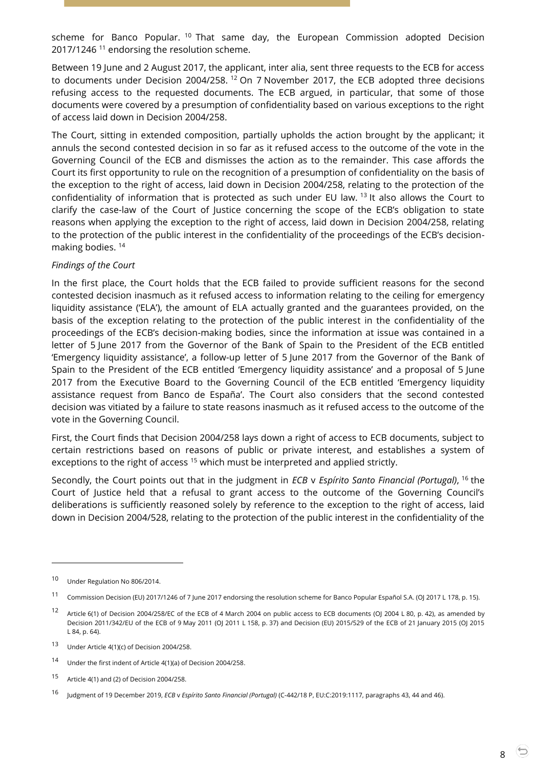scheme for Banco Popular. <sup>10</sup> That same day, the European Commission adopted Decision 2017/1246<sup>11</sup> endorsing the resolution scheme.

Between 19 June and 2 August 2017, the applicant, inter alia, sent three requests to the ECB for access to documents under Decision 2004/258. <sup>12</sup> On 7 November 2017, the ECB adopted three decisions refusing access to the requested documents. The ECB argued, in particular, that some of those documents were covered by a presumption of confidentiality based on various exceptions to the right of access laid down in Decision 2004/258.

The Court, sitting in extended composition, partially upholds the action brought by the applicant; it annuls the second contested decision in so far as it refused access to the outcome of the vote in the Governing Council of the ECB and dismisses the action as to the remainder. This case affords the Court its first opportunity to rule on the recognition of a presumption of confidentiality on the basis of the exception to the right of access, laid down in Decision 2004/258, relating to the protection of the confidentiality of information that is protected as such under EU law. <sup>13</sup> It also allows the Court to clarify the case-law of the Court of Justice concerning the scope of the ECB's obligation to state reasons when applying the exception to the right of access, laid down in Decision 2004/258, relating to the protection of the public interest in the confidentiality of the proceedings of the ECB's decisionmaking bodies. <sup>14</sup>

### *Findings of the Court*

In the first place, the Court holds that the ECB failed to provide sufficient reasons for the second contested decision inasmuch as it refused access to information relating to the ceiling for emergency liquidity assistance ('ELA'), the amount of ELA actually granted and the guarantees provided, on the basis of the exception relating to the protection of the public interest in the confidentiality of the proceedings of the ECB's decision-making bodies, since the information at issue was contained in a letter of 5 June 2017 from the Governor of the Bank of Spain to the President of the ECB entitled 'Emergency liquidity assistance', a follow-up letter of 5 June 2017 from the Governor of the Bank of Spain to the President of the ECB entitled 'Emergency liquidity assistance' and a proposal of 5 June 2017 from the Executive Board to the Governing Council of the ECB entitled 'Emergency liquidity assistance request from Banco de España'. The Court also considers that the second contested decision was vitiated by a failure to state reasons inasmuch as it refused access to the outcome of the vote in the Governing Council.

First, the Court finds that Decision 2004/258 lays down a right of access to ECB documents, subject to certain restrictions based on reasons of public or private interest, and establishes a system of exceptions to the right of access<sup>15</sup> which must be interpreted and applied strictly.

Secondly, the Court points out that in the judgment in *ECB* v *Espírito Santo Financial (Portugal)*, <sup>16</sup> the Court of Justice held that a refusal to grant access to the outcome of the Governing Council's deliberations is sufficiently reasoned solely by reference to the exception to the right of access, laid down in Decision 2004/528, relating to the protection of the public interest in the confidentiality of the

<sup>10</sup> Under Regulation No 806/2014.

<sup>&</sup>lt;sup>11</sup> Commission Decision (EU) 2017/1246 of 7 June 2017 endorsing the resolution scheme for Banco Popular Español S.A. (OJ 2017 L 178, p. 15).

<sup>12</sup> Article 6(1) of Decision 2004/258/EC of the ECB of 4 March 2004 on public access to ECB documents (OJ 2004 L 80, p. 42), as amended by Decision 2011/342/EU of the ECB of 9 May 2011 (OJ 2011 L 158, p. 37) and Decision (EU) 2015/529 of the ECB of 21 January 2015 (OJ 2015 L 84, p. 64).

<sup>13</sup> Under Article 4(1)(c) of Decision 2004/258.

<sup>14</sup> Under the first indent of Article 4(1)(a) of Decision 2004/258.

<sup>15</sup> Article 4(1) and (2) of Decision 2004/258.

<sup>16</sup> Judgment of 19 December 2019, *ECB* <sup>v</sup>*Espírito Santo Financial (Portugal)* (C-442/18 P, EU:C:2019:1117, paragraphs 43, 44 and 46).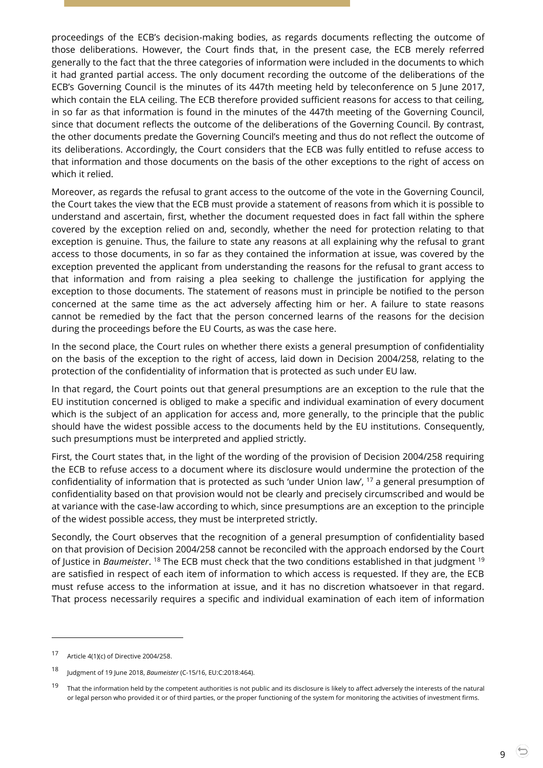proceedings of the ECB's decision-making bodies, as regards documents reflecting the outcome of those deliberations. However, the Court finds that, in the present case, the ECB merely referred generally to the fact that the three categories of information were included in the documents to which it had granted partial access. The only document recording the outcome of the deliberations of the ECB's Governing Council is the minutes of its 447th meeting held by teleconference on 5 June 2017, which contain the ELA ceiling. The ECB therefore provided sufficient reasons for access to that ceiling, in so far as that information is found in the minutes of the 447th meeting of the Governing Council, since that document reflects the outcome of the deliberations of the Governing Council. By contrast, the other documents predate the Governing Council's meeting and thus do not reflect the outcome of its deliberations. Accordingly, the Court considers that the ECB was fully entitled to refuse access to that information and those documents on the basis of the other exceptions to the right of access on which it relied.

Moreover, as regards the refusal to grant access to the outcome of the vote in the Governing Council, the Court takes the view that the ECB must provide a statement of reasons from which it is possible to understand and ascertain, first, whether the document requested does in fact fall within the sphere covered by the exception relied on and, secondly, whether the need for protection relating to that exception is genuine. Thus, the failure to state any reasons at all explaining why the refusal to grant access to those documents, in so far as they contained the information at issue, was covered by the exception prevented the applicant from understanding the reasons for the refusal to grant access to that information and from raising a plea seeking to challenge the justification for applying the exception to those documents. The statement of reasons must in principle be notified to the person concerned at the same time as the act adversely affecting him or her. A failure to state reasons cannot be remedied by the fact that the person concerned learns of the reasons for the decision during the proceedings before the EU Courts, as was the case here.

In the second place, the Court rules on whether there exists a general presumption of confidentiality on the basis of the exception to the right of access, laid down in Decision 2004/258, relating to the protection of the confidentiality of information that is protected as such under EU law.

In that regard, the Court points out that general presumptions are an exception to the rule that the EU institution concerned is obliged to make a specific and individual examination of every document which is the subject of an application for access and, more generally, to the principle that the public should have the widest possible access to the documents held by the EU institutions. Consequently, such presumptions must be interpreted and applied strictly.

First, the Court states that, in the light of the wording of the provision of Decision 2004/258 requiring the ECB to refuse access to a document where its disclosure would undermine the protection of the confidentiality of information that is protected as such 'under Union law', <sup>17</sup> a general presumption of confidentiality based on that provision would not be clearly and precisely circumscribed and would be at variance with the case-law according to which, since presumptions are an exception to the principle of the widest possible access, they must be interpreted strictly.

Secondly, the Court observes that the recognition of a general presumption of confidentiality based on that provision of Decision 2004/258 cannot be reconciled with the approach endorsed by the Court of Justice in *Baumeister*. <sup>18</sup> The ECB must check that the two conditions established in that judgment <sup>19</sup> are satisfied in respect of each item of information to which access is requested. If they are, the ECB must refuse access to the information at issue, and it has no discretion whatsoever in that regard. That process necessarily requires a specific and individual examination of each item of information

<sup>17</sup> Article 4(1)(c) of Directive 2004/258.

<sup>18</sup> Judgment of 19 June 2018, *Baumeister* (C-15/16, EU:C:2018:464).

That the information held by the competent authorities is not public and its disclosure is likely to affect adversely the interests of the natural or legal person who provided it or of third parties, or the proper functioning of the system for monitoring the activities of investment firms.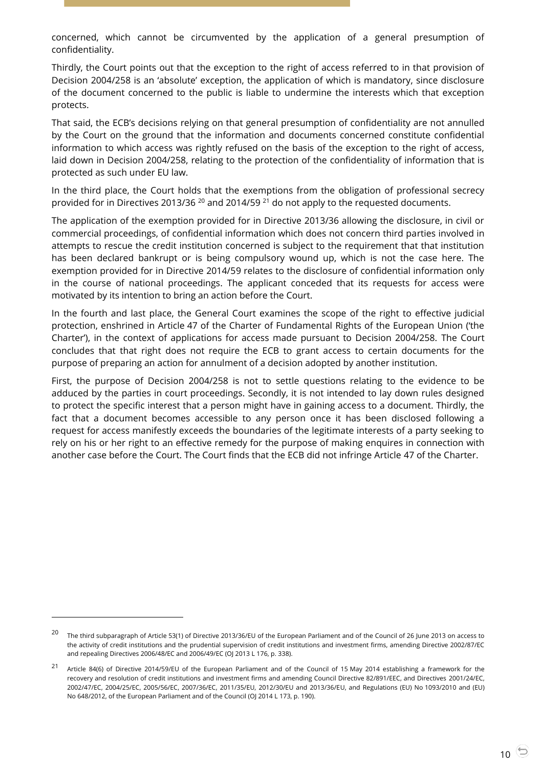concerned, which cannot be circumvented by the application of a general presumption of confidentiality.

Thirdly, the Court points out that the exception to the right of access referred to in that provision of Decision 2004/258 is an 'absolute' exception, the application of which is mandatory, since disclosure of the document concerned to the public is liable to undermine the interests which that exception protects.

That said, the ECB's decisions relying on that general presumption of confidentiality are not annulled by the Court on the ground that the information and documents concerned constitute confidential information to which access was rightly refused on the basis of the exception to the right of access, laid down in Decision 2004/258, relating to the protection of the confidentiality of information that is protected as such under EU law.

In the third place, the Court holds that the exemptions from the obligation of professional secrecy provided for in Directives 2013/36<sup>20</sup> and 2014/59<sup>21</sup> do not apply to the requested documents.

The application of the exemption provided for in Directive 2013/36 allowing the disclosure, in civil or commercial proceedings, of confidential information which does not concern third parties involved in attempts to rescue the credit institution concerned is subject to the requirement that that institution has been declared bankrupt or is being compulsory wound up, which is not the case here. The exemption provided for in Directive 2014/59 relates to the disclosure of confidential information only in the course of national proceedings. The applicant conceded that its requests for access were motivated by its intention to bring an action before the Court.

In the fourth and last place, the General Court examines the scope of the right to effective judicial protection, enshrined in Article 47 of the Charter of Fundamental Rights of the European Union ('the Charter'), in the context of applications for access made pursuant to Decision 2004/258. The Court concludes that that right does not require the ECB to grant access to certain documents for the purpose of preparing an action for annulment of a decision adopted by another institution.

First, the purpose of Decision 2004/258 is not to settle questions relating to the evidence to be adduced by the parties in court proceedings. Secondly, it is not intended to lay down rules designed to protect the specific interest that a person might have in gaining access to a document. Thirdly, the fact that a document becomes accessible to any person once it has been disclosed following a request for access manifestly exceeds the boundaries of the legitimate interests of a party seeking to rely on his or her right to an effective remedy for the purpose of making enquires in connection with another case before the Court. The Court finds that the ECB did not infringe Article 47 of the Charter.

-

<sup>20</sup> The third subparagraph of Article 53(1) of Directive 2013/36/EU of the European Parliament and of the Council of 26 June 2013 on access to the activity of credit institutions and the prudential supervision of credit institutions and investment firms, amending Directive 2002/87/EC and repealing Directives 2006/48/EC and 2006/49/EC (OJ 2013 L 176, p. 338).

<sup>21</sup> Article 84(6) of Directive 2014/59/EU of the European Parliament and of the Council of 15 May 2014 establishing a framework for the recovery and resolution of credit institutions and investment firms and amending Council Directive 82/891/EEC, and Directives 2001/24/EC, 2002/47/EC, 2004/25/EC, 2005/56/EC, 2007/36/EC, 2011/35/EU, 2012/30/EU and 2013/36/EU, and Regulations (EU) No 1093/2010 and (EU) No 648/2012, of the European Parliament and of the Council (OJ 2014 L 173, p. 190).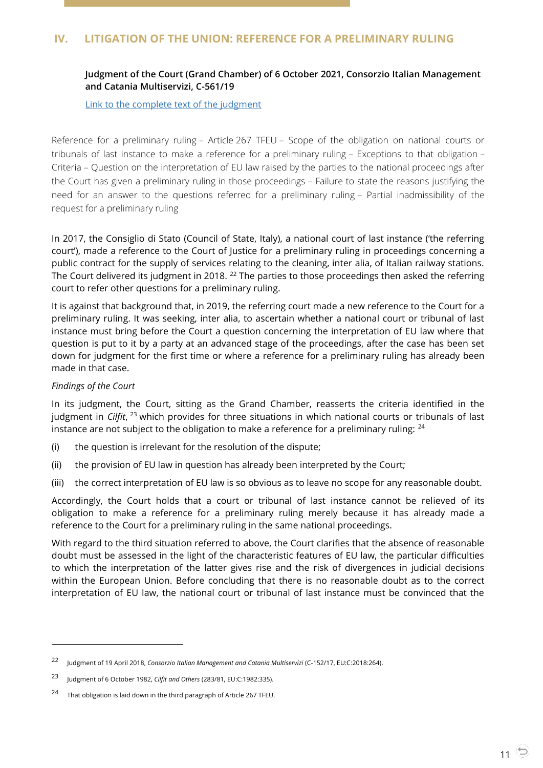# <span id="page-10-1"></span><span id="page-10-0"></span>**Judgment of the Court (Grand Chamber) of 6 October 2021, Consorzio Italian Management and Catania Multiservizi, C-561/19**

[Link to the complete text of the judgment](https://curia.europa.eu/juris/document/document.jsf?text=&docid=247052&pageIndex=0&doclang=EN&mode=lst&dir=&occ=first&part=1&cid=38972611)

Reference for a preliminary ruling – Article 267 TFEU – Scope of the obligation on national courts or tribunals of last instance to make a reference for a preliminary ruling – Exceptions to that obligation – Criteria – Question on the interpretation of EU law raised by the parties to the national proceedings after the Court has given a preliminary ruling in those proceedings – Failure to state the reasons justifying the need for an answer to the questions referred for a preliminary ruling – Partial inadmissibility of the request for a preliminary ruling

In 2017, the Consiglio di Stato (Council of State, Italy), a national court of last instance ('the referring court'), made a reference to the Court of Justice for a preliminary ruling in proceedings concerning a public contract for the supply of services relating to the cleaning, inter alia, of Italian railway stations. The Court delivered its judgment in 2018. <sup>22</sup> The parties to those proceedings then asked the referring court to refer other questions for a preliminary ruling.

It is against that background that, in 2019, the referring court made a new reference to the Court for a preliminary ruling. It was seeking, inter alia, to ascertain whether a national court or tribunal of last instance must bring before the Court a question concerning the interpretation of EU law where that question is put to it by a party at an advanced stage of the proceedings, after the case has been set down for judgment for the first time or where a reference for a preliminary ruling has already been made in that case.

### *Findings of the Court*

 $\overline{a}$ 

In its judgment, the Court, sitting as the Grand Chamber, reasserts the criteria identified in the judgment in *Cilfit*, <sup>23</sup> which provides for three situations in which national courts or tribunals of last instance are not subject to the obligation to make a reference for a preliminary ruling:  $24$ 

- (i) the question is irrelevant for the resolution of the dispute;
- (ii) the provision of EU law in question has already been interpreted by the Court;
- (iii) the correct interpretation of EU law is so obvious as to leave no scope for any reasonable doubt.

Accordingly, the Court holds that a court or tribunal of last instance cannot be relieved of its obligation to make a reference for a preliminary ruling merely because it has already made a reference to the Court for a preliminary ruling in the same national proceedings.

With regard to the third situation referred to above, the Court clarifies that the absence of reasonable doubt must be assessed in the light of the characteristic features of EU law, the particular difficulties to which the interpretation of the latter gives rise and the risk of divergences in judicial decisions within the European Union. Before concluding that there is no reasonable doubt as to the correct interpretation of EU law, the national court or tribunal of last instance must be convinced that the

<sup>22</sup> Judgment of 19 April 2018, *Consorzio Italian Management and Catania Multiservizi* (C-152/17, EU:C:2018:264).

<sup>23</sup> Judgment of 6 October 1982, *Cilfit and Others* (283/81, EU:C:1982:335).

<sup>24</sup> That obligation is laid down in the third paragraph of Article 267 TFEU.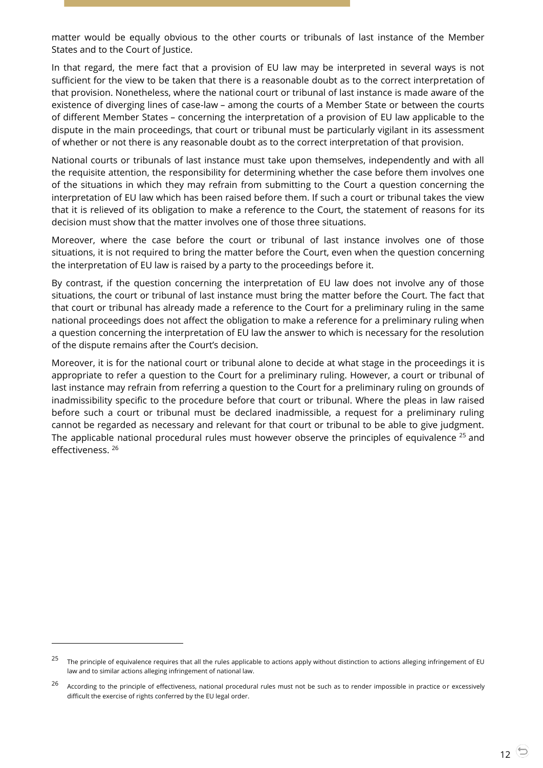matter would be equally obvious to the other courts or tribunals of last instance of the Member States and to the Court of Justice.

In that regard, the mere fact that a provision of EU law may be interpreted in several ways is not sufficient for the view to be taken that there is a reasonable doubt as to the correct interpretation of that provision. Nonetheless, where the national court or tribunal of last instance is made aware of the existence of diverging lines of case-law – among the courts of a Member State or between the courts of different Member States – concerning the interpretation of a provision of EU law applicable to the dispute in the main proceedings, that court or tribunal must be particularly vigilant in its assessment of whether or not there is any reasonable doubt as to the correct interpretation of that provision.

National courts or tribunals of last instance must take upon themselves, independently and with all the requisite attention, the responsibility for determining whether the case before them involves one of the situations in which they may refrain from submitting to the Court a question concerning the interpretation of EU law which has been raised before them. If such a court or tribunal takes the view that it is relieved of its obligation to make a reference to the Court, the statement of reasons for its decision must show that the matter involves one of those three situations.

Moreover, where the case before the court or tribunal of last instance involves one of those situations, it is not required to bring the matter before the Court, even when the question concerning the interpretation of EU law is raised by a party to the proceedings before it.

By contrast, if the question concerning the interpretation of EU law does not involve any of those situations, the court or tribunal of last instance must bring the matter before the Court. The fact that that court or tribunal has already made a reference to the Court for a preliminary ruling in the same national proceedings does not affect the obligation to make a reference for a preliminary ruling when a question concerning the interpretation of EU law the answer to which is necessary for the resolution of the dispute remains after the Court's decision.

Moreover, it is for the national court or tribunal alone to decide at what stage in the proceedings it is appropriate to refer a question to the Court for a preliminary ruling. However, a court or tribunal of last instance may refrain from referring a question to the Court for a preliminary ruling on grounds of inadmissibility specific to the procedure before that court or tribunal. Where the pleas in law raised before such a court or tribunal must be declared inadmissible, a request for a preliminary ruling cannot be regarded as necessary and relevant for that court or tribunal to be able to give judgment. The applicable national procedural rules must however observe the principles of equivalence <sup>25</sup> and effectiveness. <sup>26</sup>

 $25$  The principle of equivalence requires that all the rules applicable to actions apply without distinction to actions alleging infringement of EU law and to similar actions alleging infringement of national law.

 $26$  According to the principle of effectiveness, national procedural rules must not be such as to render impossible in practice or excessively difficult the exercise of rights conferred by the EU legal order.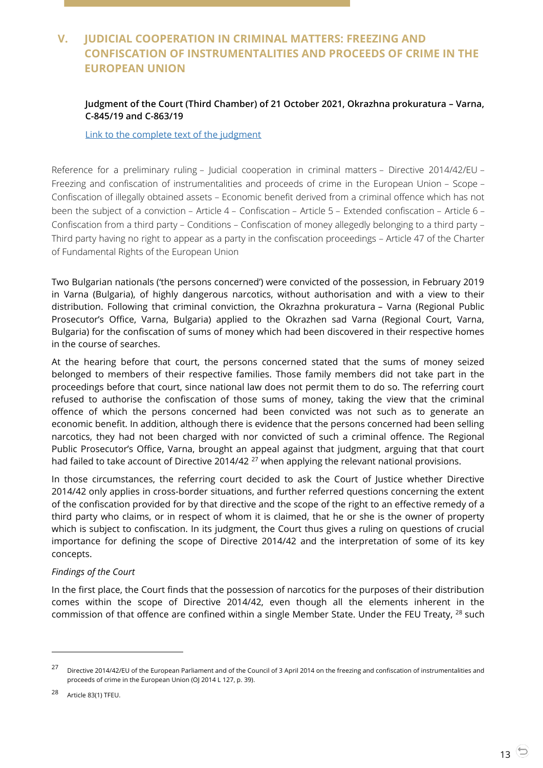# <span id="page-12-0"></span>**V. JUDICIAL COOPERATION IN CRIMINAL MATTERS: FREEZING AND CONFISCATION OF INSTRUMENTALITIES AND PROCEEDS OF CRIME IN THE EUROPEAN UNION**

# <span id="page-12-1"></span>**Judgment of the Court (Third Chamber) of 21 October 2021, Okrazhna prokuratura – Varna, C-845/19 and C-863/19**

[Link to the complete text of the judgment](https://curia.europa.eu/juris/document/document.jsf?text=&docid=247864&pageIndex=0&doclang=EN&mode=lst&dir=&occ=first&part=1&cid=38977195)

Reference for a preliminary ruling – Judicial cooperation in criminal matters – Directive 2014/42/EU – Freezing and confiscation of instrumentalities and proceeds of crime in the European Union – Scope – Confiscation of illegally obtained assets – Economic benefit derived from a criminal offence which has not been the subject of a conviction – Article 4 – Confiscation – Article 5 – Extended confiscation – Article 6 – Confiscation from a third party – Conditions – Confiscation of money allegedly belonging to a third party – Third party having no right to appear as a party in the confiscation proceedings – Article 47 of the Charter of Fundamental Rights of the European Union

Two Bulgarian nationals ('the persons concerned') were convicted of the possession, in February 2019 in Varna (Bulgaria), of highly dangerous narcotics, without authorisation and with a view to their distribution. Following that criminal conviction, the Okrazhna prokuratura – Varna (Regional Public Prosecutor's Office, Varna, Bulgaria) applied to the Okrazhen sad Varna (Regional Court, Varna, Bulgaria) for the confiscation of sums of money which had been discovered in their respective homes in the course of searches.

At the hearing before that court, the persons concerned stated that the sums of money seized belonged to members of their respective families. Those family members did not take part in the proceedings before that court, since national law does not permit them to do so. The referring court refused to authorise the confiscation of those sums of money, taking the view that the criminal offence of which the persons concerned had been convicted was not such as to generate an economic benefit. In addition, although there is evidence that the persons concerned had been selling narcotics, they had not been charged with nor convicted of such a criminal offence. The Regional Public Prosecutor's Office, Varna, brought an appeal against that judgment, arguing that that court had failed to take account of Directive 2014/42<sup>27</sup> when applying the relevant national provisions.

In those circumstances, the referring court decided to ask the Court of Justice whether Directive 2014/42 only applies in cross-border situations, and further referred questions concerning the extent of the confiscation provided for by that directive and the scope of the right to an effective remedy of a third party who claims, or in respect of whom it is claimed, that he or she is the owner of property which is subject to confiscation. In its judgment, the Court thus gives a ruling on questions of crucial importance for defining the scope of Directive 2014/42 and the interpretation of some of its key concepts.

### *Findings of the Court*

In the first place, the Court finds that the possession of narcotics for the purposes of their distribution comes within the scope of Directive 2014/42, even though all the elements inherent in the commission of that offence are confined within a single Member State. Under the FEU Treaty, <sup>28</sup> such

<sup>27</sup> Directive 2014/42/EU of the European Parliament and of the Council of 3 April 2014 on the freezing and confiscation of instrumentalities and proceeds of crime in the European Union (OJ 2014 L 127, p. 39).

<sup>28</sup> Article 83(1) TFEU.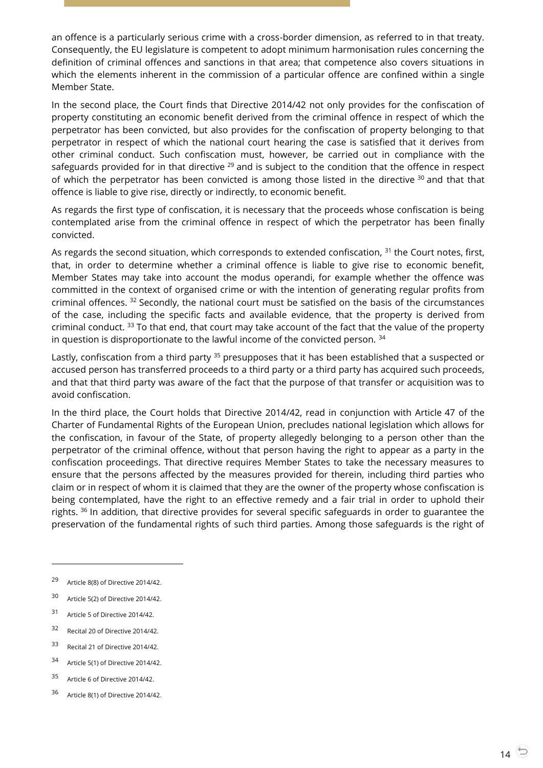an offence is a particularly serious crime with a cross-border dimension, as referred to in that treaty. Consequently, the EU legislature is competent to adopt minimum harmonisation rules concerning the definition of criminal offences and sanctions in that area; that competence also covers situations in which the elements inherent in the commission of a particular offence are confined within a single Member State.

In the second place, the Court finds that Directive 2014/42 not only provides for the confiscation of property constituting an economic benefit derived from the criminal offence in respect of which the perpetrator has been convicted, but also provides for the confiscation of property belonging to that perpetrator in respect of which the national court hearing the case is satisfied that it derives from other criminal conduct. Such confiscation must, however, be carried out in compliance with the safeguards provided for in that directive  $^{29}$  and is subject to the condition that the offence in respect of which the perpetrator has been convicted is among those listed in the directive  $30$  and that that offence is liable to give rise, directly or indirectly, to economic benefit.

As regards the first type of confiscation, it is necessary that the proceeds whose confiscation is being contemplated arise from the criminal offence in respect of which the perpetrator has been finally convicted.

As regards the second situation, which corresponds to extended confiscation, <sup>31</sup> the Court notes, first, that, in order to determine whether a criminal offence is liable to give rise to economic benefit, Member States may take into account the modus operandi, for example whether the offence was committed in the context of organised crime or with the intention of generating regular profits from criminal offences. <sup>32</sup> Secondly, the national court must be satisfied on the basis of the circumstances of the case, including the specific facts and available evidence, that the property is derived from criminal conduct. <sup>33</sup> To that end, that court may take account of the fact that the value of the property in question is disproportionate to the lawful income of the convicted person.  $34$ 

Lastly, confiscation from a third party <sup>35</sup> presupposes that it has been established that a suspected or accused person has transferred proceeds to a third party or a third party has acquired such proceeds, and that that third party was aware of the fact that the purpose of that transfer or acquisition was to avoid confiscation.

In the third place, the Court holds that Directive 2014/42, read in conjunction with Article 47 of the Charter of Fundamental Rights of the European Union, precludes national legislation which allows for the confiscation, in favour of the State, of property allegedly belonging to a person other than the perpetrator of the criminal offence, without that person having the right to appear as a party in the confiscation proceedings. That directive requires Member States to take the necessary measures to ensure that the persons affected by the measures provided for therein, including third parties who claim or in respect of whom it is claimed that they are the owner of the property whose confiscation is being contemplated, have the right to an effective remedy and a fair trial in order to uphold their rights. <sup>36</sup> In addition, that directive provides for several specific safeguards in order to guarantee the preservation of the fundamental rights of such third parties. Among those safeguards is the right of

- <sup>31</sup> Article 5 of Directive 2014/42.
- <sup>32</sup> Recital 20 of Directive 2014/42.
- <sup>33</sup> Recital 21 of Directive 2014/42.
- <sup>34</sup> Article 5(1) of Directive 2014/42.
- <sup>35</sup> Article 6 of Directive 2014/42.
- <sup>36</sup> Article 8(1) of Directive 2014/42.

<sup>29</sup> Article 8(8) of Directive 2014/42.

<sup>30</sup> Article 5(2) of Directive 2014/42.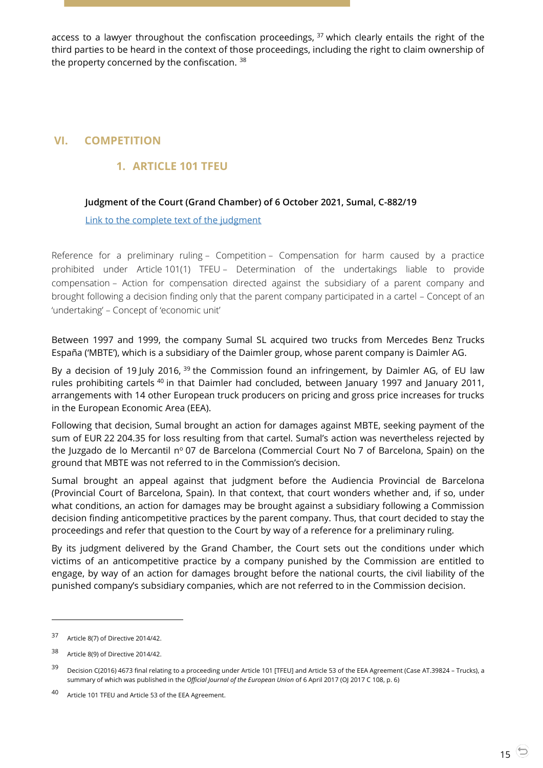access to a lawyer throughout the confiscation proceedings,  $37$  which clearly entails the right of the third parties to be heard in the context of those proceedings, including the right to claim ownership of the property concerned by the confiscation. 38

# <span id="page-14-2"></span><span id="page-14-1"></span><span id="page-14-0"></span>**VI. COMPETITION**

# **1. ARTICLE 101 TFEU**

# **Judgment of the Court (Grand Chamber) of 6 October 2021, Sumal, C-882/19**

[Link to the complete text of the judgment](https://curia.europa.eu/juris/document/document.jsf?text=&docid=247055&pageIndex=0&doclang=EN&mode=lst&dir=&occ=first&part=1&cid=38985408)

Reference for a preliminary ruling – Competition – Compensation for harm caused by a practice prohibited under Article 101(1) TFEU – Determination of the undertakings liable to provide compensation – Action for compensation directed against the subsidiary of a parent company and brought following a decision finding only that the parent company participated in a cartel – Concept of an 'undertaking' – Concept of 'economic unit'

Between 1997 and 1999, the company Sumal SL acquired two trucks from Mercedes Benz Trucks España ('MBTE'), which is a subsidiary of the Daimler group, whose parent company is Daimler AG.

By a decision of 19 July 2016, <sup>39</sup> the Commission found an infringement, by Daimler AG, of EU law rules prohibiting cartels <sup>40</sup> in that Daimler had concluded, between January 1997 and January 2011, arrangements with 14 other European truck producers on pricing and gross price increases for trucks in the European Economic Area (EEA).

Following that decision, Sumal brought an action for damages against MBTE, seeking payment of the sum of EUR 22 204.35 for loss resulting from that cartel. Sumal's action was nevertheless rejected by the Juzgado de lo Mercantil nº 07 de Barcelona (Commercial Court No 7 of Barcelona, Spain) on the ground that MBTE was not referred to in the Commission's decision.

Sumal brought an appeal against that judgment before the Audiencia Provincial de Barcelona (Provincial Court of Barcelona, Spain). In that context, that court wonders whether and, if so, under what conditions, an action for damages may be brought against a subsidiary following a Commission decision finding anticompetitive practices by the parent company. Thus, that court decided to stay the proceedings and refer that question to the Court by way of a reference for a preliminary ruling.

By its judgment delivered by the Grand Chamber, the Court sets out the conditions under which victims of an anticompetitive practice by a company punished by the Commission are entitled to engage, by way of an action for damages brought before the national courts, the civil liability of the punished company's subsidiary companies, which are not referred to in the Commission decision.

<sup>37</sup> Article 8(7) of Directive 2014/42.

<sup>38</sup> Article 8(9) of Directive 2014/42.

<sup>&</sup>lt;sup>39</sup> Decision C(2016) 4673 final relating to a proceeding under Article 101 [TFEU] and Article 53 of the EEA Agreement (Case AT.39824 – Trucks), a summary of which was published in the *Official Journal of the European Union* of 6 April 2017 (OJ 2017 C 108, p. 6)

<sup>40</sup> Article 101 TFEU and Article 53 of the EEA Agreement.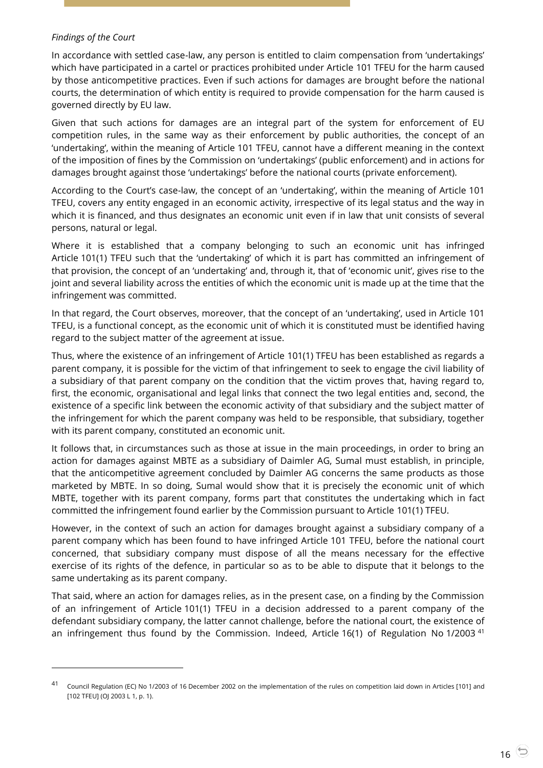### *Findings of the Court*

-

In accordance with settled case-law, any person is entitled to claim compensation from 'undertakings' which have participated in a cartel or practices prohibited under Article 101 TFEU for the harm caused by those anticompetitive practices. Even if such actions for damages are brought before the national courts, the determination of which entity is required to provide compensation for the harm caused is governed directly by EU law.

Given that such actions for damages are an integral part of the system for enforcement of EU competition rules, in the same way as their enforcement by public authorities, the concept of an 'undertaking', within the meaning of Article 101 TFEU, cannot have a different meaning in the context of the imposition of fines by the Commission on 'undertakings' (public enforcement) and in actions for damages brought against those 'undertakings' before the national courts (private enforcement).

According to the Court's case-law, the concept of an 'undertaking', within the meaning of Article 101 TFEU, covers any entity engaged in an economic activity, irrespective of its legal status and the way in which it is financed, and thus designates an economic unit even if in law that unit consists of several persons, natural or legal.

Where it is established that a company belonging to such an economic unit has infringed Article 101(1) TFEU such that the 'undertaking' of which it is part has committed an infringement of that provision, the concept of an 'undertaking' and, through it, that of 'economic unit', gives rise to the joint and several liability across the entities of which the economic unit is made up at the time that the infringement was committed.

In that regard, the Court observes, moreover, that the concept of an 'undertaking', used in Article 101 TFEU, is a functional concept, as the economic unit of which it is constituted must be identified having regard to the subject matter of the agreement at issue.

Thus, where the existence of an infringement of Article 101(1) TFEU has been established as regards a parent company, it is possible for the victim of that infringement to seek to engage the civil liability of a subsidiary of that parent company on the condition that the victim proves that, having regard to, first, the economic, organisational and legal links that connect the two legal entities and, second, the existence of a specific link between the economic activity of that subsidiary and the subject matter of the infringement for which the parent company was held to be responsible, that subsidiary, together with its parent company, constituted an economic unit.

It follows that, in circumstances such as those at issue in the main proceedings, in order to bring an action for damages against MBTE as a subsidiary of Daimler AG, Sumal must establish, in principle, that the anticompetitive agreement concluded by Daimler AG concerns the same products as those marketed by MBTE. In so doing, Sumal would show that it is precisely the economic unit of which MBTE, together with its parent company, forms part that constitutes the undertaking which in fact committed the infringement found earlier by the Commission pursuant to Article 101(1) TFEU.

However, in the context of such an action for damages brought against a subsidiary company of a parent company which has been found to have infringed Article 101 TFEU, before the national court concerned, that subsidiary company must dispose of all the means necessary for the effective exercise of its rights of the defence, in particular so as to be able to dispute that it belongs to the same undertaking as its parent company.

That said, where an action for damages relies, as in the present case, on a finding by the Commission of an infringement of Article 101(1) TFEU in a decision addressed to a parent company of the defendant subsidiary company, the latter cannot challenge, before the national court, the existence of an infringement thus found by the Commission. Indeed, Article 16(1) of Regulation No 1/2003<sup>41</sup>

<sup>41</sup> Council Regulation (EC) No 1/2003 of 16 December 2002 on the implementation of the rules on competition laid down in Articles [101] and [102 TFEU] (OJ 2003 L 1, p. 1).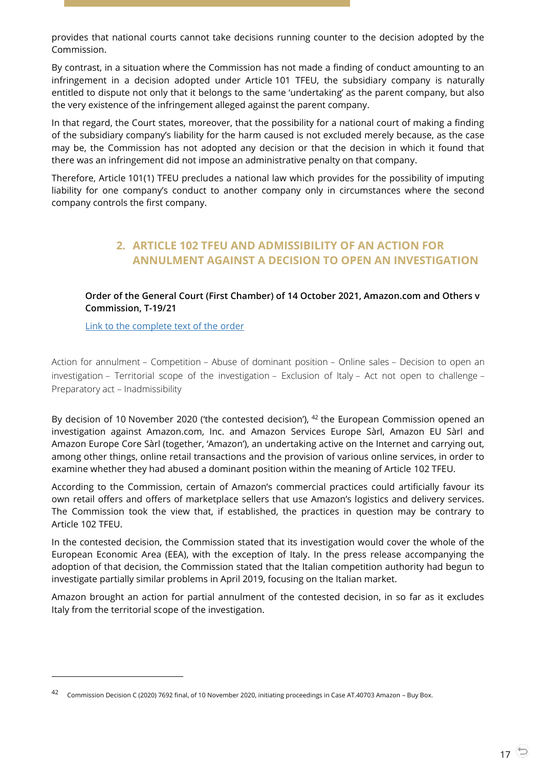provides that national courts cannot take decisions running counter to the decision adopted by the Commission.

By contrast, in a situation where the Commission has not made a finding of conduct amounting to an infringement in a decision adopted under Article 101 TFEU, the subsidiary company is naturally entitled to dispute not only that it belongs to the same 'undertaking' as the parent company, but also the very existence of the infringement alleged against the parent company.

In that regard, the Court states, moreover, that the possibility for a national court of making a finding of the subsidiary company's liability for the harm caused is not excluded merely because, as the case may be, the Commission has not adopted any decision or that the decision in which it found that there was an infringement did not impose an administrative penalty on that company.

<span id="page-16-0"></span>Therefore, Article 101(1) TFEU precludes a national law which provides for the possibility of imputing liability for one company's conduct to another company only in circumstances where the second company controls the first company.

# **2. ARTICLE 102 TFEU AND ADMISSIBILITY OF AN ACTION FOR ANNULMENT AGAINST A DECISION TO OPEN AN INVESTIGATION**

### <span id="page-16-1"></span>**Order of the General Court (First Chamber) of 14 October 2021, Amazon.com and Others v Commission, T-19/21**

[Link to the complete text of the order](https://curia.europa.eu/juris/document/document.jsf?text=&docid=247941&pageIndex=0&doclang=EN&mode=lst&dir=&occ=first&part=1&cid=38988905)

 $\overline{a}$ 

Action for annulment – Competition – Abuse of dominant position – Online sales – Decision to open an investigation – Territorial scope of the investigation – Exclusion of Italy – Act not open to challenge – Preparatory act – Inadmissibility

By decision of 10 November 2020 ('the contested decision'),  $42$  the European Commission opened an investigation against Amazon.com, Inc. and Amazon Services Europe Sàrl, Amazon EU Sàrl and Amazon Europe Core Sàrl (together, 'Amazon'), an undertaking active on the Internet and carrying out, among other things, online retail transactions and the provision of various online services, in order to examine whether they had abused a dominant position within the meaning of Article 102 TFEU.

According to the Commission, certain of Amazon's commercial practices could artificially favour its own retail offers and offers of marketplace sellers that use Amazon's logistics and delivery services. The Commission took the view that, if established, the practices in question may be contrary to Article 102 TFEU.

In the contested decision, the Commission stated that its investigation would cover the whole of the European Economic Area (EEA), with the exception of Italy. In the press release accompanying the adoption of that decision, the Commission stated that the Italian competition authority had begun to investigate partially similar problems in April 2019, focusing on the Italian market.

Amazon brought an action for partial annulment of the contested decision, in so far as it excludes Italy from the territorial scope of the investigation.

<sup>42</sup> Commission Decision C (2020) 7692 final, of 10 November 2020, initiating proceedings in Case AT.40703 Amazon – Buy Box.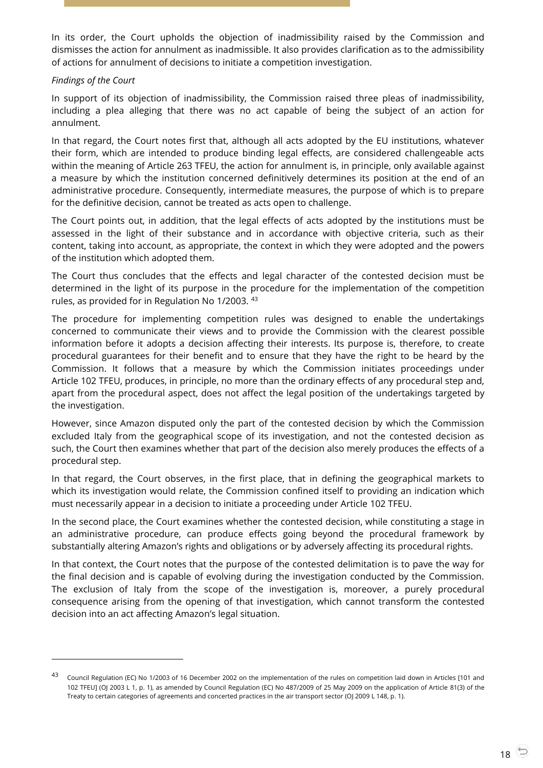In its order, the Court upholds the objection of inadmissibility raised by the Commission and dismisses the action for annulment as inadmissible. It also provides clarification as to the admissibility of actions for annulment of decisions to initiate a competition investigation.

#### *Findings of the Court*

 $\overline{a}$ 

In support of its objection of inadmissibility, the Commission raised three pleas of inadmissibility, including a plea alleging that there was no act capable of being the subject of an action for annulment.

In that regard, the Court notes first that, although all acts adopted by the EU institutions, whatever their form, which are intended to produce binding legal effects, are considered challengeable acts within the meaning of Article 263 TFEU, the action for annulment is, in principle, only available against a measure by which the institution concerned definitively determines its position at the end of an administrative procedure. Consequently, intermediate measures, the purpose of which is to prepare for the definitive decision, cannot be treated as acts open to challenge.

The Court points out, in addition, that the legal effects of acts adopted by the institutions must be assessed in the light of their substance and in accordance with objective criteria, such as their content, taking into account, as appropriate, the context in which they were adopted and the powers of the institution which adopted them.

The Court thus concludes that the effects and legal character of the contested decision must be determined in the light of its purpose in the procedure for the implementation of the competition rules, as provided for in Regulation No 1/2003. <sup>43</sup>

The procedure for implementing competition rules was designed to enable the undertakings concerned to communicate their views and to provide the Commission with the clearest possible information before it adopts a decision affecting their interests. Its purpose is, therefore, to create procedural guarantees for their benefit and to ensure that they have the right to be heard by the Commission. It follows that a measure by which the Commission initiates proceedings under Article 102 TFEU, produces, in principle, no more than the ordinary effects of any procedural step and, apart from the procedural aspect, does not affect the legal position of the undertakings targeted by the investigation.

However, since Amazon disputed only the part of the contested decision by which the Commission excluded Italy from the geographical scope of its investigation, and not the contested decision as such, the Court then examines whether that part of the decision also merely produces the effects of a procedural step.

In that regard, the Court observes, in the first place, that in defining the geographical markets to which its investigation would relate, the Commission confined itself to providing an indication which must necessarily appear in a decision to initiate a proceeding under Article 102 TFEU.

In the second place, the Court examines whether the contested decision, while constituting a stage in an administrative procedure, can produce effects going beyond the procedural framework by substantially altering Amazon's rights and obligations or by adversely affecting its procedural rights.

In that context, the Court notes that the purpose of the contested delimitation is to pave the way for the final decision and is capable of evolving during the investigation conducted by the Commission. The exclusion of Italy from the scope of the investigation is, moreover, a purely procedural consequence arising from the opening of that investigation, which cannot transform the contested decision into an act affecting Amazon's legal situation.

<sup>43</sup> Council Regulation (EC) No 1/2003 of 16 December 2002 on the implementation of the rules on competition laid down in Articles [101 and 102 TFEU] (OJ 2003 L 1, p. 1), as amended by Council Regulation (EC) No 487/2009 of 25 May 2009 on the application of Article 81(3) of the Treaty to certain categories of agreements and concerted practices in the air transport sector (OJ 2009 L 148, p. 1).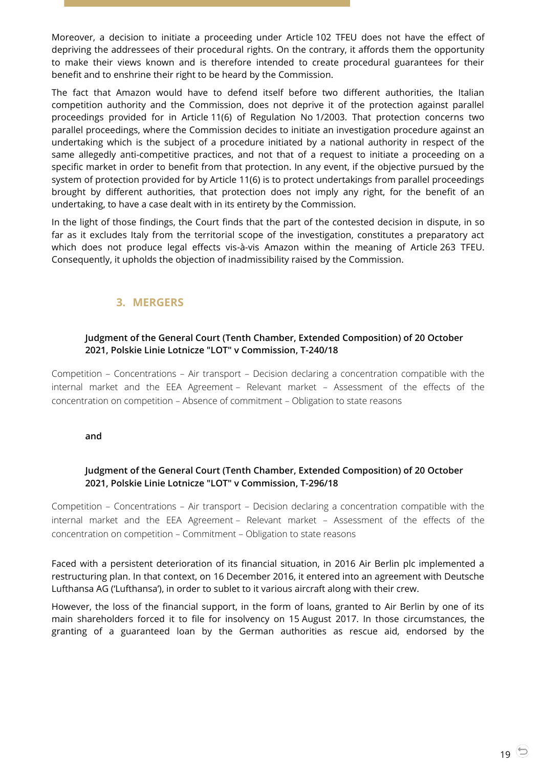Moreover, a decision to initiate a proceeding under Article 102 TFEU does not have the effect of depriving the addressees of their procedural rights. On the contrary, it affords them the opportunity to make their views known and is therefore intended to create procedural guarantees for their benefit and to enshrine their right to be heard by the Commission.

The fact that Amazon would have to defend itself before two different authorities, the Italian competition authority and the Commission, does not deprive it of the protection against parallel proceedings provided for in Article 11(6) of Regulation No 1/2003. That protection concerns two parallel proceedings, where the Commission decides to initiate an investigation procedure against an undertaking which is the subject of a procedure initiated by a national authority in respect of the same allegedly anti-competitive practices, and not that of a request to initiate a proceeding on a specific market in order to benefit from that protection. In any event, if the objective pursued by the system of protection provided for by Article 11(6) is to protect undertakings from parallel proceedings brought by different authorities, that protection does not imply any right, for the benefit of an undertaking, to have a case dealt with in its entirety by the Commission.

In the light of those findings, the Court finds that the part of the contested decision in dispute, in so far as it excludes Italy from the territorial scope of the investigation, constitutes a preparatory act which does not produce legal effects vis-à-vis Amazon within the meaning of Article 263 TFEU. Consequently, it upholds the objection of inadmissibility raised by the Commission.

# **3. MERGERS**

### <span id="page-18-1"></span><span id="page-18-0"></span>**Judgment of the General Court (Tenth Chamber, Extended Composition) of 20 October 2021, Polskie Linie Lotnicze "LOT" v Commission, T-240/18**

Competition – Concentrations – Air transport – Decision declaring a concentration compatible with the internal market and the EEA Agreement – Relevant market – Assessment of the effects of the concentration on competition – Absence of commitment – Obligation to state reasons

#### <span id="page-18-2"></span>**and**

# **Judgment of the General Court (Tenth Chamber, Extended Composition) of 20 October 2021, Polskie Linie Lotnicze "LOT" v Commission, T-296/18**

Competition – Concentrations – Air transport – Decision declaring a concentration compatible with the internal market and the EEA Agreement – Relevant market – Assessment of the effects of the concentration on competition – Commitment – Obligation to state reasons

Faced with a persistent deterioration of its financial situation, in 2016 Air Berlin plc implemented a restructuring plan. In that context, on 16 December 2016, it entered into an agreement with Deutsche Lufthansa AG ('Lufthansa'), in order to sublet to it various aircraft along with their crew.

However, the loss of the financial support, in the form of loans, granted to Air Berlin by one of its main shareholders forced it to file for insolvency on 15 August 2017. In those circumstances, the granting of a guaranteed loan by the German authorities as rescue aid, endorsed by the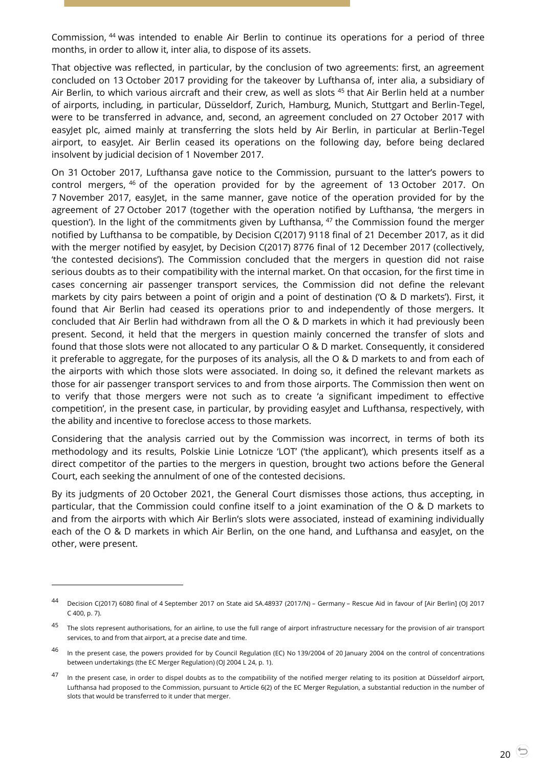Commission, <sup>44</sup> was intended to enable Air Berlin to continue its operations for a period of three months, in order to allow it, inter alia, to dispose of its assets.

That objective was reflected, in particular, by the conclusion of two agreements: first, an agreement concluded on 13 October 2017 providing for the takeover by Lufthansa of, inter alia, a subsidiary of Air Berlin, to which various aircraft and their crew, as well as slots <sup>45</sup> that Air Berlin held at a number of airports, including, in particular, Düsseldorf, Zurich, Hamburg, Munich, Stuttgart and Berlin-Tegel, were to be transferred in advance, and, second, an agreement concluded on 27 October 2017 with easyJet plc, aimed mainly at transferring the slots held by Air Berlin, in particular at Berlin-Tegel airport, to easyJet. Air Berlin ceased its operations on the following day, before being declared insolvent by judicial decision of 1 November 2017.

On 31 October 2017, Lufthansa gave notice to the Commission, pursuant to the latter's powers to control mergers, <sup>46</sup> of the operation provided for by the agreement of 13 October 2017. On 7 November 2017, easyJet, in the same manner, gave notice of the operation provided for by the agreement of 27 October 2017 (together with the operation notified by Lufthansa, 'the mergers in question'). In the light of the commitments given by Lufthansa, <sup>47</sup> the Commission found the merger notified by Lufthansa to be compatible, by Decision C(2017) 9118 final of 21 December 2017, as it did with the merger notified by easyJet, by Decision C(2017) 8776 final of 12 December 2017 (collectively, 'the contested decisions'). The Commission concluded that the mergers in question did not raise serious doubts as to their compatibility with the internal market. On that occasion, for the first time in cases concerning air passenger transport services, the Commission did not define the relevant markets by city pairs between a point of origin and a point of destination ('O & D markets'). First, it found that Air Berlin had ceased its operations prior to and independently of those mergers. It concluded that Air Berlin had withdrawn from all the O & D markets in which it had previously been present. Second, it held that the mergers in question mainly concerned the transfer of slots and found that those slots were not allocated to any particular O & D market. Consequently, it considered it preferable to aggregate, for the purposes of its analysis, all the O & D markets to and from each of the airports with which those slots were associated. In doing so, it defined the relevant markets as those for air passenger transport services to and from those airports. The Commission then went on to verify that those mergers were not such as to create 'a significant impediment to effective competition', in the present case, in particular, by providing easyJet and Lufthansa, respectively, with the ability and incentive to foreclose access to those markets.

Considering that the analysis carried out by the Commission was incorrect, in terms of both its methodology and its results, Polskie Linie Lotnicze 'LOT' ('the applicant'), which presents itself as a direct competitor of the parties to the mergers in question, brought two actions before the General Court, each seeking the annulment of one of the contested decisions.

By its judgments of 20 October 2021, the General Court dismisses those actions, thus accepting, in particular, that the Commission could confine itself to a joint examination of the O & D markets to and from the airports with which Air Berlin's slots were associated, instead of examining individually each of the O & D markets in which Air Berlin, on the one hand, and Lufthansa and easyJet, on the other, were present.

<sup>44</sup> Decision C(2017) 6080 final of 4 September 2017 on State aid SA.48937 (2017/N) – Germany – Rescue Aid in favour of [Air Berlin] (OJ 2017 C 400, p. 7).

 $45$  The slots represent authorisations, for an airline, to use the full range of airport infrastructure necessary for the provision of air transport services, to and from that airport, at a precise date and time.

<sup>&</sup>lt;sup>46</sup> In the present case, the powers provided for by Council Regulation (EC) No 139/2004 of 20 January 2004 on the control of concentrations between undertakings (the EC Merger Regulation) (OJ 2004 L 24, p. 1).

<sup>47</sup> In the present case, in order to dispel doubts as to the compatibility of the notified merger relating to its position at Düsseldorf airport, Lufthansa had proposed to the Commission, pursuant to Article 6(2) of the EC Merger Regulation, a substantial reduction in the number of slots that would be transferred to it under that merger.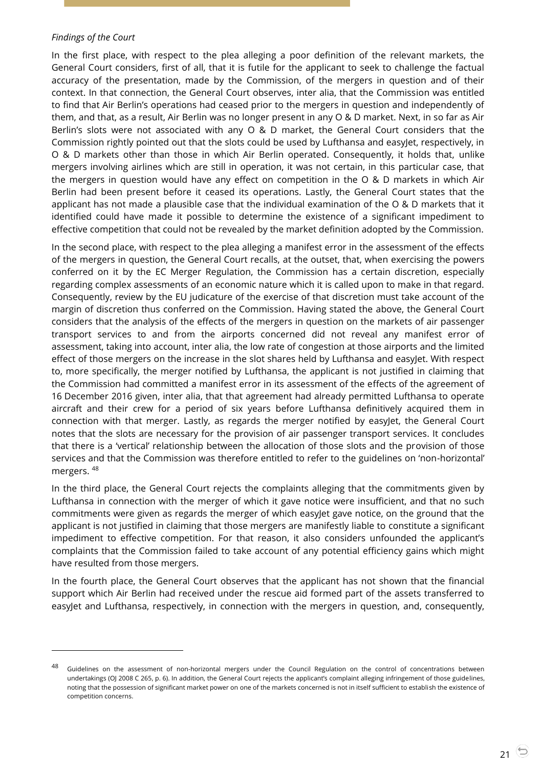#### *Findings of the Court*

-

In the first place, with respect to the plea alleging a poor definition of the relevant markets, the General Court considers, first of all, that it is futile for the applicant to seek to challenge the factual accuracy of the presentation, made by the Commission, of the mergers in question and of their context. In that connection, the General Court observes, inter alia, that the Commission was entitled to find that Air Berlin's operations had ceased prior to the mergers in question and independently of them, and that, as a result, Air Berlin was no longer present in any O & D market. Next, in so far as Air Berlin's slots were not associated with any O & D market, the General Court considers that the Commission rightly pointed out that the slots could be used by Lufthansa and easyJet, respectively, in O & D markets other than those in which Air Berlin operated. Consequently, it holds that, unlike mergers involving airlines which are still in operation, it was not certain, in this particular case, that the mergers in question would have any effect on competition in the O & D markets in which Air Berlin had been present before it ceased its operations. Lastly, the General Court states that the applicant has not made a plausible case that the individual examination of the O & D markets that it identified could have made it possible to determine the existence of a significant impediment to effective competition that could not be revealed by the market definition adopted by the Commission.

In the second place, with respect to the plea alleging a manifest error in the assessment of the effects of the mergers in question, the General Court recalls, at the outset, that, when exercising the powers conferred on it by the EC Merger Regulation, the Commission has a certain discretion, especially regarding complex assessments of an economic nature which it is called upon to make in that regard. Consequently, review by the EU judicature of the exercise of that discretion must take account of the margin of discretion thus conferred on the Commission. Having stated the above, the General Court considers that the analysis of the effects of the mergers in question on the markets of air passenger transport services to and from the airports concerned did not reveal any manifest error of assessment, taking into account, inter alia, the low rate of congestion at those airports and the limited effect of those mergers on the increase in the slot shares held by Lufthansa and easyJet. With respect to, more specifically, the merger notified by Lufthansa, the applicant is not justified in claiming that the Commission had committed a manifest error in its assessment of the effects of the agreement of 16 December 2016 given, inter alia, that that agreement had already permitted Lufthansa to operate aircraft and their crew for a period of six years before Lufthansa definitively acquired them in connection with that merger. Lastly, as regards the merger notified by easyJet, the General Court notes that the slots are necessary for the provision of air passenger transport services. It concludes that there is a 'vertical' relationship between the allocation of those slots and the provision of those services and that the Commission was therefore entitled to refer to the guidelines on 'non-horizontal' mergers. <sup>48</sup>

In the third place, the General Court rejects the complaints alleging that the commitments given by Lufthansa in connection with the merger of which it gave notice were insufficient, and that no such commitments were given as regards the merger of which easyJet gave notice, on the ground that the applicant is not justified in claiming that those mergers are manifestly liable to constitute a significant impediment to effective competition. For that reason, it also considers unfounded the applicant's complaints that the Commission failed to take account of any potential efficiency gains which might have resulted from those mergers.

In the fourth place, the General Court observes that the applicant has not shown that the financial support which Air Berlin had received under the rescue aid formed part of the assets transferred to easyJet and Lufthansa, respectively, in connection with the mergers in question, and, consequently,

<sup>48</sup> Guidelines on the assessment of non-horizontal mergers under the Council Regulation on the control of concentrations between undertakings (OJ 2008 C 265, p. 6). In addition, the General Court rejects the applicant's complaint alleging infringement of those guidelines, noting that the possession of significant market power on one of the markets concerned is not in itself sufficient to establish the existence of competition concerns.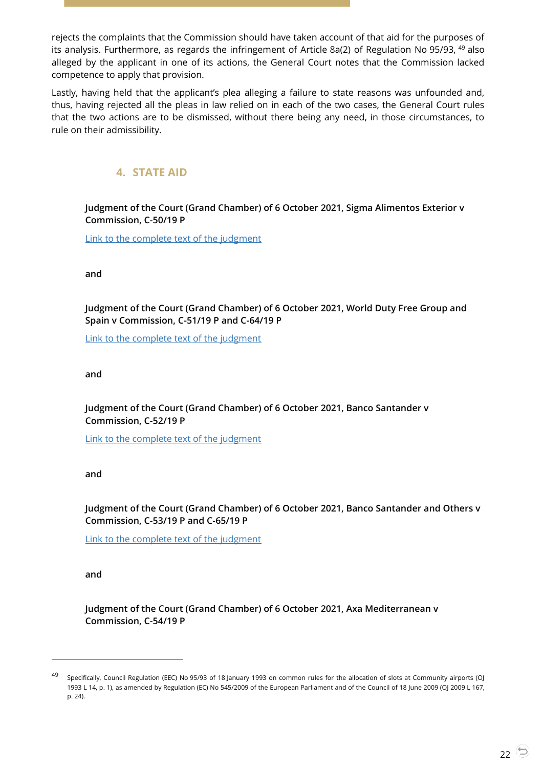rejects the complaints that the Commission should have taken account of that aid for the purposes of its analysis. Furthermore, as regards the infringement of Article 8a(2) of Regulation No 95/93, <sup>49</sup> also alleged by the applicant in one of its actions, the General Court notes that the Commission lacked competence to apply that provision.

Lastly, having held that the applicant's plea alleging a failure to state reasons was unfounded and, thus, having rejected all the pleas in law relied on in each of the two cases, the General Court rules that the two actions are to be dismissed, without there being any need, in those circumstances, to rule on their admissibility.

# **4. STATE AID**

<span id="page-21-1"></span><span id="page-21-0"></span>**Judgment of the Court (Grand Chamber) of 6 October 2021, Sigma Alimentos Exterior v Commission, C-50/19 P**

[Link to the complete text of the judgment](https://curia.europa.eu/juris/document/document.jsf?text=&docid=247041&pageIndex=0&doclang=EN&mode=lst&dir=&occ=first&part=1&cid=39041649)

<span id="page-21-2"></span>**and**

**Judgment of the Court (Grand Chamber) of 6 October 2021, World Duty Free Group and Spain v Commission, C-51/19 P and C-64/19 P**

[Link to the complete text of the judgment](https://curia.europa.eu/juris/document/document.jsf?text=&docid=247042&pageIndex=0&doclang=EN&mode=lst&dir=&occ=first&part=1&cid=39047492)

<span id="page-21-3"></span>**and**

**Judgment of the Court (Grand Chamber) of 6 October 2021, Banco Santander v Commission, C-52/19 P**

[Link to the complete text of the judgment](https://curia.europa.eu/juris/document/document.jsf?text=&docid=247043&pageIndex=0&doclang=EN&mode=lst&dir=&occ=first&part=1&cid=39053279)

**and**

<span id="page-21-4"></span>**Judgment of the Court (Grand Chamber) of 6 October 2021, Banco Santander and Others v Commission, C-53/19 P and C-65/19 P**

[Link to the complete text of the judgment](https://curia.europa.eu/juris/document/document.jsf?text=&docid=247044&pageIndex=0&doclang=EN&mode=lst&dir=&occ=first&part=1&cid=39060085)

<span id="page-21-5"></span>**and**

 $\overline{a}$ 

**Judgment of the Court (Grand Chamber) of 6 October 2021, Axa Mediterranean v Commission, C-54/19 P**

<sup>49</sup> Specifically, Council Regulation (EEC) No 95/93 of 18 January 1993 on common rules for the allocation of slots at Community airports (OJ 1993 L 14, p. 1), as amended by Regulation (EC) No 545/2009 of the European Parliament and of the Council of 18 June 2009 (OJ 2009 L 167, p. 24).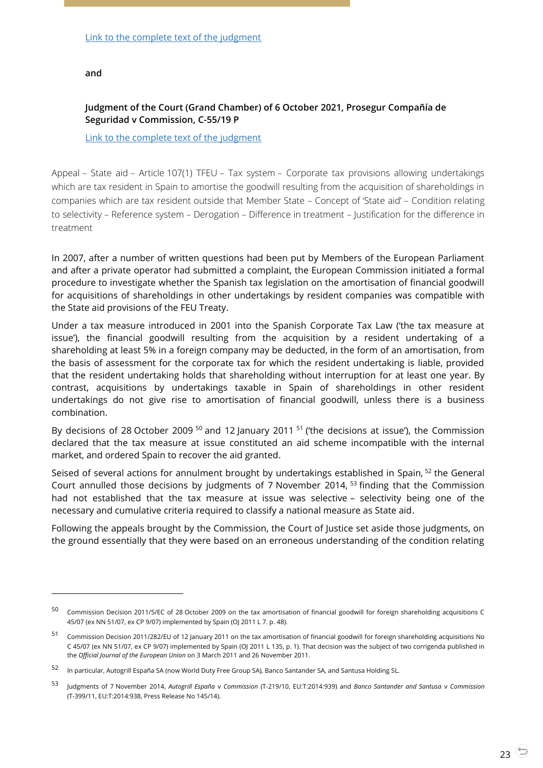<span id="page-22-0"></span>**and**

 $\overline{a}$ 

### **Judgment of the Court (Grand Chamber) of 6 October 2021, Prosegur Compañía de Seguridad v Commission, C-55/19 P**

[Link to the complete text of the judgment](https://curia.europa.eu/juris/document/document.jsf?text=&docid=247046&pageIndex=0&doclang=EN&mode=lst&dir=&occ=first&part=1&cid=39069188)

Appeal – State aid – Article 107(1) TFEU – Tax system – Corporate tax provisions allowing undertakings which are tax resident in Spain to amortise the goodwill resulting from the acquisition of shareholdings in companies which are tax resident outside that Member State – Concept of 'State aid' – Condition relating to selectivity – Reference system – Derogation – Difference in treatment – Justification for the difference in treatment

In 2007, after a number of written questions had been put by Members of the European Parliament and after a private operator had submitted a complaint, the European Commission initiated a formal procedure to investigate whether the Spanish tax legislation on the amortisation of financial goodwill for acquisitions of shareholdings in other undertakings by resident companies was compatible with the State aid provisions of the FEU Treaty.

Under a tax measure introduced in 2001 into the Spanish Corporate Tax Law ('the tax measure at issue'), the financial goodwill resulting from the acquisition by a resident undertaking of a shareholding at least 5% in a foreign company may be deducted, in the form of an amortisation, from the basis of assessment for the corporate tax for which the resident undertaking is liable, provided that the resident undertaking holds that shareholding without interruption for at least one year. By contrast, acquisitions by undertakings taxable in Spain of shareholdings in other resident undertakings do not give rise to amortisation of financial goodwill, unless there is a business combination.

By decisions of 28 October 2009  $^{50}$  and 12 January 2011  $^{51}$  ('the decisions at issue'), the Commission declared that the tax measure at issue constituted an aid scheme incompatible with the internal market, and ordered Spain to recover the aid granted.

Seised of several actions for annulment brought by undertakings established in Spain, <sup>52</sup> the General Court annulled those decisions by judgments of 7 November 2014, <sup>53</sup> finding that the Commission had not established that the tax measure at issue was selective – selectivity being one of the necessary and cumulative criteria required to classify a national measure as State aid.

Following the appeals brought by the Commission, the Court of Justice set aside those judgments, on the ground essentially that they were based on an erroneous understanding of the condition relating

<sup>50</sup> Commission Decision 2011/5/EC of 28 October 2009 on the tax amortisation of financial goodwill for foreign shareholding acquisitions C 45/07 (ex NN 51/07, ex CP 9/07) implemented by Spain (OJ 2011 L 7. p. 48).

<sup>51</sup> Commission Decision 2011/282/EU of 12 January 2011 on the tax amortisation of financial goodwill for foreign shareholding acquisitions No C 45/07 (ex NN 51/07, ex CP 9/07) implemented by Spain (OJ 2011 L 135, p. 1). That decision was the subject of two corrigenda published in the *Official Journal of the European Union* on 3 March 2011 and 26 November 2011.

<sup>52</sup> In particular, Autogrill España SA (now World Duty Free Group SA), Banco Santander SA, and Santusa Holding SL.

<sup>53</sup> Judgments of 7 November 2014, *Autogrill España* <sup>v</sup>*Commission* (T-219/10, EU:T:2014:939) and *Banco Santander and Santusa* <sup>v</sup>*Commission* (T-399/11, EU:T:2014:938, Press Release No 145/14).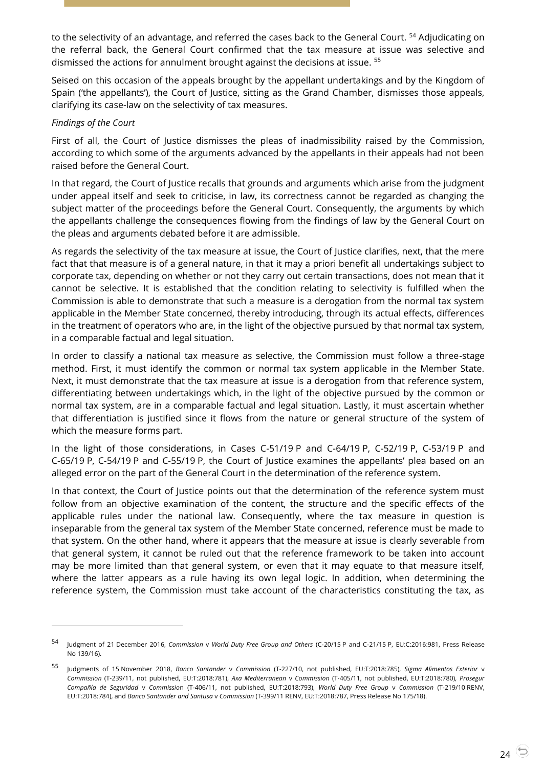to the selectivity of an advantage, and referred the cases back to the General Court. <sup>54</sup> Adjudicating on the referral back, the General Court confirmed that the tax measure at issue was selective and dismissed the actions for annulment brought against the decisions at issue. <sup>55</sup>

Seised on this occasion of the appeals brought by the appellant undertakings and by the Kingdom of Spain ('the appellants'), the Court of Justice, sitting as the Grand Chamber, dismisses those appeals, clarifying its case-law on the selectivity of tax measures.

### *Findings of the Court*

 $\overline{a}$ 

First of all, the Court of Justice dismisses the pleas of inadmissibility raised by the Commission, according to which some of the arguments advanced by the appellants in their appeals had not been raised before the General Court.

In that regard, the Court of Justice recalls that grounds and arguments which arise from the judgment under appeal itself and seek to criticise, in law, its correctness cannot be regarded as changing the subject matter of the proceedings before the General Court. Consequently, the arguments by which the appellants challenge the consequences flowing from the findings of law by the General Court on the pleas and arguments debated before it are admissible.

As regards the selectivity of the tax measure at issue, the Court of Justice clarifies, next, that the mere fact that that measure is of a general nature, in that it may a priori benefit all undertakings subject to corporate tax, depending on whether or not they carry out certain transactions, does not mean that it cannot be selective. It is established that the condition relating to selectivity is fulfilled when the Commission is able to demonstrate that such a measure is a derogation from the normal tax system applicable in the Member State concerned, thereby introducing, through its actual effects, differences in the treatment of operators who are, in the light of the objective pursued by that normal tax system, in a comparable factual and legal situation.

In order to classify a national tax measure as selective, the Commission must follow a three-stage method. First, it must identify the common or normal tax system applicable in the Member State. Next, it must demonstrate that the tax measure at issue is a derogation from that reference system, differentiating between undertakings which, in the light of the objective pursued by the common or normal tax system, are in a comparable factual and legal situation. Lastly, it must ascertain whether that differentiation is justified since it flows from the nature or general structure of the system of which the measure forms part.

In the light of those considerations, in Cases C-51/19 P and C-64/19 P, C-52/19 P, C-53/19 P and C-65/19 P, C-54/19 P and C-55/19 P, the Court of Justice examines the appellants' plea based on an alleged error on the part of the General Court in the determination of the reference system.

In that context, the Court of Justice points out that the determination of the reference system must follow from an objective examination of the content, the structure and the specific effects of the applicable rules under the national law. Consequently, where the tax measure in question is inseparable from the general tax system of the Member State concerned, reference must be made to that system. On the other hand, where it appears that the measure at issue is clearly severable from that general system, it cannot be ruled out that the reference framework to be taken into account may be more limited than that general system, or even that it may equate to that measure itself, where the latter appears as a rule having its own legal logic. In addition, when determining the reference system, the Commission must take account of the characteristics constituting the tax, as

<sup>54</sup> Judgment of 21 December 2016, *Commission* <sup>v</sup>*World Duty Free Group and Others* (C-20/15 P and C-21/15 P, EU:C:2016:981, Press Release No 139/16).

<sup>55</sup> Judgments of 15 November 2018, *Banco Santander* <sup>v</sup>*Commission* (T-227/10, not published, EU:T:2018:785), *Sigma Alimentos Exterior* <sup>v</sup> *Commission* (T-239/11, not published, EU:T:2018:781), *Axa Mediterranean* v *Commission* (T-405/11, not published, EU:T:2018:780), *Prosegur Compañía de Seguridad* v *Commissio*n (T-406/11, not published, EU:T:2018:793), *World Duty Free Group* v *Commission* (T-219/10 RENV, EU:T:2018:784), and *Banco Santander and Santusa* v *Commission* (T-399/11 RENV, EU:T:2018:787, Press Release No 175/18).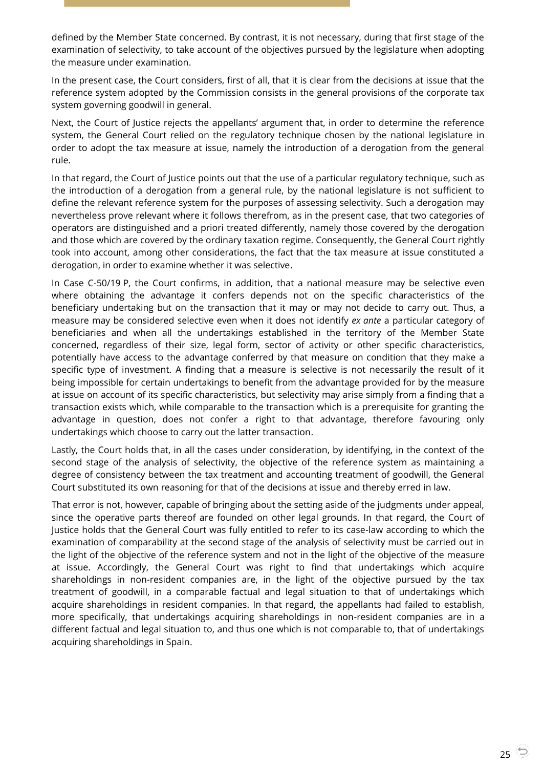defined by the Member State concerned. By contrast, it is not necessary, during that first stage of the examination of selectivity, to take account of the objectives pursued by the legislature when adopting the measure under examination.

In the present case, the Court considers, first of all, that it is clear from the decisions at issue that the reference system adopted by the Commission consists in the general provisions of the corporate tax system governing goodwill in general.

Next, the Court of Justice rejects the appellants' argument that, in order to determine the reference system, the General Court relied on the regulatory technique chosen by the national legislature in order to adopt the tax measure at issue, namely the introduction of a derogation from the general rule.

In that regard, the Court of Justice points out that the use of a particular regulatory technique, such as the introduction of a derogation from a general rule, by the national legislature is not sufficient to define the relevant reference system for the purposes of assessing selectivity. Such a derogation may nevertheless prove relevant where it follows therefrom, as in the present case, that two categories of operators are distinguished and a priori treated differently, namely those covered by the derogation and those which are covered by the ordinary taxation regime. Consequently, the General Court rightly took into account, among other considerations, the fact that the tax measure at issue constituted a derogation, in order to examine whether it was selective.

In Case C-50/19 P, the Court confirms, in addition, that a national measure may be selective even where obtaining the advantage it confers depends not on the specific characteristics of the beneficiary undertaking but on the transaction that it may or may not decide to carry out. Thus, a measure may be considered selective even when it does not identify *ex ante* a particular category of beneficiaries and when all the undertakings established in the territory of the Member State concerned, regardless of their size, legal form, sector of activity or other specific characteristics, potentially have access to the advantage conferred by that measure on condition that they make a specific type of investment. A finding that a measure is selective is not necessarily the result of it being impossible for certain undertakings to benefit from the advantage provided for by the measure at issue on account of its specific characteristics, but selectivity may arise simply from a finding that a transaction exists which, while comparable to the transaction which is a prerequisite for granting the advantage in question, does not confer a right to that advantage, therefore favouring only undertakings which choose to carry out the latter transaction.

Lastly, the Court holds that, in all the cases under consideration, by identifying, in the context of the second stage of the analysis of selectivity, the objective of the reference system as maintaining a degree of consistency between the tax treatment and accounting treatment of goodwill, the General Court substituted its own reasoning for that of the decisions at issue and thereby erred in law.

That error is not, however, capable of bringing about the setting aside of the judgments under appeal, since the operative parts thereof are founded on other legal grounds. In that regard, the Court of Justice holds that the General Court was fully entitled to refer to its case-law according to which the examination of comparability at the second stage of the analysis of selectivity must be carried out in the light of the objective of the reference system and not in the light of the objective of the measure at issue. Accordingly, the General Court was right to find that undertakings which acquire shareholdings in non-resident companies are, in the light of the objective pursued by the tax treatment of goodwill, in a comparable factual and legal situation to that of undertakings which acquire shareholdings in resident companies. In that regard, the appellants had failed to establish, more specifically, that undertakings acquiring shareholdings in non-resident companies are in a different factual and legal situation to, and thus one which is not comparable to, that of undertakings acquiring shareholdings in Spain.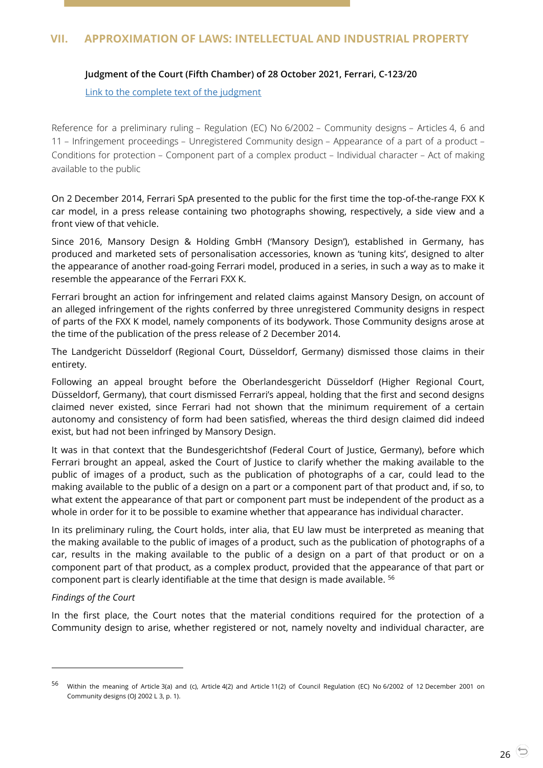# <span id="page-25-1"></span><span id="page-25-0"></span>**VII. APPROXIMATION OF LAWS: INTELLECTUAL AND INDUSTRIAL PROPERTY**

### **Judgment of the Court (Fifth Chamber) of 28 October 2021, Ferrari, C-123/20**

#### [Link to the complete text of the judgment](https://curia.europa.eu/juris/document/document.jsf?text=&docid=248287&pageIndex=0&doclang=EN&mode=lst&dir=&occ=first&part=1&cid=39072926)

Reference for a preliminary ruling – Regulation (EC) No 6/2002 – Community designs – Articles 4, 6 and 11 – Infringement proceedings – Unregistered Community design – Appearance of a part of a product – Conditions for protection – Component part of a complex product – Individual character – Act of making available to the public

On 2 December 2014, Ferrari SpA presented to the public for the first time the top-of-the-range FXX K car model, in a press release containing two photographs showing, respectively, a side view and a front view of that vehicle.

Since 2016, Mansory Design & Holding GmbH ('Mansory Design'), established in Germany, has produced and marketed sets of personalisation accessories, known as 'tuning kits', designed to alter the appearance of another road-going Ferrari model, produced in a series, in such a way as to make it resemble the appearance of the Ferrari FXX K.

Ferrari brought an action for infringement and related claims against Mansory Design, on account of an alleged infringement of the rights conferred by three unregistered Community designs in respect of parts of the FXX K model, namely components of its bodywork. Those Community designs arose at the time of the publication of the press release of 2 December 2014.

The Landgericht Düsseldorf (Regional Court, Düsseldorf, Germany) dismissed those claims in their entirety.

Following an appeal brought before the Oberlandesgericht Düsseldorf (Higher Regional Court, Düsseldorf, Germany), that court dismissed Ferrari's appeal, holding that the first and second designs claimed never existed, since Ferrari had not shown that the minimum requirement of a certain autonomy and consistency of form had been satisfied, whereas the third design claimed did indeed exist, but had not been infringed by Mansory Design.

It was in that context that the Bundesgerichtshof (Federal Court of Justice, Germany), before which Ferrari brought an appeal, asked the Court of Justice to clarify whether the making available to the public of images of a product, such as the publication of photographs of a car, could lead to the making available to the public of a design on a part or a component part of that product and, if so, to what extent the appearance of that part or component part must be independent of the product as a whole in order for it to be possible to examine whether that appearance has individual character.

In its preliminary ruling, the Court holds, inter alia, that EU law must be interpreted as meaning that the making available to the public of images of a product, such as the publication of photographs of a car, results in the making available to the public of a design on a part of that product or on a component part of that product, as a complex product, provided that the appearance of that part or component part is clearly identifiable at the time that design is made available. <sup>56</sup>

#### *Findings of the Court*

-

In the first place, the Court notes that the material conditions required for the protection of a Community design to arise, whether registered or not, namely novelty and individual character, are

<sup>56</sup> Within the meaning of Article 3(a) and (c), Article 4(2) and Article 11(2) of Council Regulation (EC) No 6/2002 of 12 December 2001 on Community designs (OJ 2002 L 3, p. 1).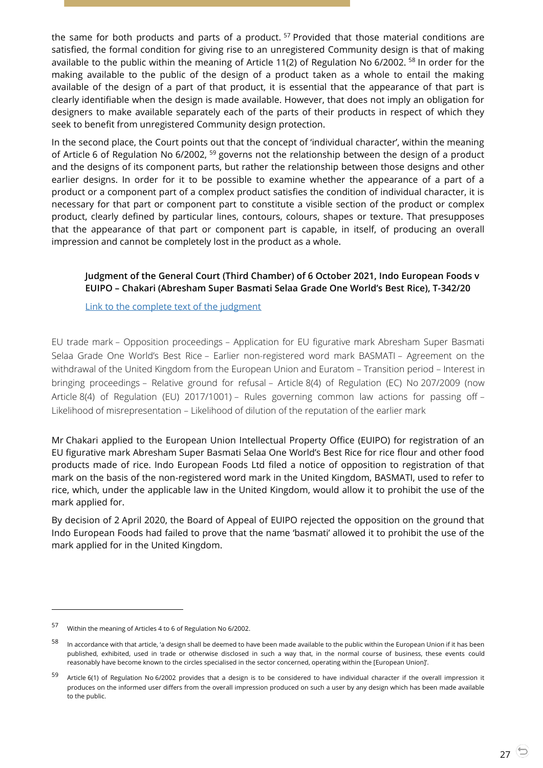the same for both products and parts of a product.<sup>57</sup> Provided that those material conditions are satisfied, the formal condition for giving rise to an unregistered Community design is that of making available to the public within the meaning of Article 11(2) of Regulation No 6/2002. <sup>58</sup> In order for the making available to the public of the design of a product taken as a whole to entail the making available of the design of a part of that product, it is essential that the appearance of that part is clearly identifiable when the design is made available. However, that does not imply an obligation for designers to make available separately each of the parts of their products in respect of which they seek to benefit from unregistered Community design protection.

In the second place, the Court points out that the concept of 'individual character', within the meaning of Article 6 of Regulation No 6/2002, <sup>59</sup> governs not the relationship between the design of a product and the designs of its component parts, but rather the relationship between those designs and other earlier designs. In order for it to be possible to examine whether the appearance of a part of a product or a component part of a complex product satisfies the condition of individual character, it is necessary for that part or component part to constitute a visible section of the product or complex product, clearly defined by particular lines, contours, colours, shapes or texture. That presupposes that the appearance of that part or component part is capable, in itself, of producing an overall impression and cannot be completely lost in the product as a whole.

# <span id="page-26-0"></span>**Judgment of the General Court (Third Chamber) of 6 October 2021, Indo European Foods v EUIPO – Chakari (Abresham Super Basmati Selaa Grade One World's Best Rice), T-342/20**

[Link to the complete text of the judgment](https://curia.europa.eu/juris/document/document.jsf?text=&docid=247117&pageIndex=0&doclang=EN&mode=lst&dir=&occ=first&part=1&cid=39078353)

EU trade mark – Opposition proceedings – Application for EU figurative mark Abresham Super Basmati Selaa Grade One World's Best Rice – Earlier non-registered word mark BASMATI – Agreement on the withdrawal of the United Kingdom from the European Union and Euratom – Transition period – Interest in bringing proceedings – Relative ground for refusal – Article 8(4) of Regulation (EC) No 207/2009 (now Article 8(4) of Regulation (EU) 2017/1001) – Rules governing common law actions for passing off – Likelihood of misrepresentation – Likelihood of dilution of the reputation of the earlier mark

Mr Chakari applied to the European Union Intellectual Property Office (EUIPO) for registration of an EU figurative mark Abresham Super Basmati Selaa One World's Best Rice for rice flour and other food products made of rice. Indo European Foods Ltd filed a notice of opposition to registration of that mark on the basis of the non-registered word mark in the United Kingdom, BASMATI, used to refer to rice, which, under the applicable law in the United Kingdom, would allow it to prohibit the use of the mark applied for.

By decision of 2 April 2020, the Board of Appeal of EUIPO rejected the opposition on the ground that Indo European Foods had failed to prove that the name 'basmati' allowed it to prohibit the use of the mark applied for in the United Kingdom.

<sup>57</sup> Within the meaning of Articles 4 to 6 of Regulation No 6/2002.

<sup>58</sup> In accordance with that article, 'a design shall be deemed to have been made available to the public within the European Union if it has been published, exhibited, used in trade or otherwise disclosed in such a way that, in the normal course of business, these events could reasonably have become known to the circles specialised in the sector concerned, operating within the [European Union]'.

<sup>59</sup> Article 6(1) of Regulation No 6/2002 provides that a design is to be considered to have individual character if the overall impression it produces on the informed user differs from the overall impression produced on such a user by any design which has been made available to the public.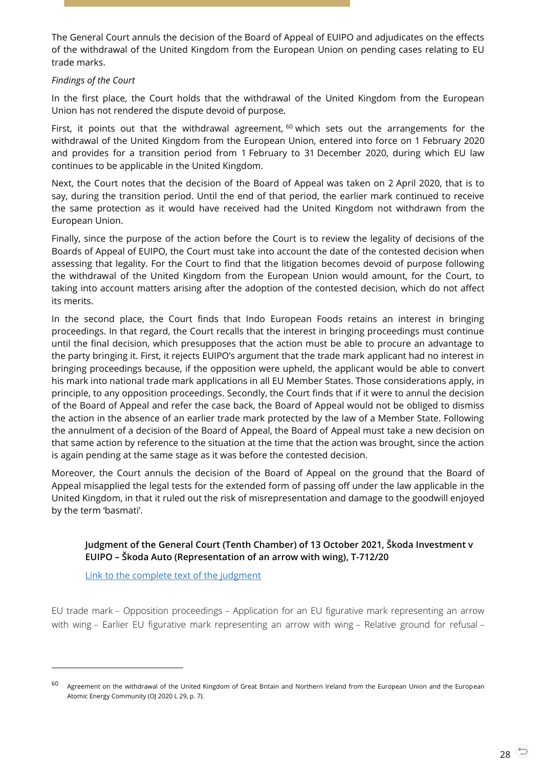The General Court annuls the decision of the Board of Appeal of EUIPO and adjudicates on the effects of the withdrawal of the United Kingdom from the European Union on pending cases relating to EU trade marks.

#### *Findings of the Court*

In the first place, the Court holds that the withdrawal of the United Kingdom from the European Union has not rendered the dispute devoid of purpose.

First, it points out that the withdrawal agreement,  $60$  which sets out the arrangements for the withdrawal of the United Kingdom from the European Union, entered into force on 1 February 2020 and provides for a transition period from 1 February to 31 December 2020, during which EU law continues to be applicable in the United Kingdom.

Next, the Court notes that the decision of the Board of Appeal was taken on 2 April 2020, that is to say, during the transition period. Until the end of that period, the earlier mark continued to receive the same protection as it would have received had the United Kingdom not withdrawn from the European Union.

Finally, since the purpose of the action before the Court is to review the legality of decisions of the Boards of Appeal of EUIPO, the Court must take into account the date of the contested decision when assessing that legality. For the Court to find that the litigation becomes devoid of purpose following the withdrawal of the United Kingdom from the European Union would amount, for the Court, to taking into account matters arising after the adoption of the contested decision, which do not affect its merits.

In the second place, the Court finds that Indo European Foods retains an interest in bringing proceedings. In that regard, the Court recalls that the interest in bringing proceedings must continue until the final decision, which presupposes that the action must be able to procure an advantage to the party bringing it. First, it rejects EUIPO's argument that the trade mark applicant had no interest in bringing proceedings because, if the opposition were upheld, the applicant would be able to convert his mark into national trade mark applications in all EU Member States. Those considerations apply, in principle, to any opposition proceedings. Secondly, the Court finds that if it were to annul the decision of the Board of Appeal and refer the case back, the Board of Appeal would not be obliged to dismiss the action in the absence of an earlier trade mark protected by the law of a Member State. Following the annulment of a decision of the Board of Appeal, the Board of Appeal must take a new decision on that same action by reference to the situation at the time that the action was brought, since the action is again pending at the same stage as it was before the contested decision.

Moreover, the Court annuls the decision of the Board of Appeal on the ground that the Board of Appeal misapplied the legal tests for the extended form of passing off under the law applicable in the United Kingdom, in that it ruled out the risk of misrepresentation and damage to the goodwill enjoyed by the term 'basmati'.

### <span id="page-27-0"></span>**Judgment of the General Court (Tenth Chamber) of 13 October 2021, Škoda Investment v EUIPO – Škoda Auto (Representation of an arrow with wing), T-712/20**

[Link to the complete text of the judgment](https://curia.europa.eu/juris/document/document.jsf?text=&docid=247542&pageIndex=0&doclang=EN&mode=lst&dir=&occ=first&part=1&cid=39081227)

-

EU trade mark – Opposition proceedings – Application for an EU figurative mark representing an arrow with wing – Earlier EU figurative mark representing an arrow with wing – Relative ground for refusal –

<sup>&</sup>lt;sup>60</sup> Agreement on the withdrawal of the United Kingdom of Great Britain and Northern Ireland from the European Union and the European Atomic Energy Community (OJ 2020 L 29, p. 7).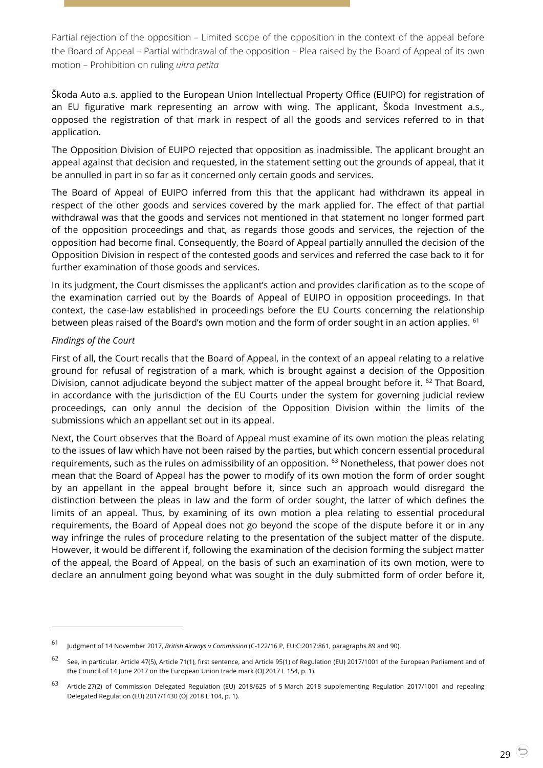Partial rejection of the opposition – Limited scope of the opposition in the context of the appeal before the Board of Appeal – Partial withdrawal of the opposition – Plea raised by the Board of Appeal of its own motion – Prohibition on ruling *ultra petita*

Škoda Auto a.s. applied to the European Union Intellectual Property Office (EUIPO) for registration of an EU figurative mark representing an arrow with wing. The applicant, Škoda Investment a.s., opposed the registration of that mark in respect of all the goods and services referred to in that application.

The Opposition Division of EUIPO rejected that opposition as inadmissible. The applicant brought an appeal against that decision and requested, in the statement setting out the grounds of appeal, that it be annulled in part in so far as it concerned only certain goods and services.

The Board of Appeal of EUIPO inferred from this that the applicant had withdrawn its appeal in respect of the other goods and services covered by the mark applied for. The effect of that partial withdrawal was that the goods and services not mentioned in that statement no longer formed part of the opposition proceedings and that, as regards those goods and services, the rejection of the opposition had become final. Consequently, the Board of Appeal partially annulled the decision of the Opposition Division in respect of the contested goods and services and referred the case back to it for further examination of those goods and services.

In its judgment, the Court dismisses the applicant's action and provides clarification as to the scope of the examination carried out by the Boards of Appeal of EUIPO in opposition proceedings. In that context, the case-law established in proceedings before the EU Courts concerning the relationship between pleas raised of the Board's own motion and the form of order sought in an action applies. <sup>61</sup>

### *Findings of the Court*

 $\overline{a}$ 

First of all, the Court recalls that the Board of Appeal, in the context of an appeal relating to a relative ground for refusal of registration of a mark, which is brought against a decision of the Opposition Division, cannot adjudicate beyond the subject matter of the appeal brought before it.  $62$  That Board, in accordance with the jurisdiction of the EU Courts under the system for governing judicial review proceedings, can only annul the decision of the Opposition Division within the limits of the submissions which an appellant set out in its appeal.

Next, the Court observes that the Board of Appeal must examine of its own motion the pleas relating to the issues of law which have not been raised by the parties, but which concern essential procedural requirements, such as the rules on admissibility of an opposition. <sup>63</sup> Nonetheless, that power does not mean that the Board of Appeal has the power to modify of its own motion the form of order sought by an appellant in the appeal brought before it, since such an approach would disregard the distinction between the pleas in law and the form of order sought, the latter of which defines the limits of an appeal. Thus, by examining of its own motion a plea relating to essential procedural requirements, the Board of Appeal does not go beyond the scope of the dispute before it or in any way infringe the rules of procedure relating to the presentation of the subject matter of the dispute. However, it would be different if, following the examination of the decision forming the subject matter of the appeal, the Board of Appeal, on the basis of such an examination of its own motion, were to declare an annulment going beyond what was sought in the duly submitted form of order before it,

<sup>61</sup> Judgment of 14 November 2017, *British Airways* <sup>v</sup> *Commission* (C-122/16 P, EU:C:2017:861, paragraphs 89 and 90).

<sup>62</sup> See, in particular, Article 47(5), Article 71(1), first sentence, and Article 95(1) of Regulation (EU) 2017/1001 of the European Parliament and of the Council of 14 June 2017 on the European Union trade mark (OJ 2017 L 154, p. 1).

<sup>63</sup> Article 27(2) of Commission Delegated Regulation (EU) 2018/625 of 5 March 2018 supplementing Regulation 2017/1001 and repealing Delegated Regulation (EU) 2017/1430 (OJ 2018 L 104, p. 1).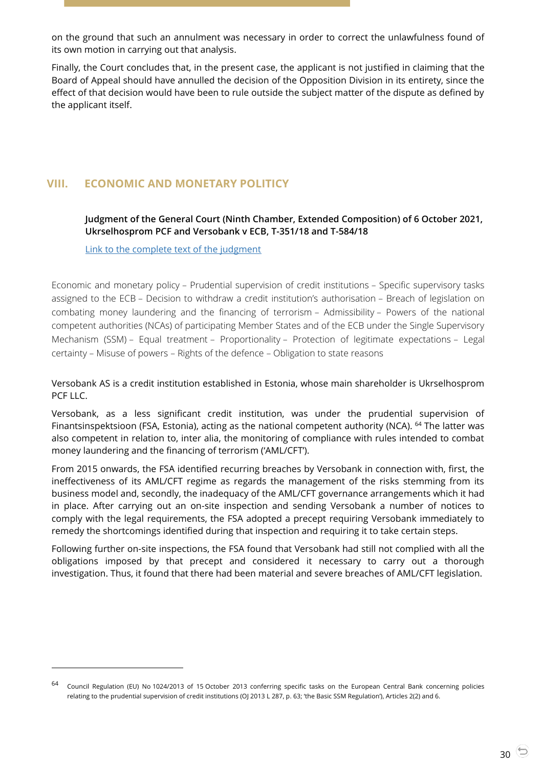on the ground that such an annulment was necessary in order to correct the unlawfulness found of its own motion in carrying out that analysis.

Finally, the Court concludes that, in the present case, the applicant is not justified in claiming that the Board of Appeal should have annulled the decision of the Opposition Division in its entirety, since the effect of that decision would have been to rule outside the subject matter of the dispute as defined by the applicant itself.

# <span id="page-29-1"></span><span id="page-29-0"></span>**VIII. ECONOMIC AND MONETARY POLITICY**

**Judgment of the General Court (Ninth Chamber, Extended Composition) of 6 October 2021, Ukrselhosprom PCF and Versobank v ECB, T-351/18 and T-584/18**

[Link to the complete text of the judgment](https://curia.europa.eu/juris/document/document.jsf?text=&docid=247115&pageIndex=0&doclang=EN&mode=lst&dir=&occ=first&part=1&cid=39085536)

-

Economic and monetary policy – Prudential supervision of credit institutions – Specific supervisory tasks assigned to the ECB – Decision to withdraw a credit institution's authorisation – Breach of legislation on combating money laundering and the financing of terrorism – Admissibility – Powers of the national competent authorities (NCAs) of participating Member States and of the ECB under the Single Supervisory Mechanism (SSM) – Equal treatment – Proportionality – Protection of legitimate expectations – Legal certainty – Misuse of powers – Rights of the defence – Obligation to state reasons

Versobank AS is a credit institution established in Estonia, whose main shareholder is Ukrselhosprom PCF LLC.

Versobank, as a less significant credit institution, was under the prudential supervision of Finantsinspektsioon (FSA, Estonia), acting as the national competent authority (NCA). <sup>64</sup> The latter was also competent in relation to, inter alia, the monitoring of compliance with rules intended to combat money laundering and the financing of terrorism ('AML/CFT').

From 2015 onwards, the FSA identified recurring breaches by Versobank in connection with, first, the ineffectiveness of its AML/CFT regime as regards the management of the risks stemming from its business model and, secondly, the inadequacy of the AML/CFT governance arrangements which it had in place. After carrying out an on-site inspection and sending Versobank a number of notices to comply with the legal requirements, the FSA adopted a precept requiring Versobank immediately to remedy the shortcomings identified during that inspection and requiring it to take certain steps.

Following further on-site inspections, the FSA found that Versobank had still not complied with all the obligations imposed by that precept and considered it necessary to carry out a thorough investigation. Thus, it found that there had been material and severe breaches of AML/CFT legislation.

<sup>64</sup> Council Regulation (EU) No 1024/2013 of 15 October 2013 conferring specific tasks on the European Central Bank concerning policies relating to the prudential supervision of credit institutions (OJ 2013 L 287, p. 63; 'the Basic SSM Regulation'), Articles 2(2) and 6.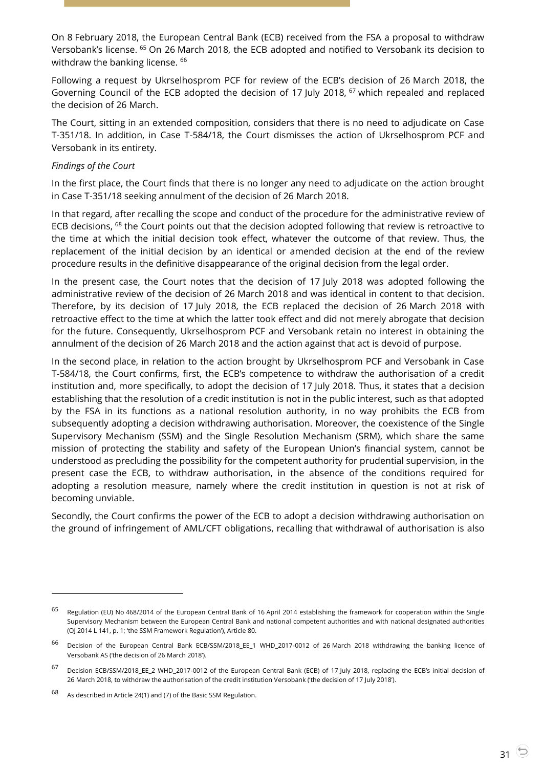On 8 February 2018, the European Central Bank (ECB) received from the FSA a proposal to withdraw Versobank's license. <sup>65</sup> On 26 March 2018, the ECB adopted and notified to Versobank its decision to withdraw the banking license. <sup>66</sup>

Following a request by Ukrselhosprom PCF for review of the ECB's decision of 26 March 2018, the Governing Council of the ECB adopted the decision of 17 July 2018, <sup>67</sup> which repealed and replaced the decision of 26 March.

The Court, sitting in an extended composition, considers that there is no need to adjudicate on Case T-351/18. In addition, in Case T-584/18, the Court dismisses the action of Ukrselhosprom PCF and Versobank in its entirety.

### *Findings of the Court*

In the first place, the Court finds that there is no longer any need to adjudicate on the action brought in Case T-351/18 seeking annulment of the decision of 26 March 2018.

In that regard, after recalling the scope and conduct of the procedure for the administrative review of ECB decisions, <sup>68</sup> the Court points out that the decision adopted following that review is retroactive to the time at which the initial decision took effect, whatever the outcome of that review. Thus, the replacement of the initial decision by an identical or amended decision at the end of the review procedure results in the definitive disappearance of the original decision from the legal order.

In the present case, the Court notes that the decision of 17 July 2018 was adopted following the administrative review of the decision of 26 March 2018 and was identical in content to that decision. Therefore, by its decision of 17 July 2018, the ECB replaced the decision of 26 March 2018 with retroactive effect to the time at which the latter took effect and did not merely abrogate that decision for the future. Consequently, Ukrselhosprom PCF and Versobank retain no interest in obtaining the annulment of the decision of 26 March 2018 and the action against that act is devoid of purpose.

In the second place, in relation to the action brought by Ukrselhosprom PCF and Versobank in Case T-584/18, the Court confirms, first, the ECB's competence to withdraw the authorisation of a credit institution and, more specifically, to adopt the decision of 17 July 2018. Thus, it states that a decision establishing that the resolution of a credit institution is not in the public interest, such as that adopted by the FSA in its functions as a national resolution authority, in no way prohibits the ECB from subsequently adopting a decision withdrawing authorisation. Moreover, the coexistence of the Single Supervisory Mechanism (SSM) and the Single Resolution Mechanism (SRM), which share the same mission of protecting the stability and safety of the European Union's financial system, cannot be understood as precluding the possibility for the competent authority for prudential supervision, in the present case the ECB, to withdraw authorisation, in the absence of the conditions required for adopting a resolution measure, namely where the credit institution in question is not at risk of becoming unviable.

Secondly, the Court confirms the power of the ECB to adopt a decision withdrawing authorisation on the ground of infringement of AML/CFT obligations, recalling that withdrawal of authorisation is also

<sup>65</sup> Regulation (EU) No 468/2014 of the European Central Bank of 16 April 2014 establishing the framework for cooperation within the Single Supervisory Mechanism between the European Central Bank and national competent authorities and with national designated authorities (OJ 2014 L 141, p. 1; 'the SSM Framework Regulation'), Article 80.

<sup>66</sup> Decision of the European Central Bank ECB/SSM/2018\_EE\_1 WHD\_2017-0012 of 26 March 2018 withdrawing the banking licence of Versobank AS ('the decision of 26 March 2018').

<sup>67</sup> Decision ECB/SSM/2018\_EE\_2 WHD\_2017-0012 of the European Central Bank (ECB) of 17 July 2018, replacing the ECB's initial decision of 26 March 2018, to withdraw the authorisation of the credit institution Versobank ('the decision of 17 July 2018').

<sup>68</sup> As described in Article 24(1) and (7) of the Basic SSM Regulation.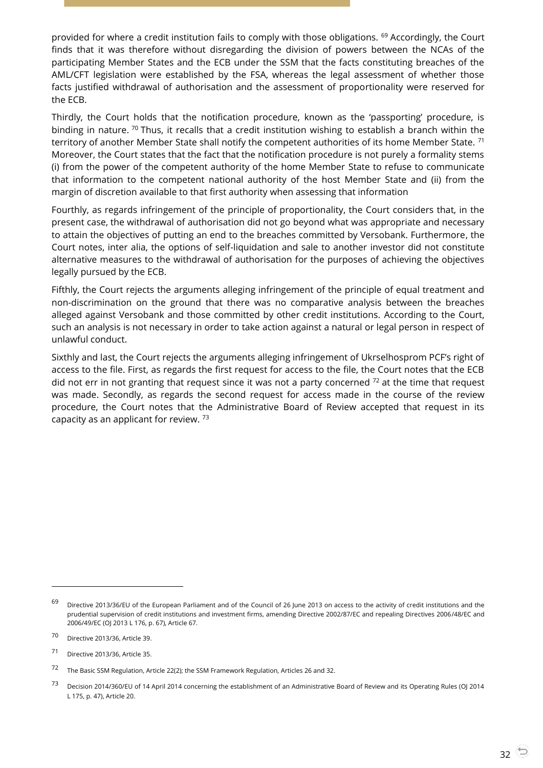provided for where a credit institution fails to comply with those obligations. <sup>69</sup> Accordingly, the Court finds that it was therefore without disregarding the division of powers between the NCAs of the participating Member States and the ECB under the SSM that the facts constituting breaches of the AML/CFT legislation were established by the FSA, whereas the legal assessment of whether those facts justified withdrawal of authorisation and the assessment of proportionality were reserved for the ECB.

Thirdly, the Court holds that the notification procedure, known as the 'passporting' procedure, is binding in nature. <sup>70</sup> Thus, it recalls that a credit institution wishing to establish a branch within the territory of another Member State shall notify the competent authorities of its home Member State.<sup>71</sup> Moreover, the Court states that the fact that the notification procedure is not purely a formality stems (i) from the power of the competent authority of the home Member State to refuse to communicate that information to the competent national authority of the host Member State and (ii) from the margin of discretion available to that first authority when assessing that information

Fourthly, as regards infringement of the principle of proportionality, the Court considers that, in the present case, the withdrawal of authorisation did not go beyond what was appropriate and necessary to attain the objectives of putting an end to the breaches committed by Versobank. Furthermore, the Court notes, inter alia, the options of self-liquidation and sale to another investor did not constitute alternative measures to the withdrawal of authorisation for the purposes of achieving the objectives legally pursued by the ECB.

Fifthly, the Court rejects the arguments alleging infringement of the principle of equal treatment and non-discrimination on the ground that there was no comparative analysis between the breaches alleged against Versobank and those committed by other credit institutions. According to the Court, such an analysis is not necessary in order to take action against a natural or legal person in respect of unlawful conduct.

Sixthly and last, the Court rejects the arguments alleging infringement of Ukrselhosprom PCF's right of access to the file. First, as regards the first request for access to the file, the Court notes that the ECB did not err in not granting that request since it was not a party concerned  $72$  at the time that request was made. Secondly, as regards the second request for access made in the course of the review procedure, the Court notes that the Administrative Board of Review accepted that request in its capacity as an applicant for review.  $73$ 

-

 $69$  Directive 2013/36/EU of the European Parliament and of the Council of 26 June 2013 on access to the activity of credit institutions and the prudential supervision of credit institutions and investment firms, amending Directive 2002/87/EC and repealing Directives 2006/48/EC and 2006/49/EC (OJ 2013 L 176, p. 67), Article 67.

<sup>70</sup> Directive 2013/36, Article 39.

<sup>71</sup> Directive 2013/36, Article 35.

<sup>72</sup> The Basic SSM Regulation, Article 22(2); the SSM Framework Regulation, Articles 26 and 32.

<sup>73</sup> Decision 2014/360/EU of 14 April 2014 concerning the establishment of an Administrative Board of Review and its Operating Rules (OJ 2014 L 175, p. 47), Article 20.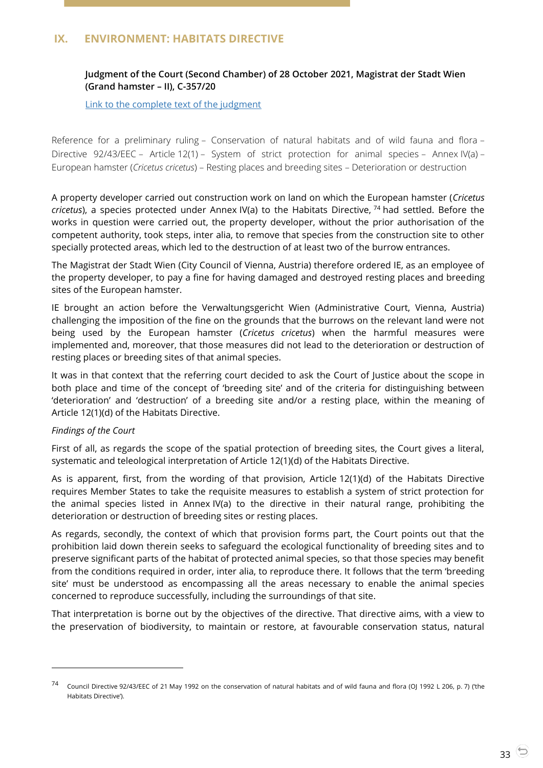# <span id="page-32-1"></span><span id="page-32-0"></span>**IX. ENVIRONMENT: HABITATS DIRECTIVE**

# **Judgment of the Court (Second Chamber) of 28 October 2021, Magistrat der Stadt Wien (Grand hamster – II), C-357/20**

[Link to the complete text of the judgment](https://curia.europa.eu/juris/document/document.jsf?text=&docid=248291&pageIndex=0&doclang=EN&mode=lst&dir=&occ=first&part=1&cid=39089174)

Reference for a preliminary ruling – Conservation of natural habitats and of wild fauna and flora – Directive 92/43/EEC – Article 12(1) – System of strict protection for animal species – Annex IV(a) – European hamster (*Cricetus cricetus*) – Resting places and breeding sites – Deterioration or destruction

A property developer carried out construction work on land on which the European hamster (*Cricetus cricetus*), a species protected under Annex IV(a) to the Habitats Directive, <sup>74</sup> had settled. Before the works in question were carried out, the property developer, without the prior authorisation of the competent authority, took steps, inter alia, to remove that species from the construction site to other specially protected areas, which led to the destruction of at least two of the burrow entrances.

The Magistrat der Stadt Wien (City Council of Vienna, Austria) therefore ordered IE, as an employee of the property developer, to pay a fine for having damaged and destroyed resting places and breeding sites of the European hamster.

IE brought an action before the Verwaltungsgericht Wien (Administrative Court, Vienna, Austria) challenging the imposition of the fine on the grounds that the burrows on the relevant land were not being used by the European hamster (*Cricetus cricetus*) when the harmful measures were implemented and, moreover, that those measures did not lead to the deterioration or destruction of resting places or breeding sites of that animal species.

It was in that context that the referring court decided to ask the Court of Justice about the scope in both place and time of the concept of 'breeding site' and of the criteria for distinguishing between 'deterioration' and 'destruction' of a breeding site and/or a resting place, within the meaning of Article 12(1)(d) of the Habitats Directive.

#### *Findings of the Court*

-

First of all, as regards the scope of the spatial protection of breeding sites, the Court gives a literal, systematic and teleological interpretation of Article 12(1)(d) of the Habitats Directive.

As is apparent, first, from the wording of that provision, Article 12(1)(d) of the Habitats Directive requires Member States to take the requisite measures to establish a system of strict protection for the animal species listed in Annex IV(a) to the directive in their natural range, prohibiting the deterioration or destruction of breeding sites or resting places.

As regards, secondly, the context of which that provision forms part, the Court points out that the prohibition laid down therein seeks to safeguard the ecological functionality of breeding sites and to preserve significant parts of the habitat of protected animal species, so that those species may benefit from the conditions required in order, inter alia, to reproduce there. It follows that the term 'breeding site' must be understood as encompassing all the areas necessary to enable the animal species concerned to reproduce successfully, including the surroundings of that site.

That interpretation is borne out by the objectives of the directive. That directive aims, with a view to the preservation of biodiversity, to maintain or restore, at favourable conservation status, natural

<sup>74</sup> Council Directive 92/43/EEC of 21 May 1992 on the conservation of natural habitats and of wild fauna and flora (OJ 1992 L 206, p. 7) ('the Habitats Directive').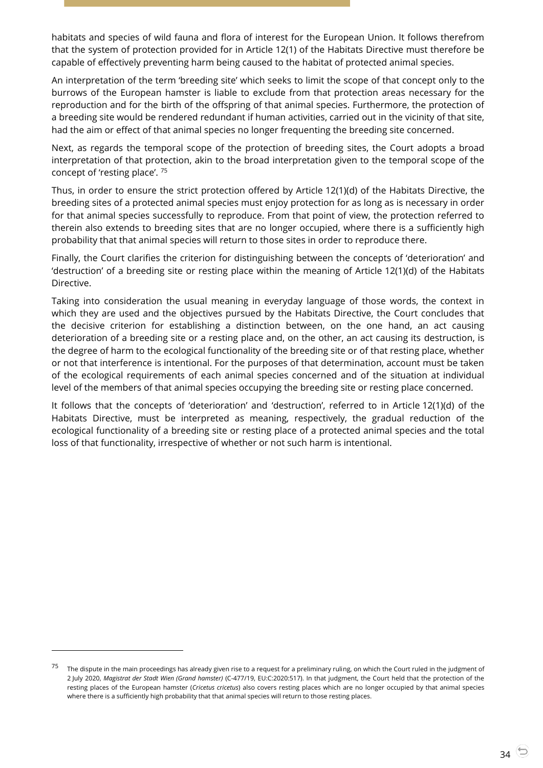habitats and species of wild fauna and flora of interest for the European Union. It follows therefrom that the system of protection provided for in Article 12(1) of the Habitats Directive must therefore be capable of effectively preventing harm being caused to the habitat of protected animal species.

An interpretation of the term 'breeding site' which seeks to limit the scope of that concept only to the burrows of the European hamster is liable to exclude from that protection areas necessary for the reproduction and for the birth of the offspring of that animal species. Furthermore, the protection of a breeding site would be rendered redundant if human activities, carried out in the vicinity of that site, had the aim or effect of that animal species no longer frequenting the breeding site concerned.

Next, as regards the temporal scope of the protection of breeding sites, the Court adopts a broad interpretation of that protection, akin to the broad interpretation given to the temporal scope of the concept of 'resting place'. <sup>75</sup>

Thus, in order to ensure the strict protection offered by Article 12(1)(d) of the Habitats Directive, the breeding sites of a protected animal species must enjoy protection for as long as is necessary in order for that animal species successfully to reproduce. From that point of view, the protection referred to therein also extends to breeding sites that are no longer occupied, where there is a sufficiently high probability that that animal species will return to those sites in order to reproduce there.

Finally, the Court clarifies the criterion for distinguishing between the concepts of 'deterioration' and 'destruction' of a breeding site or resting place within the meaning of Article 12(1)(d) of the Habitats Directive.

Taking into consideration the usual meaning in everyday language of those words, the context in which they are used and the objectives pursued by the Habitats Directive, the Court concludes that the decisive criterion for establishing a distinction between, on the one hand, an act causing deterioration of a breeding site or a resting place and, on the other, an act causing its destruction, is the degree of harm to the ecological functionality of the breeding site or of that resting place, whether or not that interference is intentional. For the purposes of that determination, account must be taken of the ecological requirements of each animal species concerned and of the situation at individual level of the members of that animal species occupying the breeding site or resting place concerned.

It follows that the concepts of 'deterioration' and 'destruction', referred to in Article 12(1)(d) of the Habitats Directive, must be interpreted as meaning, respectively, the gradual reduction of the ecological functionality of a breeding site or resting place of a protected animal species and the total loss of that functionality, irrespective of whether or not such harm is intentional.

-

 $75$  The dispute in the main proceedings has already given rise to a request for a preliminary ruling, on which the Court ruled in the judgment of 2 July 2020, *Magistrat der Stadt Wien (Grand hamster)* (C-477/19, EU:C:2020:517). In that judgment, the Court held that the protection of the resting places of the European hamster (*Cricetus cricetus*) also covers resting places which are no longer occupied by that animal species where there is a sufficiently high probability that that animal species will return to those resting places.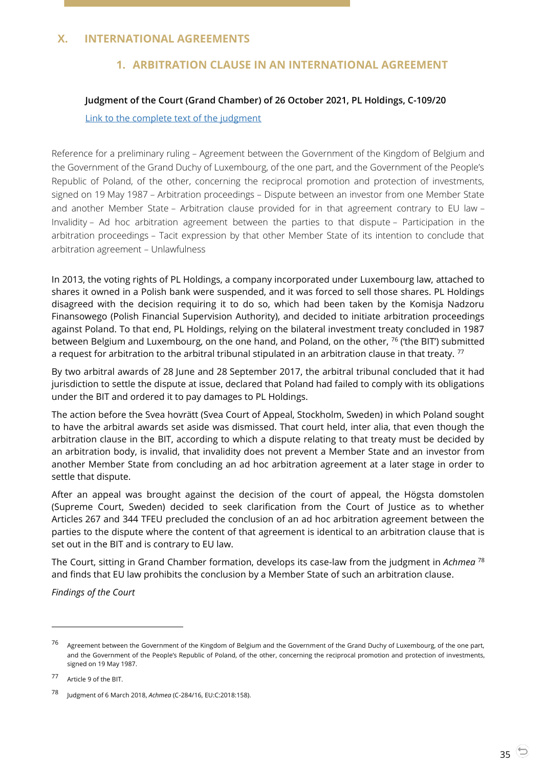# <span id="page-34-2"></span><span id="page-34-1"></span><span id="page-34-0"></span>**X. INTERNATIONAL AGREEMENTS**

# **1. ARBITRATION CLAUSE IN AN INTERNATIONAL AGREEMENT**

#### **Judgment of the Court (Grand Chamber) of 26 October 2021, PL Holdings, C-109/20**

#### [Link to the complete text of the judgment](https://curia.europa.eu/juris/document/document.jsf?text=&docid=248141&pageIndex=0&doclang=EN&mode=lst&dir=&occ=first&part=1&cid=39104640)

Reference for a preliminary ruling – Agreement between the Government of the Kingdom of Belgium and the Government of the Grand Duchy of Luxembourg, of the one part, and the Government of the People's Republic of Poland, of the other, concerning the reciprocal promotion and protection of investments, signed on 19 May 1987 – Arbitration proceedings – Dispute between an investor from one Member State and another Member State – Arbitration clause provided for in that agreement contrary to EU law – Invalidity – Ad hoc arbitration agreement between the parties to that dispute – Participation in the arbitration proceedings – Tacit expression by that other Member State of its intention to conclude that arbitration agreement – Unlawfulness

In 2013, the voting rights of PL Holdings, a company incorporated under Luxembourg law, attached to shares it owned in a Polish bank were suspended, and it was forced to sell those shares. PL Holdings disagreed with the decision requiring it to do so, which had been taken by the Komisja Nadzoru Finansowego (Polish Financial Supervision Authority), and decided to initiate arbitration proceedings against Poland. To that end, PL Holdings, relying on the bilateral investment treaty concluded in 1987 between Belgium and Luxembourg, on the one hand, and Poland, on the other, <sup>76</sup> ('the BIT') submitted a request for arbitration to the arbitral tribunal stipulated in an arbitration clause in that treaty.<sup>77</sup>

By two arbitral awards of 28 June and 28 September 2017, the arbitral tribunal concluded that it had jurisdiction to settle the dispute at issue, declared that Poland had failed to comply with its obligations under the BIT and ordered it to pay damages to PL Holdings.

The action before the Svea hovrätt (Svea Court of Appeal, Stockholm, Sweden) in which Poland sought to have the arbitral awards set aside was dismissed. That court held, inter alia, that even though the arbitration clause in the BIT, according to which a dispute relating to that treaty must be decided by an arbitration body, is invalid, that invalidity does not prevent a Member State and an investor from another Member State from concluding an ad hoc arbitration agreement at a later stage in order to settle that dispute.

After an appeal was brought against the decision of the court of appeal, the Högsta domstolen (Supreme Court, Sweden) decided to seek clarification from the Court of Justice as to whether Articles 267 and 344 TFEU precluded the conclusion of an ad hoc arbitration agreement between the parties to the dispute where the content of that agreement is identical to an arbitration clause that is set out in the BIT and is contrary to EU law.

The Court, sitting in Grand Chamber formation, develops its case-law from the judgment in *Achmea* <sup>78</sup> and finds that EU law prohibits the conclusion by a Member State of such an arbitration clause.

*Findings of the Court*

<sup>76</sup> Agreement between the Government of the Kingdom of Belgium and the Government of the Grand Duchy of Luxembourg, of the one part, and the Government of the People's Republic of Poland, of the other, concerning the reciprocal promotion and protection of investments, signed on 19 May 1987.

<sup>77</sup> Article 9 of the BIT.

<sup>78</sup> Judgment of 6 March 2018, *Achmea* (C-284/16, EU:C:2018:158).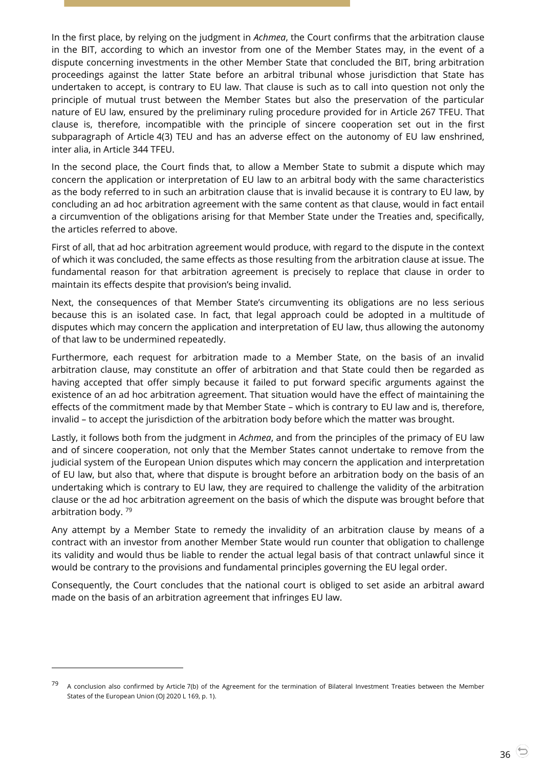In the first place, by relying on the judgment in *Achmea*, the Court confirms that the arbitration clause in the BIT, according to which an investor from one of the Member States may, in the event of a dispute concerning investments in the other Member State that concluded the BIT, bring arbitration proceedings against the latter State before an arbitral tribunal whose jurisdiction that State has undertaken to accept, is contrary to EU law. That clause is such as to call into question not only the principle of mutual trust between the Member States but also the preservation of the particular nature of EU law, ensured by the preliminary ruling procedure provided for in Article 267 TFEU. That clause is, therefore, incompatible with the principle of sincere cooperation set out in the first subparagraph of Article 4(3) TEU and has an adverse effect on the autonomy of EU law enshrined, inter alia, in Article 344 TFEU.

In the second place, the Court finds that, to allow a Member State to submit a dispute which may concern the application or interpretation of EU law to an arbitral body with the same characteristics as the body referred to in such an arbitration clause that is invalid because it is contrary to EU law, by concluding an ad hoc arbitration agreement with the same content as that clause, would in fact entail a circumvention of the obligations arising for that Member State under the Treaties and, specifically, the articles referred to above.

First of all, that ad hoc arbitration agreement would produce, with regard to the dispute in the context of which it was concluded, the same effects as those resulting from the arbitration clause at issue. The fundamental reason for that arbitration agreement is precisely to replace that clause in order to maintain its effects despite that provision's being invalid.

Next, the consequences of that Member State's circumventing its obligations are no less serious because this is an isolated case. In fact, that legal approach could be adopted in a multitude of disputes which may concern the application and interpretation of EU law, thus allowing the autonomy of that law to be undermined repeatedly.

Furthermore, each request for arbitration made to a Member State, on the basis of an invalid arbitration clause, may constitute an offer of arbitration and that State could then be regarded as having accepted that offer simply because it failed to put forward specific arguments against the existence of an ad hoc arbitration agreement. That situation would have the effect of maintaining the effects of the commitment made by that Member State – which is contrary to EU law and is, therefore, invalid – to accept the jurisdiction of the arbitration body before which the matter was brought.

Lastly, it follows both from the judgment in *Achmea*, and from the principles of the primacy of EU law and of sincere cooperation, not only that the Member States cannot undertake to remove from the judicial system of the European Union disputes which may concern the application and interpretation of EU law, but also that, where that dispute is brought before an arbitration body on the basis of an undertaking which is contrary to EU law, they are required to challenge the validity of the arbitration clause or the ad hoc arbitration agreement on the basis of which the dispute was brought before that arbitration body. <sup>79</sup>

Any attempt by a Member State to remedy the invalidity of an arbitration clause by means of a contract with an investor from another Member State would run counter that obligation to challenge its validity and would thus be liable to render the actual legal basis of that contract unlawful since it would be contrary to the provisions and fundamental principles governing the EU legal order.

Consequently, the Court concludes that the national court is obliged to set aside an arbitral award made on the basis of an arbitration agreement that infringes EU law.

-

 $^{79}$  A conclusion also confirmed by Article 7(b) of the Agreement for the termination of Bilateral Investment Treaties between the Member States of the European Union (OJ 2020 L 169, p. 1).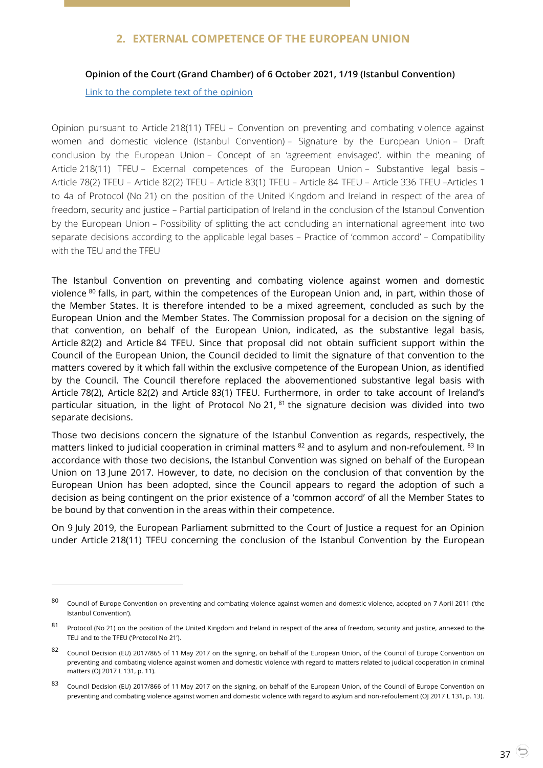# **2. EXTERNAL COMPETENCE OF THE EUROPEAN UNION**

### <span id="page-36-1"></span><span id="page-36-0"></span>**Opinion of the Court (Grand Chamber) of 6 October 2021, 1/19 (Istanbul Convention)**

[Link to the complete text of the opinion](https://curia.europa.eu/juris/document/document.jsf?text=avis%2B1%252F19&docid=247081&pageIndex=0&doclang=EN&mode=req&dir=&occ=first&part=1&cid=39107475#ctx1)

 $\overline{a}$ 

Opinion pursuant to Article 218(11) TFEU – Convention on preventing and combating violence against women and domestic violence (Istanbul Convention) – Signature by the European Union – Draft conclusion by the European Union – Concept of an 'agreement envisaged', within the meaning of Article 218(11) TFEU – External competences of the European Union – Substantive legal basis – Article 78(2) TFEU – Article 82(2) TFEU – Article 83(1) TFEU – Article 84 TFEU – Article 336 TFEU –Articles 1 to 4a of Protocol (No 21) on the position of the United Kingdom and Ireland in respect of the area of freedom, security and justice – Partial participation of Ireland in the conclusion of the Istanbul Convention by the European Union – Possibility of splitting the act concluding an international agreement into two separate decisions according to the applicable legal bases – Practice of 'common accord' – Compatibility with the TEU and the TFEU

The Istanbul Convention on preventing and combating violence against women and domestic violence <sup>80</sup> falls, in part, within the competences of the European Union and, in part, within those of the Member States. It is therefore intended to be a mixed agreement, concluded as such by the European Union and the Member States. The Commission proposal for a decision on the signing of that convention, on behalf of the European Union, indicated, as the substantive legal basis, Article 82(2) and Article 84 TFEU. Since that proposal did not obtain sufficient support within the Council of the European Union, the Council decided to limit the signature of that convention to the matters covered by it which fall within the exclusive competence of the European Union, as identified by the Council. The Council therefore replaced the abovementioned substantive legal basis with Article 78(2), Article 82(2) and Article 83(1) TFEU. Furthermore, in order to take account of Ireland's particular situation, in the light of Protocol No 21, <sup>81</sup> the signature decision was divided into two separate decisions.

Those two decisions concern the signature of the Istanbul Convention as regards, respectively, the matters linked to judicial cooperation in criminal matters <sup>82</sup> and to asylum and non-refoulement. <sup>83</sup> In accordance with those two decisions, the Istanbul Convention was signed on behalf of the European Union on 13 June 2017. However, to date, no decision on the conclusion of that convention by the European Union has been adopted, since the Council appears to regard the adoption of such a decision as being contingent on the prior existence of a 'common accord' of all the Member States to be bound by that convention in the areas within their competence.

On 9 July 2019, the European Parliament submitted to the Court of Justice a request for an Opinion under Article 218(11) TFEU concerning the conclusion of the Istanbul Convention by the European

<sup>80</sup> Council of Europe Convention on preventing and combating violence against women and domestic violence, adopted on 7 April 2011 ('the Istanbul Convention').

<sup>81</sup> Protocol (No 21) on the position of the United Kingdom and Ireland in respect of the area of freedom, security and justice, annexed to the TEU and to the TFEU ('Protocol No 21').

<sup>82</sup> Council Decision (EU) 2017/865 of 11 May 2017 on the signing, on behalf of the European Union, of the Council of Europe Convention on preventing and combating violence against women and domestic violence with regard to matters related to judicial cooperation in criminal matters (OJ 2017 L 131, p. 11).

<sup>83</sup> Council Decision (EU) 2017/866 of 11 May 2017 on the signing, on behalf of the European Union, of the Council of Europe Convention on preventing and combating violence against women and domestic violence with regard to asylum and non-refoulement (OJ 2017 L 131, p. 13).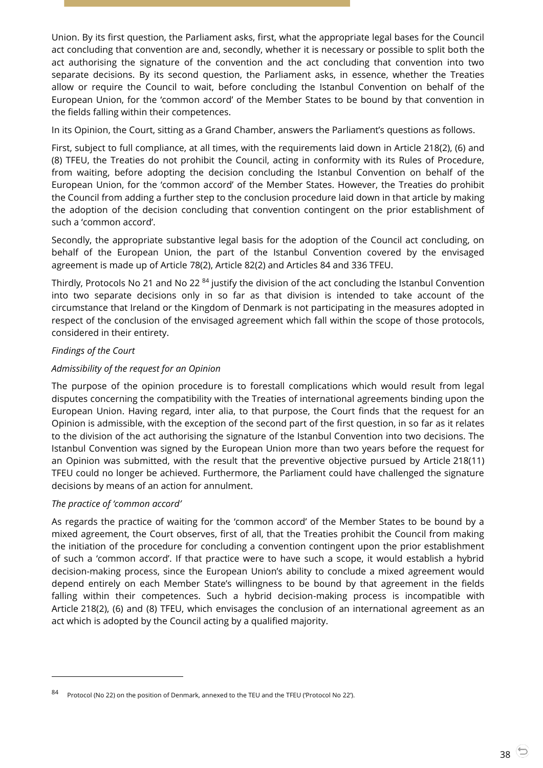Union. By its first question, the Parliament asks, first, what the appropriate legal bases for the Council act concluding that convention are and, secondly, whether it is necessary or possible to split both the act authorising the signature of the convention and the act concluding that convention into two separate decisions. By its second question, the Parliament asks, in essence, whether the Treaties allow or require the Council to wait, before concluding the Istanbul Convention on behalf of the European Union, for the 'common accord' of the Member States to be bound by that convention in the fields falling within their competences.

In its Opinion, the Court, sitting as a Grand Chamber, answers the Parliament's questions as follows.

First, subject to full compliance, at all times, with the requirements laid down in Article 218(2), (6) and (8) TFEU, the Treaties do not prohibit the Council, acting in conformity with its Rules of Procedure, from waiting, before adopting the decision concluding the Istanbul Convention on behalf of the European Union, for the 'common accord' of the Member States. However, the Treaties do prohibit the Council from adding a further step to the conclusion procedure laid down in that article by making the adoption of the decision concluding that convention contingent on the prior establishment of such a 'common accord'.

Secondly, the appropriate substantive legal basis for the adoption of the Council act concluding, on behalf of the European Union, the part of the Istanbul Convention covered by the envisaged agreement is made up of Article 78(2), Article 82(2) and Articles 84 and 336 TFEU.

Thirdly, Protocols No 21 and No 22 <sup>84</sup> justify the division of the act concluding the Istanbul Convention into two separate decisions only in so far as that division is intended to take account of the circumstance that Ireland or the Kingdom of Denmark is not participating in the measures adopted in respect of the conclusion of the envisaged agreement which fall within the scope of those protocols, considered in their entirety.

### *Findings of the Court*

### *Admissibility of the request for an Opinion*

The purpose of the opinion procedure is to forestall complications which would result from legal disputes concerning the compatibility with the Treaties of international agreements binding upon the European Union. Having regard, inter alia, to that purpose, the Court finds that the request for an Opinion is admissible, with the exception of the second part of the first question, in so far as it relates to the division of the act authorising the signature of the Istanbul Convention into two decisions. The Istanbul Convention was signed by the European Union more than two years before the request for an Opinion was submitted, with the result that the preventive objective pursued by Article 218(11) TFEU could no longer be achieved. Furthermore, the Parliament could have challenged the signature decisions by means of an action for annulment.

#### *The practice of 'common accord'*

 $\overline{a}$ 

As regards the practice of waiting for the 'common accord' of the Member States to be bound by a mixed agreement, the Court observes, first of all, that the Treaties prohibit the Council from making the initiation of the procedure for concluding a convention contingent upon the prior establishment of such a 'common accord'. If that practice were to have such a scope, it would establish a hybrid decision-making process, since the European Union's ability to conclude a mixed agreement would depend entirely on each Member State's willingness to be bound by that agreement in the fields falling within their competences. Such a hybrid decision-making process is incompatible with Article 218(2), (6) and (8) TFEU, which envisages the conclusion of an international agreement as an act which is adopted by the Council acting by a qualified majority.

Protocol (No 22) on the position of Denmark, annexed to the TEU and the TFEU ('Protocol No 22').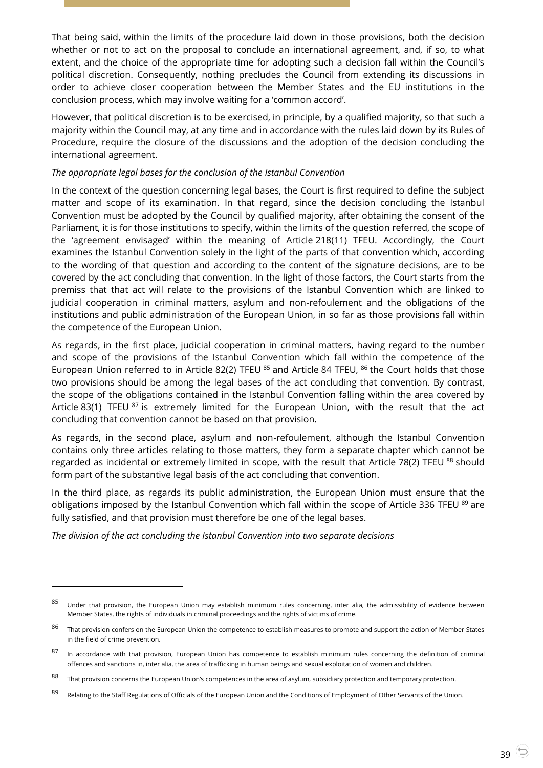That being said, within the limits of the procedure laid down in those provisions, both the decision whether or not to act on the proposal to conclude an international agreement, and, if so, to what extent, and the choice of the appropriate time for adopting such a decision fall within the Council's political discretion. Consequently, nothing precludes the Council from extending its discussions in order to achieve closer cooperation between the Member States and the EU institutions in the conclusion process, which may involve waiting for a 'common accord'.

However, that political discretion is to be exercised, in principle, by a qualified majority, so that such a majority within the Council may, at any time and in accordance with the rules laid down by its Rules of Procedure, require the closure of the discussions and the adoption of the decision concluding the international agreement.

### *The appropriate legal bases for the conclusion of the Istanbul Convention*

In the context of the question concerning legal bases, the Court is first required to define the subject matter and scope of its examination. In that regard, since the decision concluding the Istanbul Convention must be adopted by the Council by qualified majority, after obtaining the consent of the Parliament, it is for those institutions to specify, within the limits of the question referred, the scope of the 'agreement envisaged' within the meaning of Article 218(11) TFEU. Accordingly, the Court examines the Istanbul Convention solely in the light of the parts of that convention which, according to the wording of that question and according to the content of the signature decisions, are to be covered by the act concluding that convention. In the light of those factors, the Court starts from the premiss that that act will relate to the provisions of the Istanbul Convention which are linked to judicial cooperation in criminal matters, asylum and non-refoulement and the obligations of the institutions and public administration of the European Union, in so far as those provisions fall within the competence of the European Union.

As regards, in the first place, judicial cooperation in criminal matters, having regard to the number and scope of the provisions of the Istanbul Convention which fall within the competence of the European Union referred to in Article 82(2) TFEU <sup>85</sup> and Article 84 TFEU, <sup>86</sup> the Court holds that those two provisions should be among the legal bases of the act concluding that convention. By contrast, the scope of the obligations contained in the Istanbul Convention falling within the area covered by Article 83(1) TFEU  $^{87}$  is extremely limited for the European Union, with the result that the act concluding that convention cannot be based on that provision.

As regards, in the second place, asylum and non-refoulement, although the Istanbul Convention contains only three articles relating to those matters, they form a separate chapter which cannot be regarded as incidental or extremely limited in scope, with the result that Article 78(2) TFEU <sup>88</sup> should form part of the substantive legal basis of the act concluding that convention.

In the third place, as regards its public administration, the European Union must ensure that the obligations imposed by the Istanbul Convention which fall within the scope of Article 336 TFEU <sup>89</sup> are fully satisfied, and that provision must therefore be one of the legal bases.

*The division of the act concluding the Istanbul Convention into two separate decisions*

-

<sup>85</sup> Under that provision, the European Union may establish minimum rules concerning, inter alia, the admissibility of evidence between Member States, the rights of individuals in criminal proceedings and the rights of victims of crime.

<sup>86</sup> That provision confers on the European Union the competence to establish measures to promote and support the action of Member States in the field of crime prevention.

<sup>87</sup> In accordance with that provision, European Union has competence to establish minimum rules concerning the definition of criminal offences and sanctions in, inter alia, the area of trafficking in human beings and sexual exploitation of women and children.

 $88$  That provision concerns the European Union's competences in the area of asylum, subsidiary protection and temporary protection.

<sup>89</sup> Relating to the Staff Regulations of Officials of the European Union and the Conditions of Employment of Other Servants of the Union.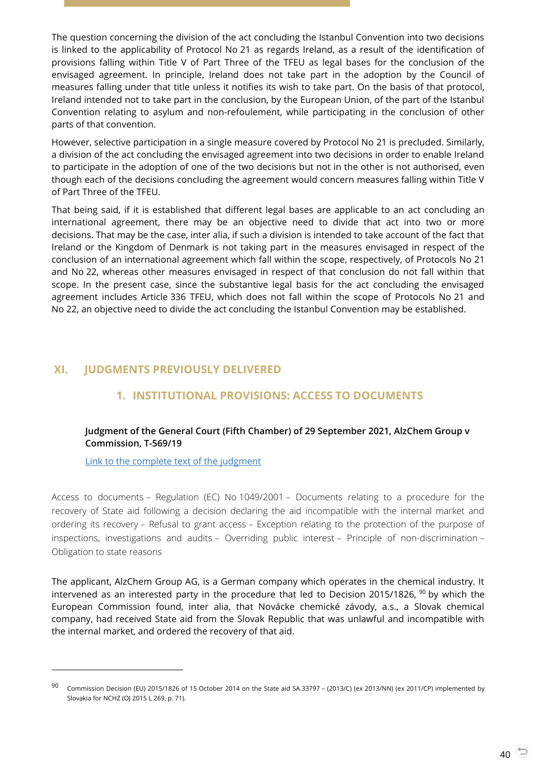The question concerning the division of the act concluding the Istanbul Convention into two decisions is linked to the applicability of Protocol No 21 as regards Ireland, as a result of the identification of provisions falling within Title V of Part Three of the TFEU as legal bases for the conclusion of the envisaged agreement. In principle, Ireland does not take part in the adoption by the Council of measures falling under that title unless it notifies its wish to take part. On the basis of that protocol, Ireland intended not to take part in the conclusion, by the European Union, of the part of the Istanbul Convention relating to asylum and non-refoulement, while participating in the conclusion of other parts of that convention.

However, selective participation in a single measure covered by Protocol No 21 is precluded. Similarly, a division of the act concluding the envisaged agreement into two decisions in order to enable Ireland to participate in the adoption of one of the two decisions but not in the other is not authorised, even though each of the decisions concluding the agreement would concern measures falling within Title V of Part Three of the TFEU.

That being said, if it is established that different legal bases are applicable to an act concluding an international agreement, there may be an objective need to divide that act into two or more decisions. That may be the case, inter alia, if such a division is intended to take account of the fact that Ireland or the Kingdom of Denmark is not taking part in the measures envisaged in respect of the conclusion of an international agreement which fall within the scope, respectively, of Protocols No 21 and No 22, whereas other measures envisaged in respect of that conclusion do not fall within that scope. In the present case, since the substantive legal basis for the act concluding the envisaged agreement includes Article 336 TFEU, which does not fall within the scope of Protocols No 21 and No 22, an objective need to divide the act concluding the Istanbul Convention may be established.

# <span id="page-39-2"></span><span id="page-39-1"></span><span id="page-39-0"></span>**XI. JUDGMENTS PREVIOUSLY DELIVERED**

# **1. INSTITUTIONAL PROVISIONS: ACCESS TO DOCUMENTS**

### **Judgment of the General Court (Fifth Chamber) of 29 September 2021, AlzChem Group v Commission, T-569/19**

[Link to the complete text of the judgment](https://curia.europa.eu/juris/document/document.jsf?text=&docid=246727&pageIndex=0&doclang=EN&mode=lst&dir=&occ=first&part=1&cid=39113842)

-

Access to documents – Regulation (EC) No 1049/2001 – Documents relating to a procedure for the recovery of State aid following a decision declaring the aid incompatible with the internal market and ordering its recovery – Refusal to grant access – Exception relating to the protection of the purpose of inspections, investigations and audits – Overriding public interest – Principle of non-discrimination – Obligation to state reasons

The applicant, AlzChem Group AG, is a German company which operates in the chemical industry. It intervened as an interested party in the procedure that led to Decision 2015/1826,  $90$  by which the European Commission found, inter alia, that Novácke chemické závody, a.s., a Slovak chemical company, had received State aid from the Slovak Republic that was unlawful and incompatible with the internal market, and ordered the recovery of that aid.

<sup>90</sup> Commission Decision (EU) 2015/1826 of 15 October 2014 on the State aid SA.33797 – (2013/C) (ex 2013/NN) (ex 2011/CP) implemented by Slovakia for NCHZ (OJ 2015 L 269, p. 71).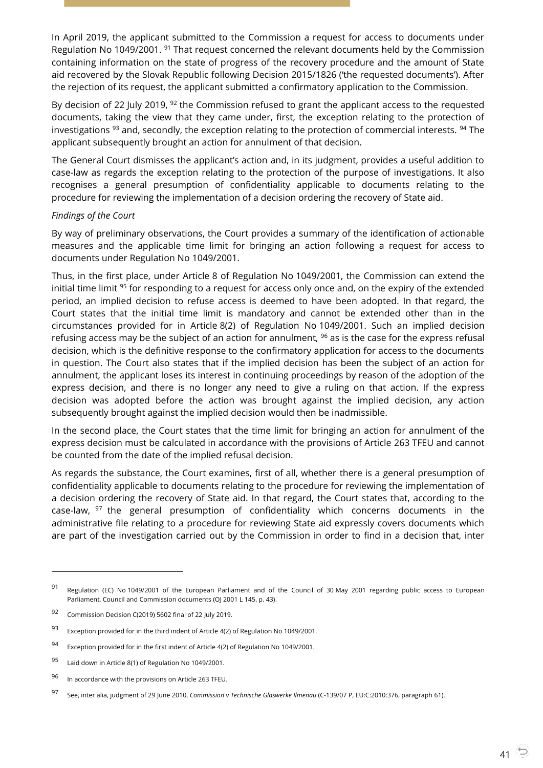In April 2019, the applicant submitted to the Commission a request for access to documents under Regulation No 1049/2001.<sup>91</sup> That request concerned the relevant documents held by the Commission containing information on the state of progress of the recovery procedure and the amount of State aid recovered by the Slovak Republic following Decision 2015/1826 ('the requested documents'). After the rejection of its request, the applicant submitted a confirmatory application to the Commission.

By decision of 22 July 2019,  $92$  the Commission refused to grant the applicant access to the requested documents, taking the view that they came under, first, the exception relating to the protection of investigations  $93$  and, secondly, the exception relating to the protection of commercial interests.  $94$  The applicant subsequently brought an action for annulment of that decision.

The General Court dismisses the applicant's action and, in its judgment, provides a useful addition to case-law as regards the exception relating to the protection of the purpose of investigations. It also recognises a general presumption of confidentiality applicable to documents relating to the procedure for reviewing the implementation of a decision ordering the recovery of State aid.

#### *Findings of the Court*

By way of preliminary observations, the Court provides a summary of the identification of actionable measures and the applicable time limit for bringing an action following a request for access to documents under Regulation No 1049/2001.

Thus, in the first place, under Article 8 of Regulation No 1049/2001, the Commission can extend the initial time limit <sup>95</sup> for responding to a request for access only once and, on the expiry of the extended period, an implied decision to refuse access is deemed to have been adopted. In that regard, the Court states that the initial time limit is mandatory and cannot be extended other than in the circumstances provided for in Article 8(2) of Regulation No 1049/2001. Such an implied decision refusing access may be the subject of an action for annulment,  $96$  as is the case for the express refusal decision, which is the definitive response to the confirmatory application for access to the documents in question. The Court also states that if the implied decision has been the subject of an action for annulment, the applicant loses its interest in continuing proceedings by reason of the adoption of the express decision, and there is no longer any need to give a ruling on that action. If the express decision was adopted before the action was brought against the implied decision, any action subsequently brought against the implied decision would then be inadmissible.

In the second place, the Court states that the time limit for bringing an action for annulment of the express decision must be calculated in accordance with the provisions of Article 263 TFEU and cannot be counted from the date of the implied refusal decision.

As regards the substance, the Court examines, first of all, whether there is a general presumption of confidentiality applicable to documents relating to the procedure for reviewing the implementation of a decision ordering the recovery of State aid. In that regard, the Court states that, according to the case-law,  $97$  the general presumption of confidentiality which concerns documents in the administrative file relating to a procedure for reviewing State aid expressly covers documents which are part of the investigation carried out by the Commission in order to find in a decision that, inter

<sup>91</sup> Regulation (EC) No 1049/2001 of the European Parliament and of the Council of 30 May 2001 regarding public access to European Parliament, Council and Commission documents (OJ 2001 L 145, p. 43).

<sup>92</sup> Commission Decision C(2019) 5602 final of 22 July 2019.

<sup>93</sup> Exception provided for in the third indent of Article 4(2) of Regulation No 1049/2001.

<sup>94</sup> Exception provided for in the first indent of Article 4(2) of Regulation No 1049/2001.

<sup>95</sup> Laid down in Article 8(1) of Regulation No 1049/2001.

<sup>96</sup> In accordance with the provisions on Article 263 TFEU.

<sup>97</sup> See, inter alia, judgment of 29 June 2010, *Commission* <sup>v</sup>*Technische Glaswerke Ilmenau* (C-139/07 P, EU:C:2010:376, paragraph 61).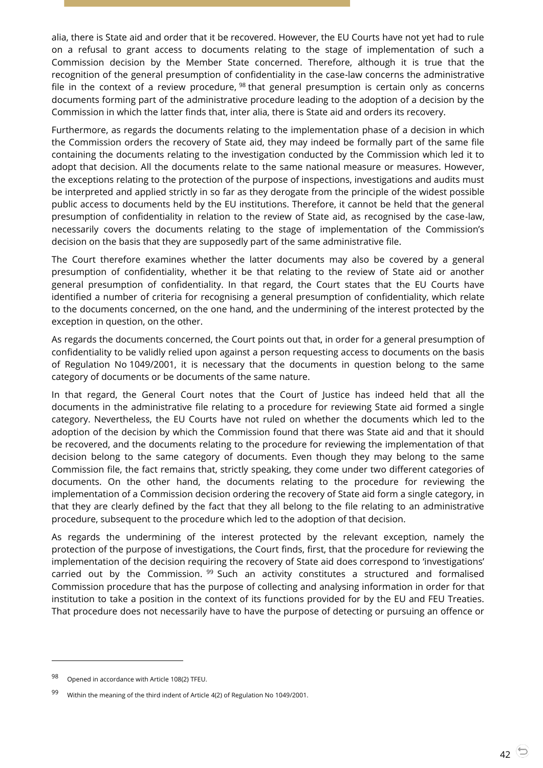alia, there is State aid and order that it be recovered. However, the EU Courts have not yet had to rule on a refusal to grant access to documents relating to the stage of implementation of such a Commission decision by the Member State concerned. Therefore, although it is true that the recognition of the general presumption of confidentiality in the case-law concerns the administrative file in the context of a review procedure,  $98$  that general presumption is certain only as concerns documents forming part of the administrative procedure leading to the adoption of a decision by the Commission in which the latter finds that, inter alia, there is State aid and orders its recovery.

Furthermore, as regards the documents relating to the implementation phase of a decision in which the Commission orders the recovery of State aid, they may indeed be formally part of the same file containing the documents relating to the investigation conducted by the Commission which led it to adopt that decision. All the documents relate to the same national measure or measures. However, the exceptions relating to the protection of the purpose of inspections, investigations and audits must be interpreted and applied strictly in so far as they derogate from the principle of the widest possible public access to documents held by the EU institutions. Therefore, it cannot be held that the general presumption of confidentiality in relation to the review of State aid, as recognised by the case-law, necessarily covers the documents relating to the stage of implementation of the Commission's decision on the basis that they are supposedly part of the same administrative file.

The Court therefore examines whether the latter documents may also be covered by a general presumption of confidentiality, whether it be that relating to the review of State aid or another general presumption of confidentiality. In that regard, the Court states that the EU Courts have identified a number of criteria for recognising a general presumption of confidentiality, which relate to the documents concerned, on the one hand, and the undermining of the interest protected by the exception in question, on the other.

As regards the documents concerned, the Court points out that, in order for a general presumption of confidentiality to be validly relied upon against a person requesting access to documents on the basis of Regulation No 1049/2001, it is necessary that the documents in question belong to the same category of documents or be documents of the same nature.

In that regard, the General Court notes that the Court of Justice has indeed held that all the documents in the administrative file relating to a procedure for reviewing State aid formed a single category. Nevertheless, the EU Courts have not ruled on whether the documents which led to the adoption of the decision by which the Commission found that there was State aid and that it should be recovered, and the documents relating to the procedure for reviewing the implementation of that decision belong to the same category of documents. Even though they may belong to the same Commission file, the fact remains that, strictly speaking, they come under two different categories of documents. On the other hand, the documents relating to the procedure for reviewing the implementation of a Commission decision ordering the recovery of State aid form a single category, in that they are clearly defined by the fact that they all belong to the file relating to an administrative procedure, subsequent to the procedure which led to the adoption of that decision.

As regards the undermining of the interest protected by the relevant exception, namely the protection of the purpose of investigations, the Court finds, first, that the procedure for reviewing the implementation of the decision requiring the recovery of State aid does correspond to 'investigations' carried out by the Commission.  $99$  Such an activity constitutes a structured and formalised Commission procedure that has the purpose of collecting and analysing information in order for that institution to take a position in the context of its functions provided for by the EU and FEU Treaties. That procedure does not necessarily have to have the purpose of detecting or pursuing an offence or

<sup>98</sup> Opened in accordance with Article 108(2) TFEU.

<sup>99</sup> Within the meaning of the third indent of Article 4(2) of Regulation No 1049/2001.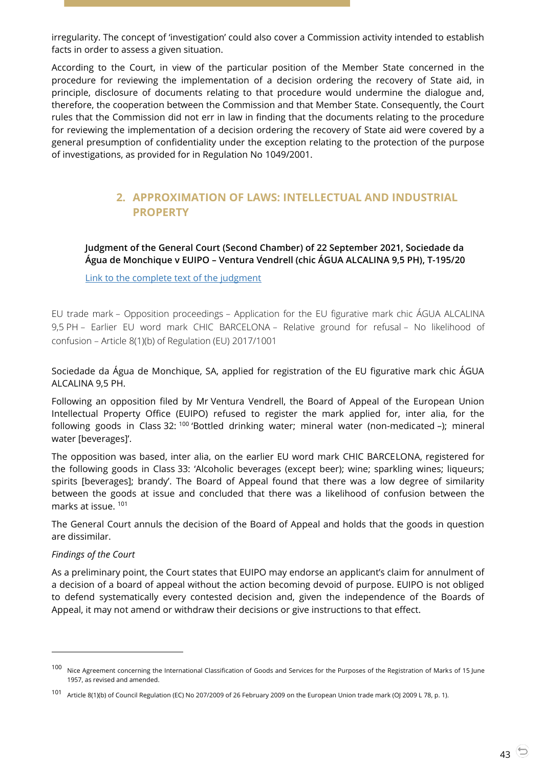irregularity. The concept of 'investigation' could also cover a Commission activity intended to establish facts in order to assess a given situation.

According to the Court, in view of the particular position of the Member State concerned in the procedure for reviewing the implementation of a decision ordering the recovery of State aid, in principle, disclosure of documents relating to that procedure would undermine the dialogue and, therefore, the cooperation between the Commission and that Member State. Consequently, the Court rules that the Commission did not err in law in finding that the documents relating to the procedure for reviewing the implementation of a decision ordering the recovery of State aid were covered by a general presumption of confidentiality under the exception relating to the protection of the purpose of investigations, as provided for in Regulation No 1049/2001.

# <span id="page-42-0"></span>**2. APPROXIMATION OF LAWS: INTELLECTUAL AND INDUSTRIAL PROPERTY**

<span id="page-42-1"></span>**Judgment of the General Court (Second Chamber) of 22 September 2021, Sociedade da Água de Monchique v EUIPO – Ventura Vendrell (chic ÁGUA ALCALINA 9,5 PH), T-195/20**

[Link to the complete text of the judgment](https://curia.europa.eu/juris/document/document.jsf?text=&docid=246450&pageIndex=0&doclang=EN&mode=lst&dir=&occ=first&part=1&cid=39126142)

EU trade mark – Opposition proceedings – Application for the EU figurative mark chic ÁGUA ALCALINA 9,5 PH – Earlier EU word mark CHIC BARCELONA – Relative ground for refusal – No likelihood of confusion – Article 8(1)(b) of Regulation (EU) 2017/1001

Sociedade da Água de Monchique, SA, applied for registration of the EU figurative mark chic ÁGUA ALCALINA 9,5 PH.

Following an opposition filed by Mr Ventura Vendrell, the Board of Appeal of the European Union Intellectual Property Office (EUIPO) refused to register the mark applied for, inter alia, for the following goods in Class 32:<sup>100</sup> 'Bottled drinking water; mineral water (non-medicated -); mineral water [beverages]'.

The opposition was based, inter alia, on the earlier EU word mark CHIC BARCELONA, registered for the following goods in Class 33: 'Alcoholic beverages (except beer); wine; sparkling wines; liqueurs; spirits [beverages]; brandy'. The Board of Appeal found that there was a low degree of similarity between the goods at issue and concluded that there was a likelihood of confusion between the marks at issue.<sup>101</sup>

The General Court annuls the decision of the Board of Appeal and holds that the goods in question are dissimilar.

### *Findings of the Court*

 $\overline{a}$ 

As a preliminary point, the Court states that EUIPO may endorse an applicant's claim for annulment of a decision of a board of appeal without the action becoming devoid of purpose. EUIPO is not obliged to defend systematically every contested decision and, given the independence of the Boards of Appeal, it may not amend or withdraw their decisions or give instructions to that effect.

<sup>100</sup> Nice Agreement concerning the International Classification of Goods and Services for the Purposes of the Registration of Marks of 15 June 1957, as revised and amended.

<sup>101</sup> Article 8(1)(b) of Council Regulation (EC) No 207/2009 of 26 February 2009 on the European Union trade mark (OJ 2009 L 78, p. 1).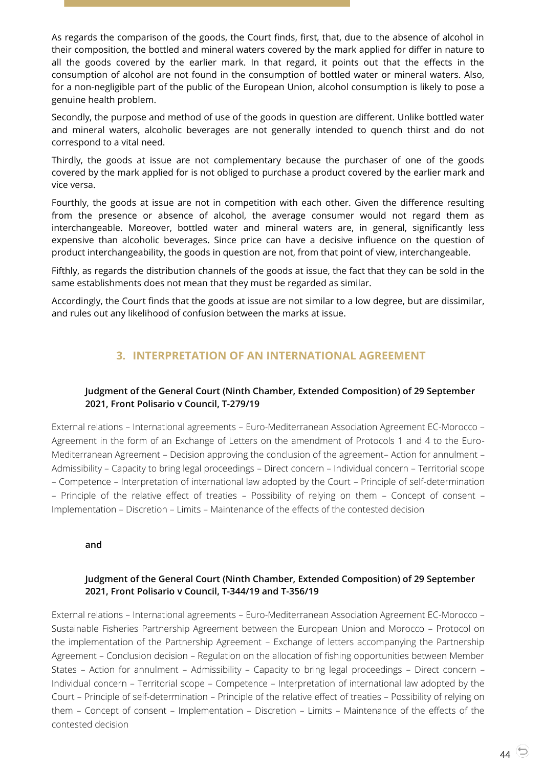As regards the comparison of the goods, the Court finds, first, that, due to the absence of alcohol in their composition, the bottled and mineral waters covered by the mark applied for differ in nature to all the goods covered by the earlier mark. In that regard, it points out that the effects in the consumption of alcohol are not found in the consumption of bottled water or mineral waters. Also, for a non-negligible part of the public of the European Union, alcohol consumption is likely to pose a genuine health problem.

Secondly, the purpose and method of use of the goods in question are different. Unlike bottled water and mineral waters, alcoholic beverages are not generally intended to quench thirst and do not correspond to a vital need.

Thirdly, the goods at issue are not complementary because the purchaser of one of the goods covered by the mark applied for is not obliged to purchase a product covered by the earlier mark and vice versa.

Fourthly, the goods at issue are not in competition with each other. Given the difference resulting from the presence or absence of alcohol, the average consumer would not regard them as interchangeable. Moreover, bottled water and mineral waters are, in general, significantly less expensive than alcoholic beverages. Since price can have a decisive influence on the question of product interchangeability, the goods in question are not, from that point of view, interchangeable.

Fifthly, as regards the distribution channels of the goods at issue, the fact that they can be sold in the same establishments does not mean that they must be regarded as similar.

<span id="page-43-0"></span>Accordingly, the Court finds that the goods at issue are not similar to a low degree, but are dissimilar, and rules out any likelihood of confusion between the marks at issue.

# **3. INTERPRETATION OF AN INTERNATIONAL AGREEMENT**

### <span id="page-43-1"></span>**Judgment of the General Court (Ninth Chamber, Extended Composition) of 29 September 2021, Front Polisario v Council, T-279/19**

External relations – International agreements – Euro-Mediterranean Association Agreement EC-Morocco – Agreement in the form of an Exchange of Letters on the amendment of Protocols 1 and 4 to the Euro-Mediterranean Agreement – Decision approving the conclusion of the agreement– Action for annulment – Admissibility – Capacity to bring legal proceedings – Direct concern – Individual concern – Territorial scope – Competence – Interpretation of international law adopted by the Court – Principle of self-determination – Principle of the relative effect of treaties – Possibility of relying on them – Concept of consent – Implementation – Discretion – Limits – Maintenance of the effects of the contested decision

#### **and**

### <span id="page-43-2"></span>**Judgment of the General Court (Ninth Chamber, Extended Composition) of 29 September 2021, Front Polisario v Council, T-344/19 and T-356/19**

External relations – International agreements – Euro-Mediterranean Association Agreement EC-Morocco – Sustainable Fisheries Partnership Agreement between the European Union and Morocco – Protocol on the implementation of the Partnership Agreement – Exchange of letters accompanying the Partnership Agreement – Conclusion decision – Regulation on the allocation of fishing opportunities between Member States – Action for annulment – Admissibility – Capacity to bring legal proceedings – Direct concern – Individual concern – Territorial scope – Competence – Interpretation of international law adopted by the Court – Principle of self-determination – Principle of the relative effect of treaties – Possibility of relying on them – Concept of consent – Implementation – Discretion – Limits – Maintenance of the effects of the contested decision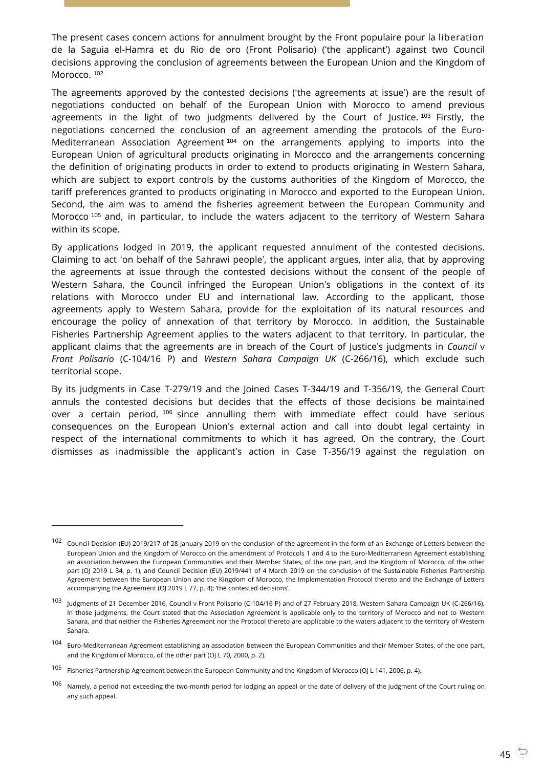The present cases concern actions for annulment brought by the Front populaire pour la liberation de la Saguia el-Hamra et du Rio de oro (Front Polisario) ('the applicant') against two Council decisions approving the conclusion of agreements between the European Union and the Kingdom of Morocco.<sup>102</sup>

The agreements approved by the contested decisions ('the agreements at issue') are the result of negotiations conducted on behalf of the European Union with Morocco to amend previous agreements in the light of two judgments delivered by the Court of Justice.  $103$  Firstly, the negotiations concerned the conclusion of an agreement amending the protocols of the Euro-Mediterranean Association Agreement<sup>104</sup> on the arrangements applying to imports into the European Union of agricultural products originating in Morocco and the arrangements concerning the definition of originating products in order to extend to products originating in Western Sahara, which are subject to export controls by the customs authorities of the Kingdom of Morocco, the tariff preferences granted to products originating in Morocco and exported to the European Union. Second, the aim was to amend the fisheries agreement between the European Community and Morocco <sup>105</sup> and, in particular, to include the waters adjacent to the territory of Western Sahara within its scope.

By applications lodged in 2019, the applicant requested annulment of the contested decisions. Claiming to act 'on behalf of the Sahrawi people', the applicant argues, inter alia, that by approving the agreements at issue through the contested decisions without the consent of the people of Western Sahara, the Council infringed the European Union's obligations in the context of its relations with Morocco under EU and international law. According to the applicant, those agreements apply to Western Sahara, provide for the exploitation of its natural resources and encourage the policy of annexation of that territory by Morocco. In addition, the Sustainable Fisheries Partnership Agreement applies to the waters adjacent to that territory. In particular, the applicant claims that the agreements are in breach of the Court of Justice's judgments in *Council* v *Front Polisario* (C-104/16 P) and *Western Sahara Campaign UK* (C-266/16), which exclude such territorial scope.

By its judgments in Case T-279/19 and the Joined Cases T-344/19 and T-356/19, the General Court annuls the contested decisions but decides that the effects of those decisions be maintained over a certain period, <sup>106</sup> since annulling them with immediate effect could have serious consequences on the European Union's external action and call into doubt legal certainty in respect of the international commitments to which it has agreed. On the contrary, the Court dismisses as inadmissible the applicant's action in Case T-356/19 against the regulation on

-

<sup>102</sup> Council Decision (EU) 2019/217 of 28 January 2019 on the conclusion of the agreement in the form of an Exchange of Letters between the European Union and the Kingdom of Morocco on the amendment of Protocols 1 and 4 to the Euro-Mediterranean Agreement establishing an association between the European Communities and their Member States, of the one part, and the Kingdom of Morocco, of the other part (OJ 2019 L 34, p. 1), and Council Decision (EU) 2019/441 of 4 March 2019 on the conclusion of the Sustainable Fisheries Partnership Agreement between the European Union and the Kingdom of Morocco, the Implementation Protocol thereto and the Exchange of Letters accompanying the Agreement (OJ 2019 L 77, p. 4); 'the contested decisions'.

<sup>103</sup> Judgments of 21 December 2016, Council v Front Polisario [\(C-104/16](http://curia.europa.eu/juris/documents.jsf?num=C-104/16) [P\)](http://curia.europa.eu/juris/documents.jsf?num=C-104/16) and of 27 February 2018, Western Sahara Campaign UK [\(C-266/16\)](https://curia.europa.eu/juris/documents.jsf?num=C-266/16)[.](https://curia.europa.eu/jcms/upload/docs/application/pdf/2018-02/cp180021en.pdf) In those judgments, the Court stated that the Association Agreement is applicable only to the territory of Morocco and not to Western Sahara, and that neither the Fisheries Agreement nor the Protocol thereto are applicable to the waters adjacent to the territory of Western Sahara.

<sup>104</sup> Euro-Mediterranean Agreement establishing an association between the European Communities and their Member States, of the one part, and the Kingdom of Morocco, of the other part (OJ L 70, 2000, p. 2).

<sup>105</sup> Fisheries Partnership Agreement between the European Community and the Kingdom of Morocco (OJ L 141, 2006, p. 4).

<sup>&</sup>lt;sup>106</sup> Namely, a period not exceeding the two-month period for lodging an appeal or the date of delivery of the judgment of the Court ruling on any such appeal.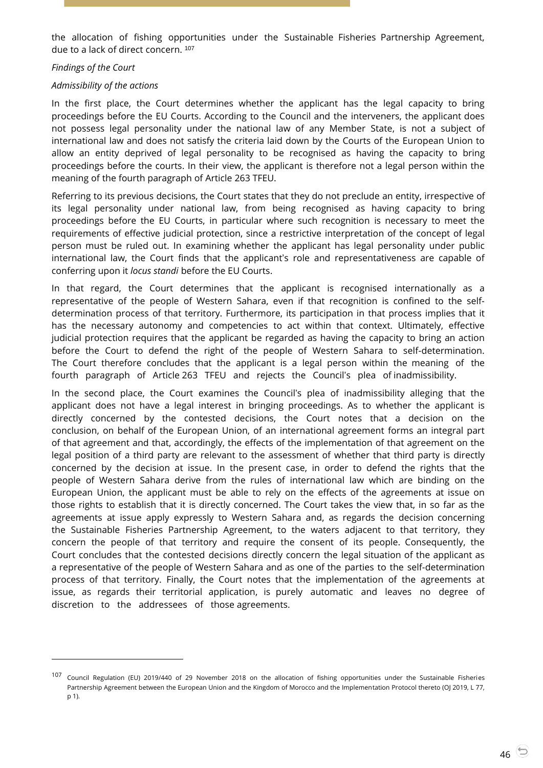the allocation of fishing opportunities under the Sustainable Fisheries Partnership Agreement, due to a lack of direct concern.<sup>107</sup>

#### *Findings of the Court*

 $\overline{a}$ 

#### *Admissibility of the actions*

In the first place, the Court determines whether the applicant has the legal capacity to bring proceedings before the EU Courts. According to the Council and the interveners, the applicant does not possess legal personality under the national law of any Member State, is not a subject of international law and does not satisfy the criteria laid down by the Courts of the European Union to allow an entity deprived of legal personality to be recognised as having the capacity to bring proceedings before the courts. In their view, the applicant is therefore not a legal person within the meaning of the fourth paragraph of Article 263 TFEU.

Referring to its previous decisions, the Court states that they do not preclude an entity, irrespective of its legal personality under national law, from being recognised as having capacity to bring proceedings before the EU Courts, in particular where such recognition is necessary to meet the requirements of effective judicial protection, since a restrictive interpretation of the concept of legal person must be ruled out. In examining whether the applicant has legal personality under public international law, the Court finds that the applicant's role and representativeness are capable of conferring upon it *locus standi* before the EU Courts.

In that regard, the Court determines that the applicant is recognised internationally as a representative of the people of Western Sahara, even if that recognition is confined to the selfdetermination process of that territory. Furthermore, its participation in that process implies that it has the necessary autonomy and competencies to act within that context. Ultimately, effective judicial protection requires that the applicant be regarded as having the capacity to bring an action before the Court to defend the right of the people of Western Sahara to self-determination. The Court therefore concludes that the applicant is a legal person within the meaning of the fourth paragraph of Article 263 TFEU and rejects the Council's plea of inadmissibility.

In the second place, the Court examines the Council's plea of inadmissibility alleging that the applicant does not have a legal interest in bringing proceedings. As to whether the applicant is directly concerned by the contested decisions, the Court notes that a decision on the conclusion, on behalf of the European Union, of an international agreement forms an integral part of that agreement and that, accordingly, the effects of the implementation of that agreement on the legal position of a third party are relevant to the assessment of whether that third party is directly concerned by the decision at issue. In the present case, in order to defend the rights that the people of Western Sahara derive from the rules of international law which are binding on the European Union, the applicant must be able to rely on the effects of the agreements at issue on those rights to establish that it is directly concerned. The Court takes the view that, in so far as the agreements at issue apply expressly to Western Sahara and, as regards the decision concerning the Sustainable Fisheries Partnership Agreement, to the waters adjacent to that territory, they concern the people of that territory and require the consent of its people. Consequently, the Court concludes that the contested decisions directly concern the legal situation of the applicant as a representative of the people of Western Sahara and as one of the parties to the self-determination process of that territory. Finally, the Court notes that the implementation of the agreements at issue, as regards their territorial application, is purely automatic and leaves no degree of discretion to the addressees of those agreements.

<sup>107</sup> Council Regulation (EU) 2019/440 of 29 November 2018 on the allocation of fishing opportunities under the Sustainable Fisheries Partnership Agreement between the European Union and the Kingdom of Morocco and the Implementation Protocol thereto (OJ 2019, L 77, p 1).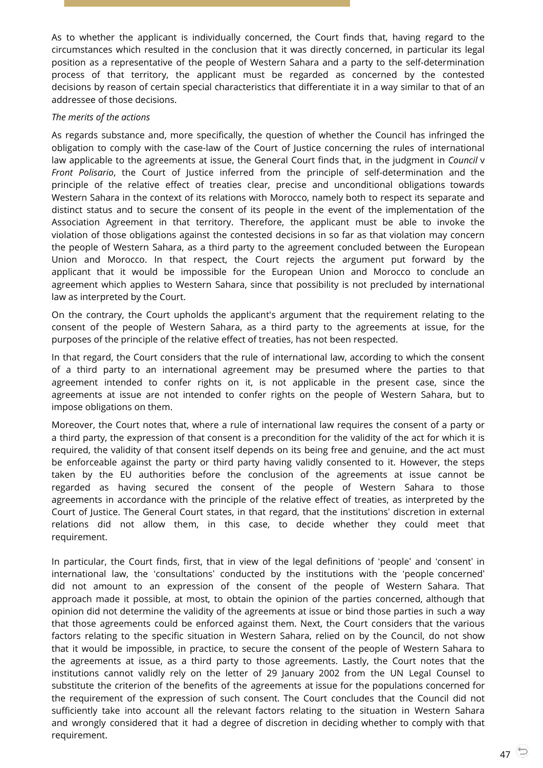As to whether the applicant is individually concerned, the Court finds that, having regard to the circumstances which resulted in the conclusion that it was directly concerned, in particular its legal position as a representative of the people of Western Sahara and a party to the self-determination process of that territory, the applicant must be regarded as concerned by the contested decisions by reason of certain special characteristics that differentiate it in a way similar to that of an addressee of those decisions.

### *The merits of the actions*

As regards substance and, more specifically, the question of whether the Council has infringed the obligation to comply with the case-law of the Court of Justice concerning the rules of international law applicable to the agreements at issue, the General Court finds that, in the judgment in *Council* v *Front Polisario*, the Court of Justice inferred from the principle of self-determination and the principle of the relative effect of treaties clear, precise and unconditional obligations towards Western Sahara in the context of its relations with Morocco, namely both to respect its separate and distinct status and to secure the consent of its people in the event of the implementation of the Association Agreement in that territory. Therefore, the applicant must be able to invoke the violation of those obligations against the contested decisions in so far as that violation may concern the people of Western Sahara, as a third party to the agreement concluded between the European Union and Morocco. In that respect, the Court rejects the argument put forward by the applicant that it would be impossible for the European Union and Morocco to conclude an agreement which applies to Western Sahara, since that possibility is not precluded by international law as interpreted by the Court.

On the contrary, the Court upholds the applicant's argument that the requirement relating to the consent of the people of Western Sahara, as a third party to the agreements at issue, for the purposes of the principle of the relative effect of treaties, has not been respected.

In that regard, the Court considers that the rule of international law, according to which the consent of a third party to an international agreement may be presumed where the parties to that agreement intended to confer rights on it, is not applicable in the present case, since the agreements at issue are not intended to confer rights on the people of Western Sahara, but to impose obligations on them.

Moreover, the Court notes that, where a rule of international law requires the consent of a party or a third party, the expression of that consent is a precondition for the validity of the act for which it is required, the validity of that consent itself depends on its being free and genuine, and the act must be enforceable against the party or third party having validly consented to it. However, the steps taken by the EU authorities before the conclusion of the agreements at issue cannot be regarded as having secured the consent of the people of Western Sahara to those agreements in accordance with the principle of the relative effect of treaties, as interpreted by the Court of Justice. The General Court states, in that regard, that the institutions' discretion in external relations did not allow them, in this case, to decide whether they could meet that requirement.

In particular, the Court finds, first, that in view of the legal definitions of 'people' and 'consent' in international law, the 'consultations' conducted by the institutions with the 'people concerned' did not amount to an expression of the consent of the people of Western Sahara. That approach made it possible, at most, to obtain the opinion of the parties concerned, although that opinion did not determine the validity of the agreements at issue or bind those parties in such a way that those agreements could be enforced against them. Next, the Court considers that the various factors relating to the specific situation in Western Sahara, relied on by the Council, do not show that it would be impossible, in practice, to secure the consent of the people of Western Sahara to the agreements at issue, as a third party to those agreements. Lastly, the Court notes that the institutions cannot validly rely on the letter of 29 January 2002 from the UN Legal Counsel to substitute the criterion of the benefits of the agreements at issue for the populations concerned for the requirement of the expression of such consent. The Court concludes that the Council did not sufficiently take into account all the relevant factors relating to the situation in Western Sahara and wrongly considered that it had a degree of discretion in deciding whether to comply with that requirement.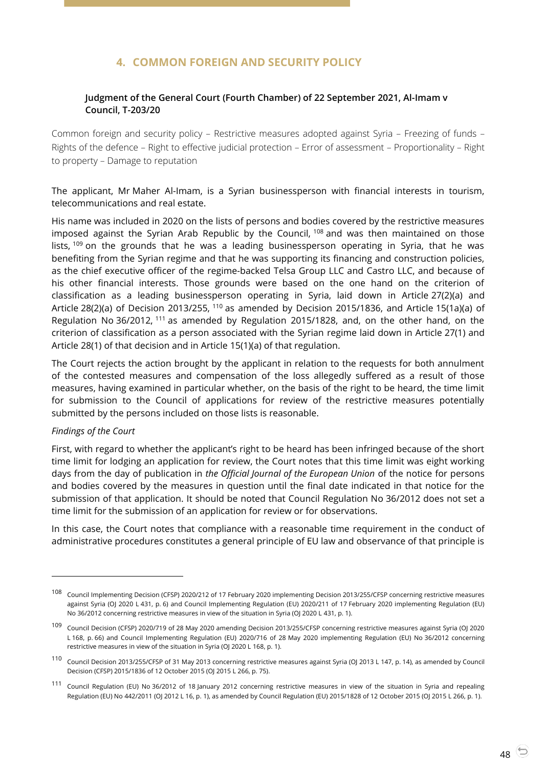# **4. COMMON FOREIGN AND SECURITY POLICY**

### <span id="page-47-1"></span><span id="page-47-0"></span>**Judgment of the General Court (Fourth Chamber) of 22 September 2021, Al-Imam v Council, T-203/20**

Common foreign and security policy – Restrictive measures adopted against Syria – Freezing of funds – Rights of the defence – Right to effective judicial protection – Error of assessment – Proportionality – Right to property – Damage to reputation

The applicant, Mr Maher Al-Imam, is a Syrian businessperson with financial interests in tourism, telecommunications and real estate.

His name was included in 2020 on the lists of persons and bodies covered by the restrictive measures imposed against the Syrian Arab Republic by the Council, <sup>108</sup> and was then maintained on those lists,  $109$  on the grounds that he was a leading businessperson operating in Syria, that he was benefiting from the Syrian regime and that he was supporting its financing and construction policies, as the chief executive officer of the regime-backed Telsa Group LLC and Castro LLC, and because of his other financial interests. Those grounds were based on the one hand on the criterion of classification as a leading businessperson operating in Syria, laid down in Article 27(2)(a) and Article 28(2)(a) of Decision 2013/255, <sup>110</sup> as amended by Decision 2015/1836, and Article 15(1a)(a) of Regulation No 36/2012, <sup>111</sup> as amended by Regulation 2015/1828, and, on the other hand, on the criterion of classification as a person associated with the Syrian regime laid down in Article 27(1) and Article 28(1) of that decision and in Article 15(1)(a) of that regulation.

The Court rejects the action brought by the applicant in relation to the requests for both annulment of the contested measures and compensation of the loss allegedly suffered as a result of those measures, having examined in particular whether, on the basis of the right to be heard, the time limit for submission to the Council of applications for review of the restrictive measures potentially submitted by the persons included on those lists is reasonable.

#### *Findings of the Court*

 $\overline{a}$ 

First, with regard to whether the applicant's right to be heard has been infringed because of the short time limit for lodging an application for review, the Court notes that this time limit was eight working days from the day of publication in *the Official Journal of the European Union* of the notice for persons and bodies covered by the measures in question until the final date indicated in that notice for the submission of that application. It should be noted that Council Regulation No 36/2012 does not set a time limit for the submission of an application for review or for observations.

In this case, the Court notes that compliance with a reasonable time requirement in the conduct of administrative procedures constitutes a general principle of EU law and observance of that principle is

<sup>108</sup> Council Implementing Decision (CFSP) 2020/212 of 17 February 2020 implementing Decision 2013/255/CFSP concerning restrictive measures against Syria (OJ 2020 L 431, p. 6) and Council Implementing Regulation (EU) 2020/211 of 17 February 2020 implementing Regulation (EU) No 36/2012 concerning restrictive measures in view of the situation in Syria (OJ 2020 L 431, p. 1).

<sup>109</sup> Council Decision (CFSP) 2020/719 of 28 May 2020 amending Decision 2013/255/CFSP concerning restrictive measures against Syria (OJ 2020 L 168, p. 66) and Council Implementing Regulation (EU) 2020/716 of 28 May 2020 implementing Regulation (EU) No 36/2012 concerning restrictive measures in view of the situation in Syria (OJ 2020 L 168, p. 1).

<sup>110</sup> Council Decision 2013/255/CFSP of 31 May 2013 concerning restrictive measures against Syria (OJ 2013 L 147, p. 14), as amended by Council Decision (CFSP) 2015/1836 of 12 October 2015 (OJ 2015 L 266, p. 75).

<sup>111</sup> Council Regulation (EU) No 36/2012 of 18 January 2012 concerning restrictive measures in view of the situation in Syria and repealing Regulation (EU) No 442/2011 (OJ 2012 L 16, p. 1), as amended by Council Regulation (EU) 2015/1828 of 12 October 2015 (OJ 2015 L 266, p. 1).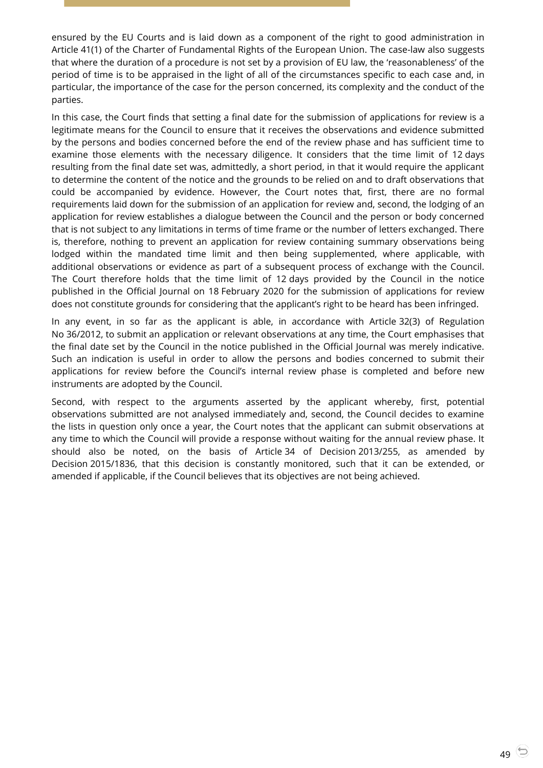ensured by the EU Courts and is laid down as a component of the right to good administration in Article 41(1) of the Charter of Fundamental Rights of the European Union. The case-law also suggests that where the duration of a procedure is not set by a provision of EU law, the 'reasonableness' of the period of time is to be appraised in the light of all of the circumstances specific to each case and, in particular, the importance of the case for the person concerned, its complexity and the conduct of the parties.

In this case, the Court finds that setting a final date for the submission of applications for review is a legitimate means for the Council to ensure that it receives the observations and evidence submitted by the persons and bodies concerned before the end of the review phase and has sufficient time to examine those elements with the necessary diligence. It considers that the time limit of 12 days resulting from the final date set was, admittedly, a short period, in that it would require the applicant to determine the content of the notice and the grounds to be relied on and to draft observations that could be accompanied by evidence. However, the Court notes that, first, there are no formal requirements laid down for the submission of an application for review and, second, the lodging of an application for review establishes a dialogue between the Council and the person or body concerned that is not subject to any limitations in terms of time frame or the number of letters exchanged. There is, therefore, nothing to prevent an application for review containing summary observations being lodged within the mandated time limit and then being supplemented, where applicable, with additional observations or evidence as part of a subsequent process of exchange with the Council. The Court therefore holds that the time limit of 12 days provided by the Council in the notice published in the Official Journal on 18 February 2020 for the submission of applications for review does not constitute grounds for considering that the applicant's right to be heard has been infringed.

In any event, in so far as the applicant is able, in accordance with Article 32(3) of Regulation No 36/2012, to submit an application or relevant observations at any time, the Court emphasises that the final date set by the Council in the notice published in the Official Journal was merely indicative. Such an indication is useful in order to allow the persons and bodies concerned to submit their applications for review before the Council's internal review phase is completed and before new instruments are adopted by the Council.

Second, with respect to the arguments asserted by the applicant whereby, first, potential observations submitted are not analysed immediately and, second, the Council decides to examine the lists in question only once a year, the Court notes that the applicant can submit observations at any time to which the Council will provide a response without waiting for the annual review phase. It should also be noted, on the basis of Article 34 of Decision 2013/255, as amended by Decision 2015/1836, that this decision is constantly monitored, such that it can be extended, or amended if applicable, if the Council believes that its objectives are not being achieved.